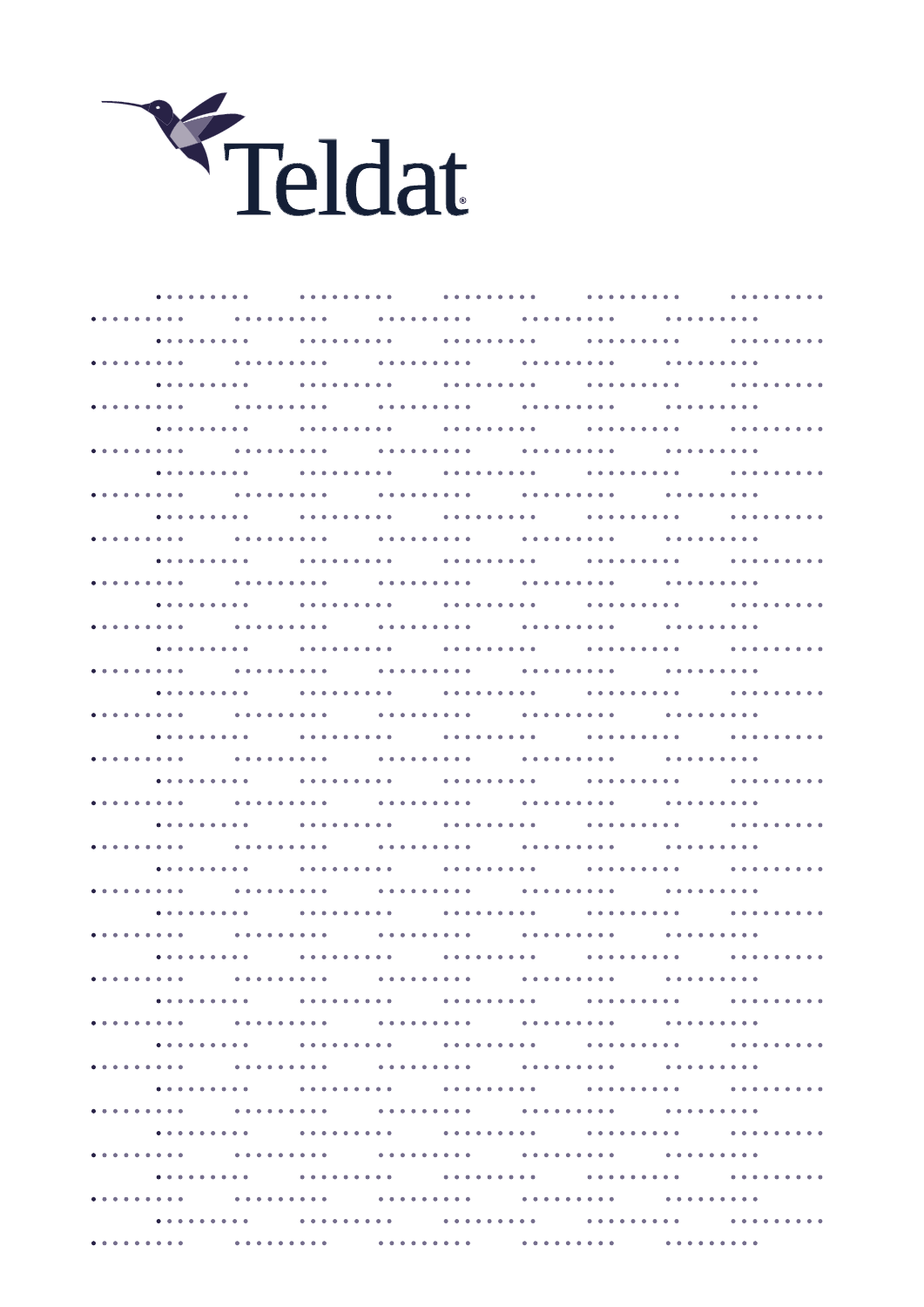

. . . . . . . . . . . . . . . . . . . . . . . . . . . . . . . . . . . . . . . . . . . . . . . . . . . . . . . . . . . . . . . . . . . . . . . . . . . . . . . . . . . . . . . . . . . . . . . . . . . . . . . . . . . . . .  $\mathbf{A} = \mathbf{A} + \mathbf{A} + \mathbf{A} + \mathbf{A} + \mathbf{A} + \mathbf{A} + \mathbf{A} + \mathbf{A} + \mathbf{A} + \mathbf{A} + \mathbf{A} + \mathbf{A} + \mathbf{A} + \mathbf{A} + \mathbf{A} + \mathbf{A} + \mathbf{A} + \mathbf{A} + \mathbf{A} + \mathbf{A} + \mathbf{A} + \mathbf{A} + \mathbf{A} + \mathbf{A} + \mathbf{A} + \mathbf{A} + \mathbf{A} + \mathbf{A} + \mathbf{A} + \mathbf{A} + \mathbf$ . **. . . . . . .** . . . . . . . . . . . . . . . . . . . . . . . . . . . . . . . . . . . . . . . . . . . . . . . . . . . . . . . . . . . . . . . . . . . . . . . . . . . . . . . . . . . . . . . . . . . . . . . . . . . . . . . . . . . . . . . . . . . . . . . . . . . . . . . . . . . . . . . . . . . . . . . . . . . . . . . . . . . . . . . . . . . . . . . . . . . . . . . . . . . . . . . . . . . . . . . . . . . . . . . . . . . . . . . . . . . . . . . . . . . . . . . . . . . . . . . . . . . . . . . . . . . . . . . . . . . . . .  $\frac{1}{2}$ . . . . . . .  $\mathbf{A} = \mathbf{A} + \mathbf{A} + \mathbf{A} + \mathbf{A} + \mathbf{A}$  $\mathbf{A} = \mathbf{A} + \mathbf{A} + \mathbf{A} + \mathbf{A} + \mathbf{A} + \mathbf{A} + \mathbf{A} + \mathbf{A} + \mathbf{A} + \mathbf{A} + \mathbf{A} + \mathbf{A} + \mathbf{A} + \mathbf{A} + \mathbf{A} + \mathbf{A} + \mathbf{A} + \mathbf{A} + \mathbf{A} + \mathbf{A} + \mathbf{A} + \mathbf{A} + \mathbf{A} + \mathbf{A} + \mathbf{A} + \mathbf{A} + \mathbf{A} + \mathbf{A} + \mathbf{A} + \mathbf{A} + \mathbf$ . . . . . . . . . <u>. . . . . . . . .</u> **. . . . . . . . .** . . . . . . . . . . . . . . . . . . . . . . . . . . . . . . . . . . . . . . . . . . . . . . . . . . . . . . . . . . . . . . . .  $\mathbf{A} = \mathbf{A} + \mathbf{A} + \mathbf{A} + \mathbf{A} + \mathbf{A} + \mathbf{A} + \mathbf{A} + \mathbf{A} + \mathbf{A} + \mathbf{A} + \mathbf{A} + \mathbf{A} + \mathbf{A} + \mathbf{A} + \mathbf{A} + \mathbf{A} + \mathbf{A} + \mathbf{A} + \mathbf{A} + \mathbf{A} + \mathbf{A} + \mathbf{A} + \mathbf{A} + \mathbf{A} + \mathbf{A} + \mathbf{A} + \mathbf{A} + \mathbf{A} + \mathbf{A} + \mathbf{A} + \mathbf$ . . . . . . . . . . . . . . . . . . . . . . . . . . . . . . . . . . . . . . **\*\*\*\*\*\*\*\*\*** *<u>AAAAAAAAA</u>*  $\mathbf{A} = \mathbf{A} + \mathbf{A} + \mathbf{A} + \mathbf{A} + \mathbf{A} + \mathbf{A} + \mathbf{A} + \mathbf{A} + \mathbf{A} + \mathbf{A} + \mathbf{A} + \mathbf{A} + \mathbf{A} + \mathbf{A} + \mathbf{A} + \mathbf{A} + \mathbf{A} + \mathbf{A} + \mathbf{A} + \mathbf{A} + \mathbf{A} + \mathbf{A} + \mathbf{A} + \mathbf{A} + \mathbf{A} + \mathbf{A} + \mathbf{A} + \mathbf{A} + \mathbf{A} + \mathbf{A} + \mathbf$ **. . . . . . . . . \*\*\*\*\*\*\*\*\*** . . . . . . . . . . . . . . . . . . . . . . . . . . . . . . . . . . . . . . . . . . . . . . . . . . . . . . . . . . . . . . . . . . . . . . . . . . . . . . . . . . . . . . . . . . . . . . . . . . . . . . . . . . . . . . . . . . . . . . . . . . . . . . . . . . . . . . . . . . . . . . . . . . . <sup>.</sup> . . . . . . . . . . . . . . . . . . . . . . . . . . . . . . . . . . . . . . . . . . . . . . . . . . . . . . . . . . . . . . . . . . . . . . . . . . . . . . . . . . . . . . . . . . . . . . . . . . . . . . . . . . . . . . . . . . . . . . . . . . . . . . . . . . . . . . . . . . . . . . . . . . . . . . . . . . . . . . . . . . . . . . . . . . . . . . . . . . . . . . . . . . . . . . . . . . . . . . . . . . . . . . . . . . . . . . . . . . . . . . . . . . . . . . . . . . . . . . . . . . . . . . . . . . . . . . . . . . . . . . . . . . . . . . . . . . . . . . . . . . . . . . . . . . . . . . . . . . . . . . . . . . . . . . . . . . . . . . . . **AAAAAAAAA** . . . . . . . . . . . . . . . . . . . . . . . . . . . . . . . . . . . . . . . . . . . . . . . . . . . . . . . . . . . . . . . . . . . . . . . . . . . . . . . . . . . . . . . . . . . . . . . . . . . . . . . . . . . . . . . . . . . . . . . .  $\mathbf{r} = \mathbf{r} + \mathbf{r} + \mathbf{r} + \mathbf{r}$  $\frac{1}{2}$ . . . . . . . . . . . . . . . . . . . . . . . . . . . . . . . . . . . . . . . . . . . . . . . . . . . . . . . . **. . . . . . . . .** . . . . . . . . . . . . . . . . . . . . . . . . . . . . . . . . . . . . . . . . . . . . . . . . **AAAAAAAAA** . . . . . . . . . . . . . . . . . . . . . . . . . . . . **. . . . . . . .** . *<u>AAAAAAAA</u>* . . . . . . . . . . . . . . . . . . . . . . . . . . . . . . . . . . . . . . . . . . . . . . . . . . . . . . . .  $\mathbf{A} = \mathbf{A} + \mathbf{A} + \mathbf{A} + \mathbf{A} + \mathbf{A} + \mathbf{A} + \mathbf{A} + \mathbf{A} + \mathbf{A} + \mathbf{A} + \mathbf{A} + \mathbf{A} + \mathbf{A} + \mathbf{A} + \mathbf{A} + \mathbf{A} + \mathbf{A} + \mathbf{A} + \mathbf{A} + \mathbf{A} + \mathbf{A} + \mathbf{A} + \mathbf{A} + \mathbf{A} + \mathbf{A} + \mathbf{A} + \mathbf{A} + \mathbf{A} + \mathbf{A} + \mathbf{A} + \mathbf$ . . . . . . . . . . . . . . . . . . . . . . . . . . . . . . **\*\*\*\*\*\*\*\*\*** . . . . . . . . . . . . . . . . . . . . . . . . . . . . . **\*\*\*\*\*\*\*\*\*** . . . . . . . . . . . . . . . . . . . . . . . . . . . . . . . . . . . . . . . . . . . . . . . . . . . . . . . . . . . . . . . . . . . . . . . . . . . . . . . . . . . . **\*\*\*\*\*\*\*\*\*** . . . . . . . . . . . . . . . . . . . . . . . . . . . . . . . . . . . . . . . . . . . . . . . . . . . . . . . . . . . . . . . . . . . . . . . . . . . . . . . . . . . . . . . . . .  $\mathbf{A} = \mathbf{A} + \mathbf{A} + \mathbf{A} + \mathbf{A} + \mathbf{A} + \mathbf{A} + \mathbf{A} + \mathbf{A} + \mathbf{A} + \mathbf{A} + \mathbf{A} + \mathbf{A} + \mathbf{A} + \mathbf{A} + \mathbf{A} + \mathbf{A} + \mathbf{A} + \mathbf{A} + \mathbf{A} + \mathbf{A} + \mathbf{A} + \mathbf{A} + \mathbf{A} + \mathbf{A} + \mathbf{A} + \mathbf{A} + \mathbf{A} + \mathbf{A} + \mathbf{A} + \mathbf{A} + \mathbf$ . . . . . . . . . . . . . . . . . . . . . . . . . . . . **AAAAAAAAA** . . . . . . . . . . . . . . . . . . . . . . . . . . . . . *<u><u>.</u>........*</u>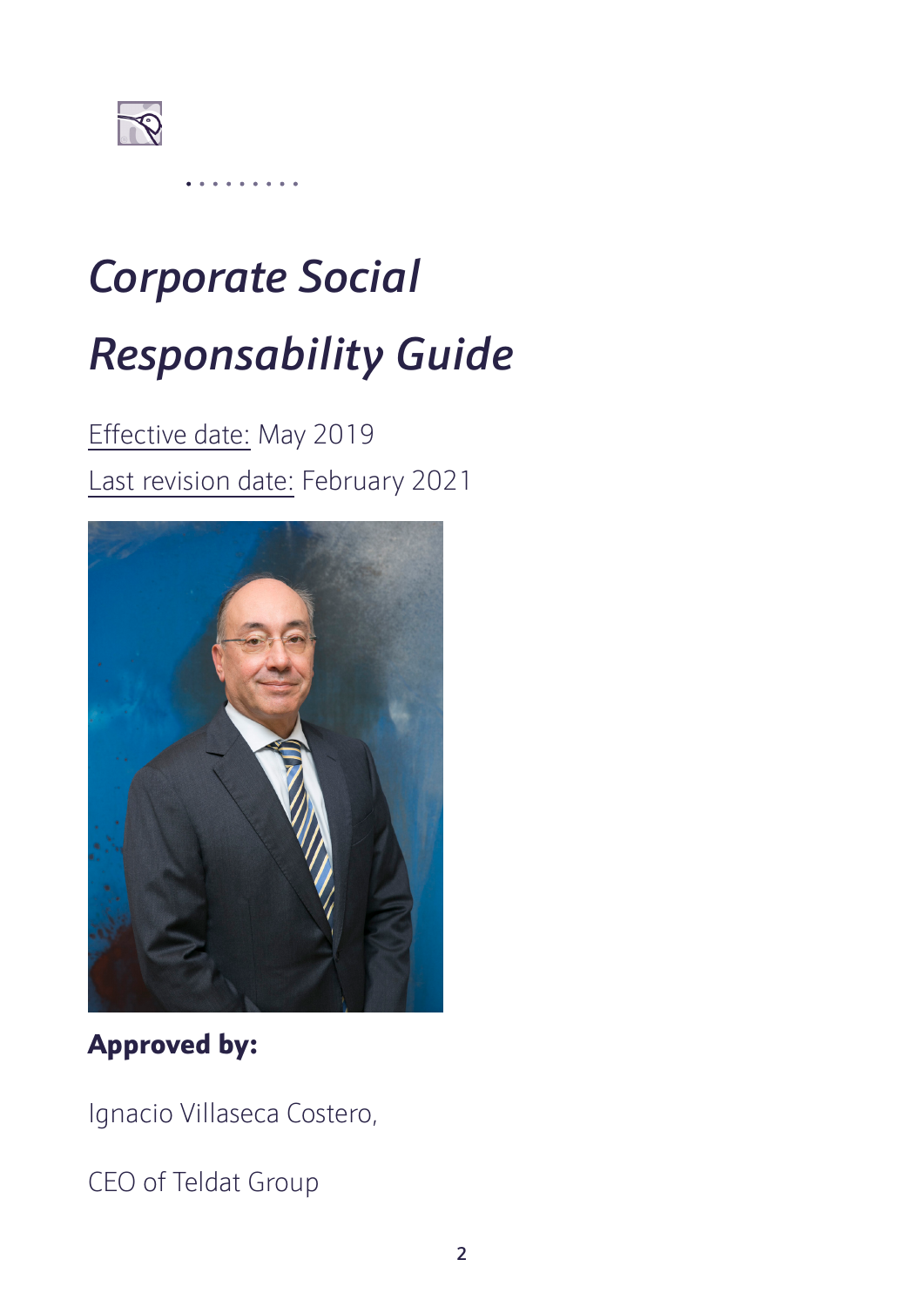

# *Corporate Social Responsability Guide*

# Effective date: May 2019 Last revision date: February 2021



## Approved by:

Ignacio Villaseca Costero,

CEO of Teldat Group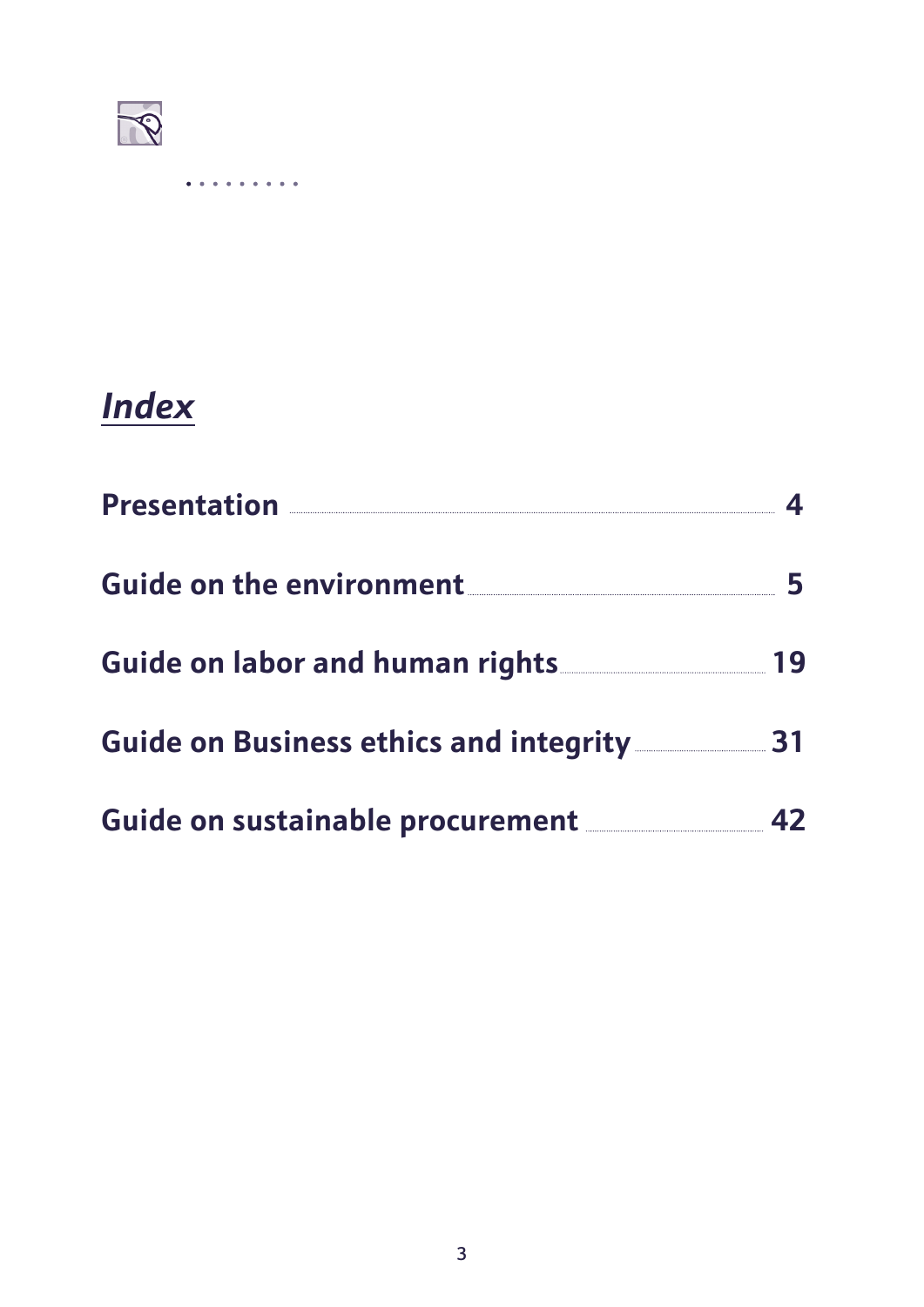

# *Index*

| Presentation <u>Electrical Contraction</u>                                                                                |  |  |  |  |  |  |  |  |  |  |
|---------------------------------------------------------------------------------------------------------------------------|--|--|--|--|--|--|--|--|--|--|
| Guide on the environment <b>CONFIGURER CONTENTS ON THE EXAMPLE SET ON A SET OF STATE CONTENTS ON A SET OF STATE CONTE</b> |  |  |  |  |  |  |  |  |  |  |
| Guide on labor and human rights 19                                                                                        |  |  |  |  |  |  |  |  |  |  |
| Guide on Business ethics and integrity 31                                                                                 |  |  |  |  |  |  |  |  |  |  |
| Guide on sustainable procurement <b>Suide on Sustainable procurement</b>                                                  |  |  |  |  |  |  |  |  |  |  |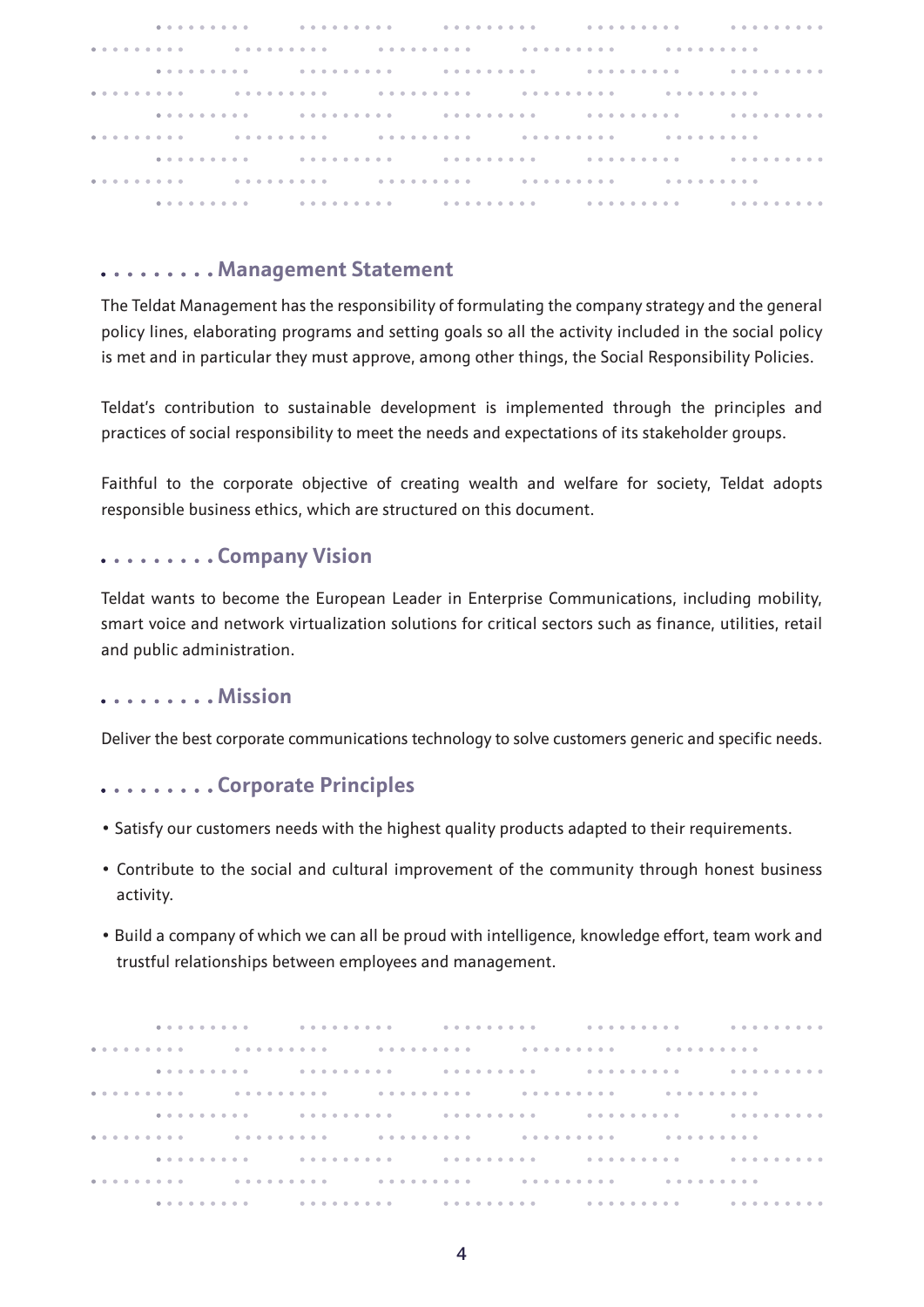|  | re a constante de contra constante de la constante de la constante de la constante de la constantidad de la co                                                                                                               |  |  |  |  |  |  |  |  |  |  |  |  |  |  |  |  |  |  |  |  |  |  |  |  |  |
|--|------------------------------------------------------------------------------------------------------------------------------------------------------------------------------------------------------------------------------|--|--|--|--|--|--|--|--|--|--|--|--|--|--|--|--|--|--|--|--|--|--|--|--|--|
|  |                                                                                                                                                                                                                              |  |  |  |  |  |  |  |  |  |  |  |  |  |  |  |  |  |  |  |  |  |  |  |  |  |
|  | ra de la concelho de la concelho de la concelho de la concelho de la concelho de la concelho de la concelho de                                                                                                               |  |  |  |  |  |  |  |  |  |  |  |  |  |  |  |  |  |  |  |  |  |  |  |  |  |
|  |                                                                                                                                                                                                                              |  |  |  |  |  |  |  |  |  |  |  |  |  |  |  |  |  |  |  |  |  |  |  |  |  |
|  |                                                                                                                                                                                                                              |  |  |  |  |  |  |  |  |  |  |  |  |  |  |  |  |  |  |  |  |  |  |  |  |  |
|  |                                                                                                                                                                                                                              |  |  |  |  |  |  |  |  |  |  |  |  |  |  |  |  |  |  |  |  |  |  |  |  |  |
|  | . A second second constants of the contract of the constants of the constants of the constants of the constants of the constants of the constants of the constants of the constants of the constants of the constants of the |  |  |  |  |  |  |  |  |  |  |  |  |  |  |  |  |  |  |  |  |  |  |  |  |  |
|  |                                                                                                                                                                                                                              |  |  |  |  |  |  |  |  |  |  |  |  |  |  |  |  |  |  |  |  |  |  |  |  |  |
|  |                                                                                                                                                                                                                              |  |  |  |  |  |  |  |  |  |  |  |  |  |  |  |  |  |  |  |  |  |  |  |  |  |

#### **Management Statement**

The Teldat Management has the responsibility of formulating the company strategy and the general policy lines, elaborating programs and setting goals so all the activity included in the social policy is met and in particular they must approve, among other things, the Social Responsibility Policies.

Teldat's contribution to sustainable development is implemented through the principles and practices of social responsibility to meet the needs and expectations of its stakeholder groups.

Faithful to the corporate objective of creating wealth and welfare for society, Teldat adopts responsible business ethics, which are structured on this document.

#### **Company Vision**

Teldat wants to become the European Leader in Enterprise Communications, including mobility, smart voice and network virtualization solutions for critical sectors such as finance, utilities, retail and public administration.

#### **1. . . . . . . . Mission**

Deliver the best corporate communications technology to solve customers generic and specific needs.

#### **Corporate Principles**

- Satisfy our customers needs with the highest quality products adapted to their requirements.
- Contribute to the social and cultural improvement of the community through honest business activity.
- Build a company of which we can all be proud with intelligence, knowledge effort, team work and trustful relationships between employees and management.

. . . . . . . . . . . . . . . . . . . . . . . . . . . . . . . **. . . . . . . . .** . . . . . . . . . . . . . . . . . . . . . . . . . . . . . . . . . . . . . . . . . . . . . . . . . . . . . . . . . . . . . . . . . . . . . . . . . . . . . . . . . . . . . . . . . *<u>..........</u>*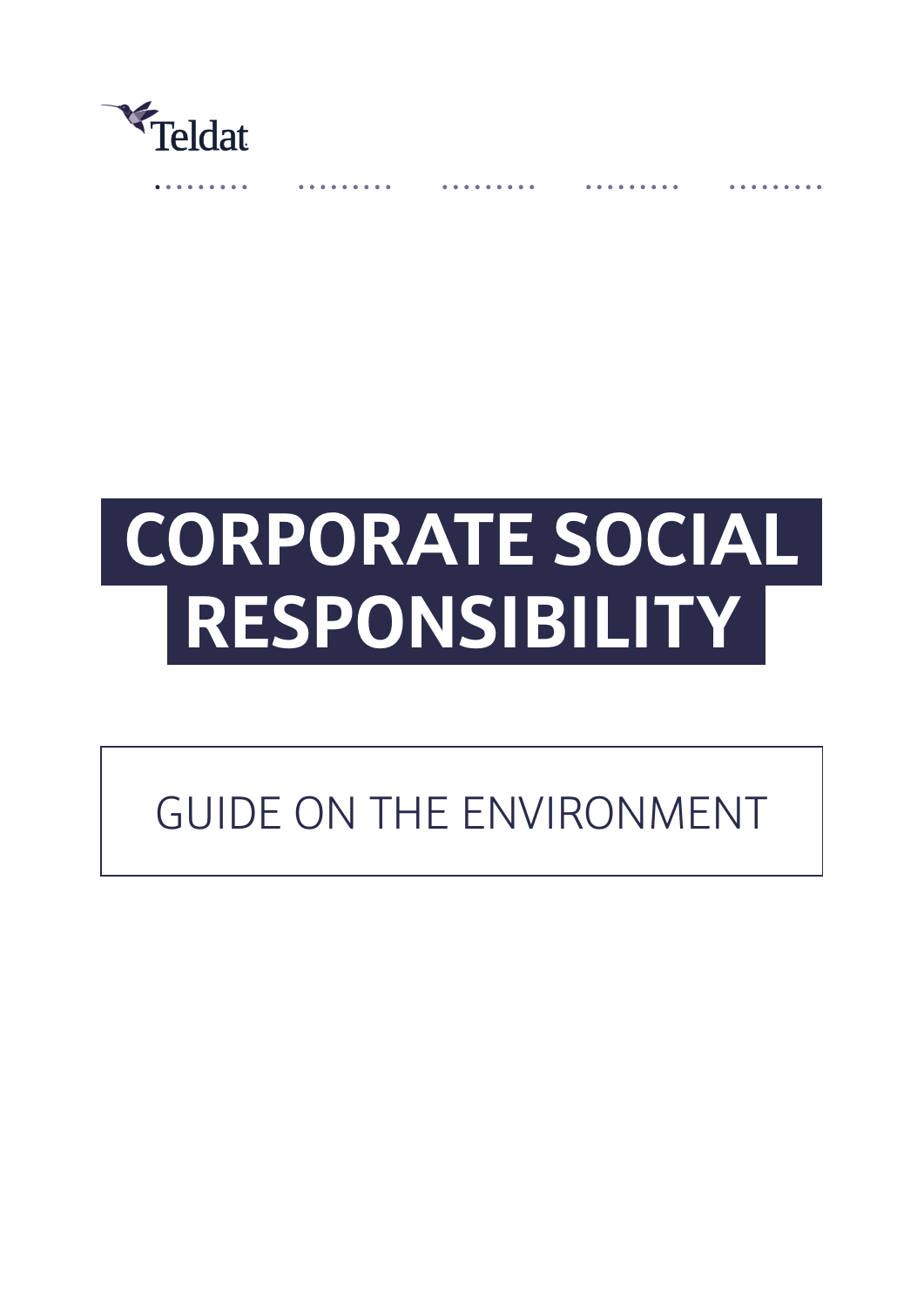

# **CORPORATE SOCIAL RESPONSIBILITY**

# GUIDE ON THE ENVIRONMENT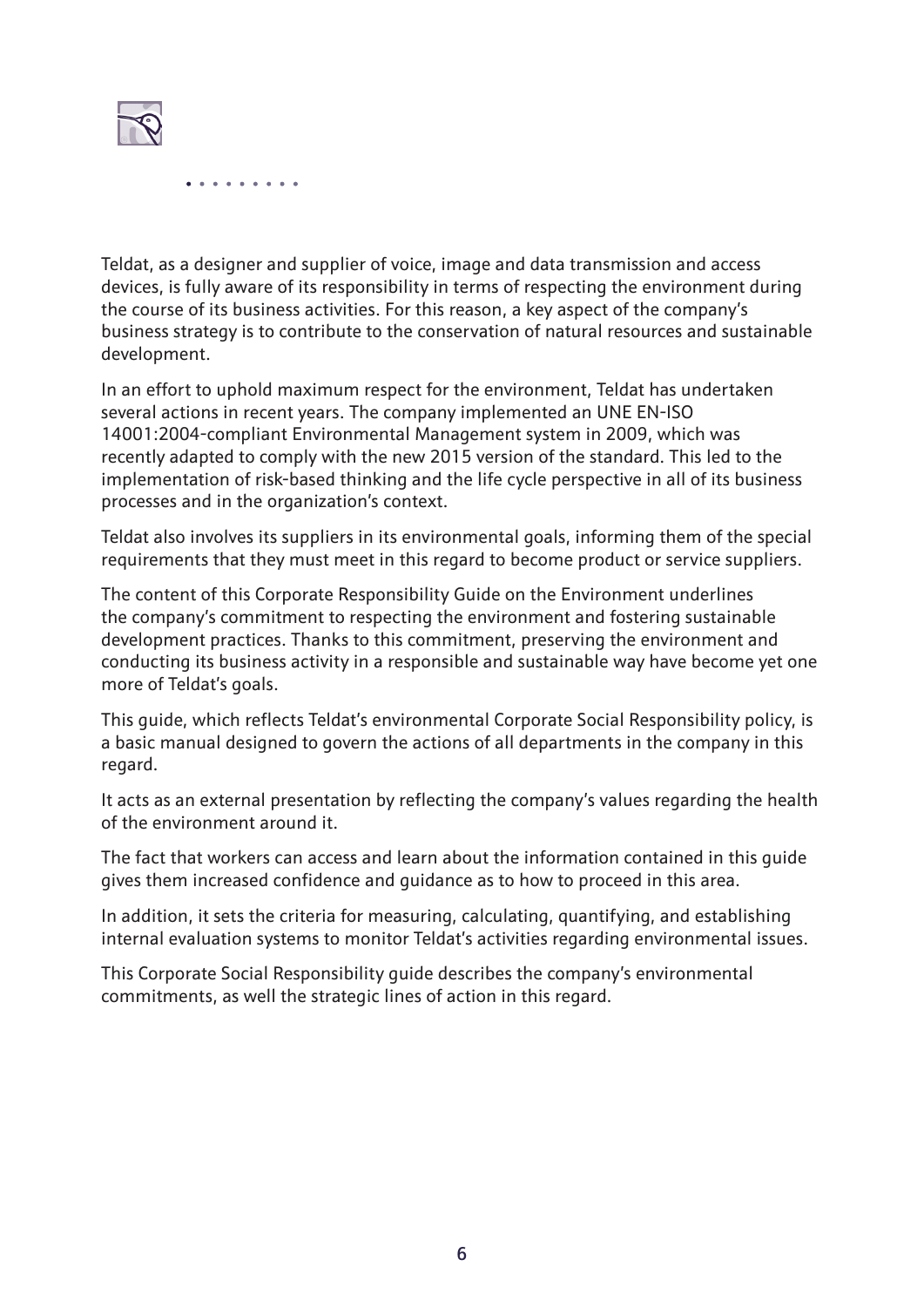

Teldat, as a designer and supplier of voice, image and data transmission and access devices, is fully aware of its responsibility in terms of respecting the environment during the course of its business activities. For this reason, a key aspect of the company's business strategy is to contribute to the conservation of natural resources and sustainable development.

In an effort to uphold maximum respect for the environment, Teldat has undertaken several actions in recent years. The company implemented an UNE EN-ISO 14001:2004-compliant Environmental Management system in 2009, which was recently adapted to comply with the new 2015 version of the standard. This led to the implementation of risk-based thinking and the life cycle perspective in all of its business processes and in the organization's context.

Teldat also involves its suppliers in its environmental goals, informing them of the special requirements that they must meet in this regard to become product or service suppliers.

The content of this Corporate Responsibility Guide on the Environment underlines the company's commitment to respecting the environment and fostering sustainable development practices. Thanks to this commitment, preserving the environment and conducting its business activity in a responsible and sustainable way have become yet one more of Teldat's goals.

This guide, which reflects Teldat's environmental Corporate Social Responsibility policy, is a basic manual designed to govern the actions of all departments in the company in this regard.

It acts as an external presentation by reflecting the company's values regarding the health of the environment around it.

The fact that workers can access and learn about the information contained in this guide gives them increased confidence and guidance as to how to proceed in this area.

In addition, it sets the criteria for measuring, calculating, quantifying, and establishing internal evaluation systems to monitor Teldat's activities regarding environmental issues.

This Corporate Social Responsibility guide describes the company's environmental commitments, as well the strategic lines of action in this regard.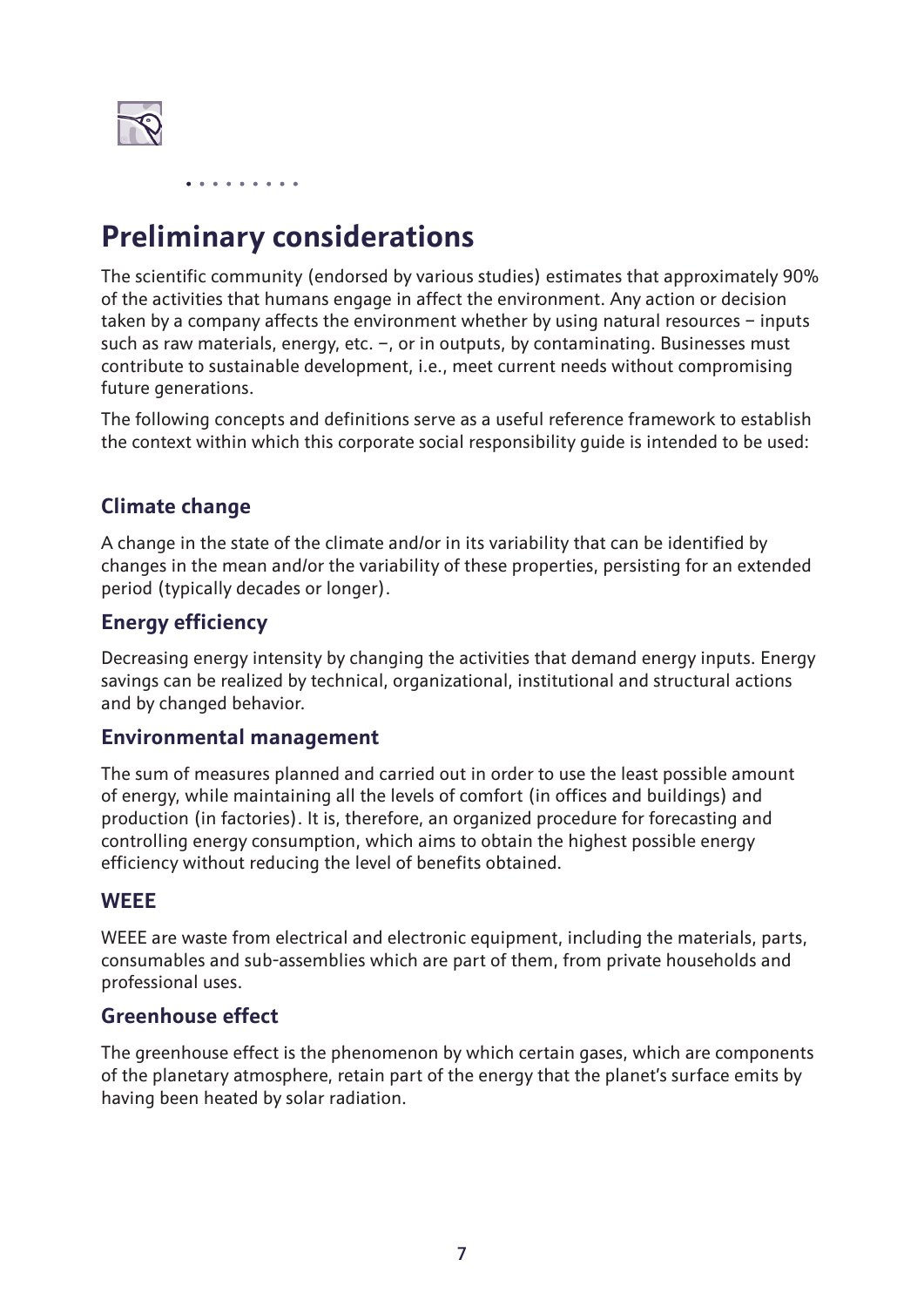

# **Preliminary considerations**

The scientific community (endorsed by various studies) estimates that approximately 90% of the activities that humans engage in affect the environment. Any action or decision taken by a company affects the environment whether by using natural resources – inputs such as raw materials, energy, etc.  $-$ , or in outputs, by contaminating. Businesses must contribute to sustainable development, i.e., meet current needs without compromising future generations.

The following concepts and definitions serve as a useful reference framework to establish the context within which this corporate social responsibility guide is intended to be used:

#### **Climate change**

A change in the state of the climate and/or in its variability that can be identified by changes in the mean and/or the variability of these properties, persisting for an extended period (typically decades or longer).

#### **Energy efficiency**

Decreasing energy intensity by changing the activities that demand energy inputs. Energy savings can be realized by technical, organizational, institutional and structural actions and by changed behavior.

#### **Environmental management**

The sum of measures planned and carried out in order to use the least possible amount of energy, while maintaining all the levels of comfort (in offices and buildings) and production (in factories). It is, therefore, an organized procedure for forecasting and controlling energy consumption, which aims to obtain the highest possible energy efficiency without reducing the level of benefits obtained.

#### **WEEE**

WEEE are waste from electrical and electronic equipment, including the materials, parts, consumables and sub-assemblies which are part of them, from private households and professional uses.

#### **Greenhouse effect**

The greenhouse effect is the phenomenon by which certain gases, which are components of the planetary atmosphere, retain part of the energy that the planet's surface emits by having been heated by solar radiation.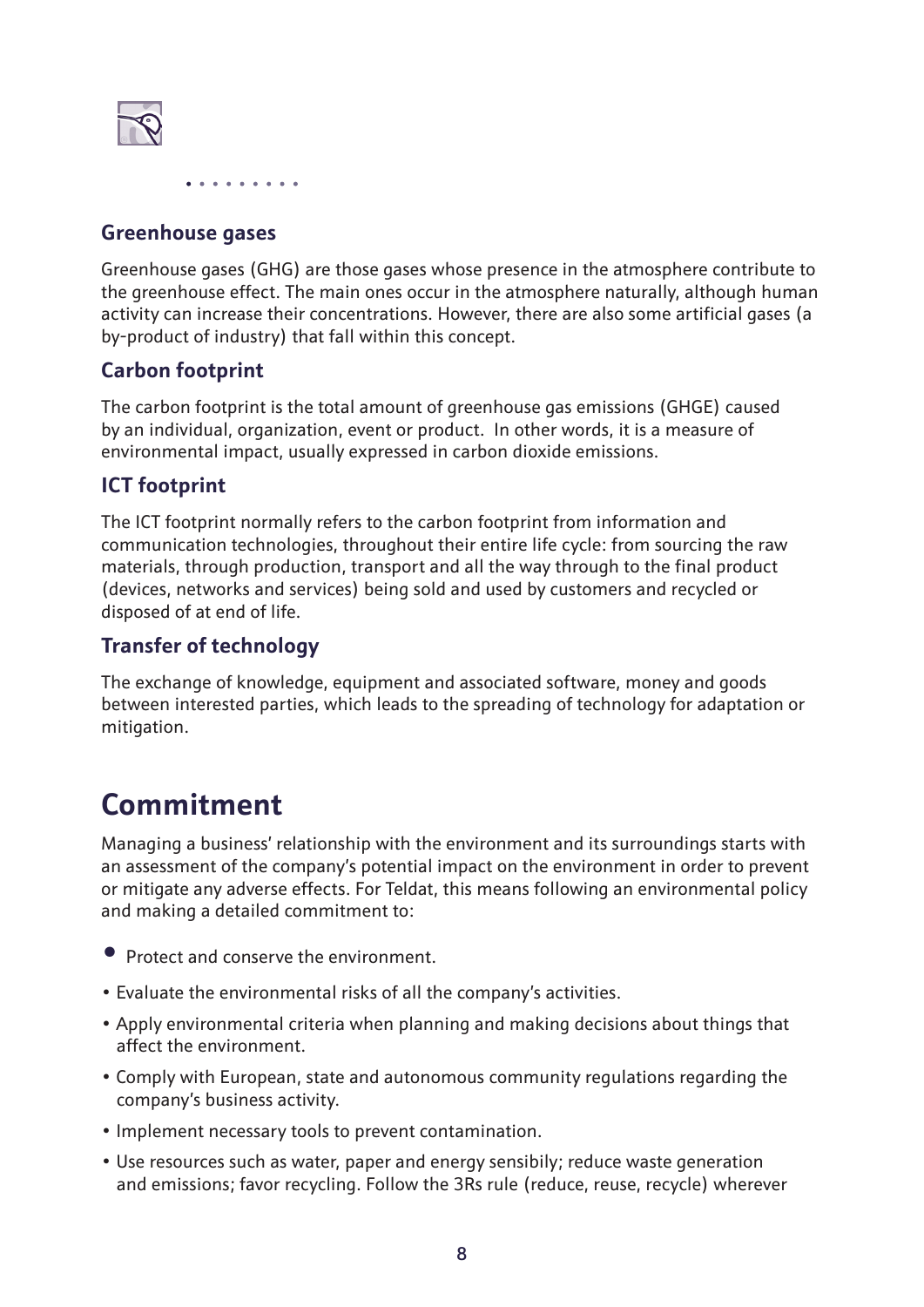

#### **Greenhouse gases**

Greenhouse gases (GHG) are those gases whose presence in the atmosphere contribute to the greenhouse effect. The main ones occur in the atmosphere naturally, although human activity can increase their concentrations. However, there are also some artificial gases (a by-product of industry) that fall within this concept.

#### **Carbon footprint**

The carbon footprint is the total amount of greenhouse gas emissions (GHGE) caused by an individual, organization, event or product. In other words, it is a measure of environmental impact, usually expressed in carbon dioxide emissions.

#### **ICT footprint**

The ICT footprint normally refers to the carbon footprint from information and communication technologies, throughout their entire life cycle: from sourcing the raw materials, through production, transport and all the way through to the final product (devices, networks and services) being sold and used by customers and recycled or disposed of at end of life.

#### **Transfer of technology**

The exchange of knowledge, equipment and associated software, money and goods between interested parties, which leads to the spreading of technology for adaptation or mitigation.

## **Commitment**

Managing a business' relationship with the environment and its surroundings starts with an assessment of the company's potential impact on the environment in order to prevent or mitigate any adverse effects. For Teldat, this means following an environmental policy and making a detailed commitment to:

- Protect and conserve the environment.
- Evaluate the environmental risks of all the company's activities.
- Apply environmental criteria when planning and making decisions about things that affect the environment.
- Comply with European, state and autonomous community regulations regarding the company's business activity.
- Implement necessary tools to prevent contamination.
- Use resources such as water, paper and energy sensibily; reduce waste generation and emissions; favor recycling. Follow the 3Rs rule (reduce, reuse, recycle) wherever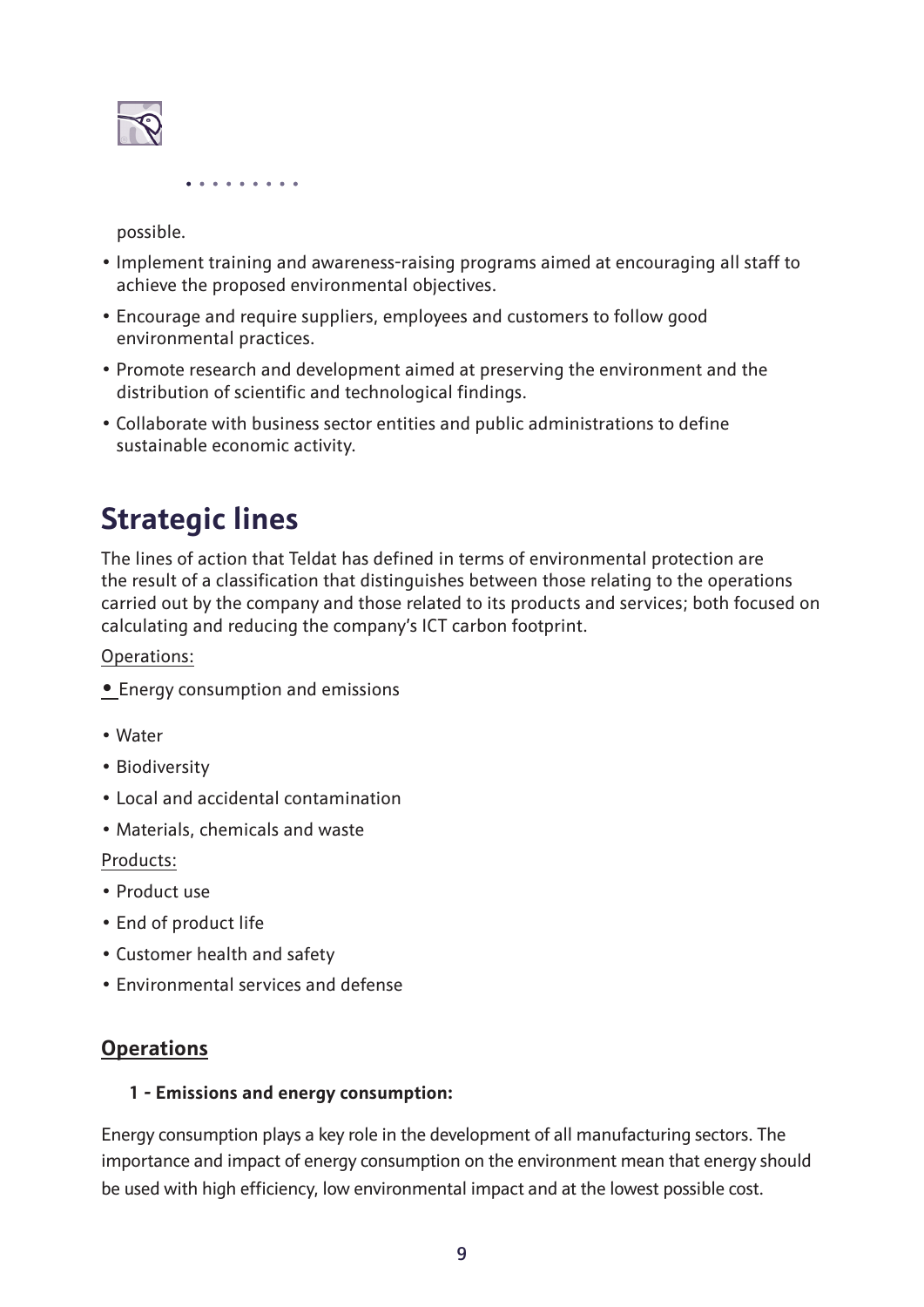

possible.

- Implement training and awareness-raising programs aimed at encouraging all staff to achieve the proposed environmental objectives.
- Encourage and require suppliers, employees and customers to follow good environmental practices.
- Promote research and development aimed at preserving the environment and the distribution of scientific and technological findings.
- Collaborate with business sector entities and public administrations to define sustainable economic activity.

# **Strategic lines**

The lines of action that Teldat has defined in terms of environmental protection are the result of a classification that distinguishes between those relating to the operations carried out by the company and those related to its products and services; both focused on calculating and reducing the company's ICT carbon footprint.

Operations:

- Energy consumption and emissions
- Water
- Biodiversity
- Local and accidental contamination
- Materials, chemicals and waste

Products:

- Product use
- End of product life
- Customer health and safety
- Environmental services and defense

#### **Operations**

#### **1 - Emissions and energy consumption:**

Energy consumption plays a key role in the development of all manufacturing sectors. The importance and impact of energy consumption on the environment mean that energy should be used with high efficiency, low environmental impact and at the lowest possible cost.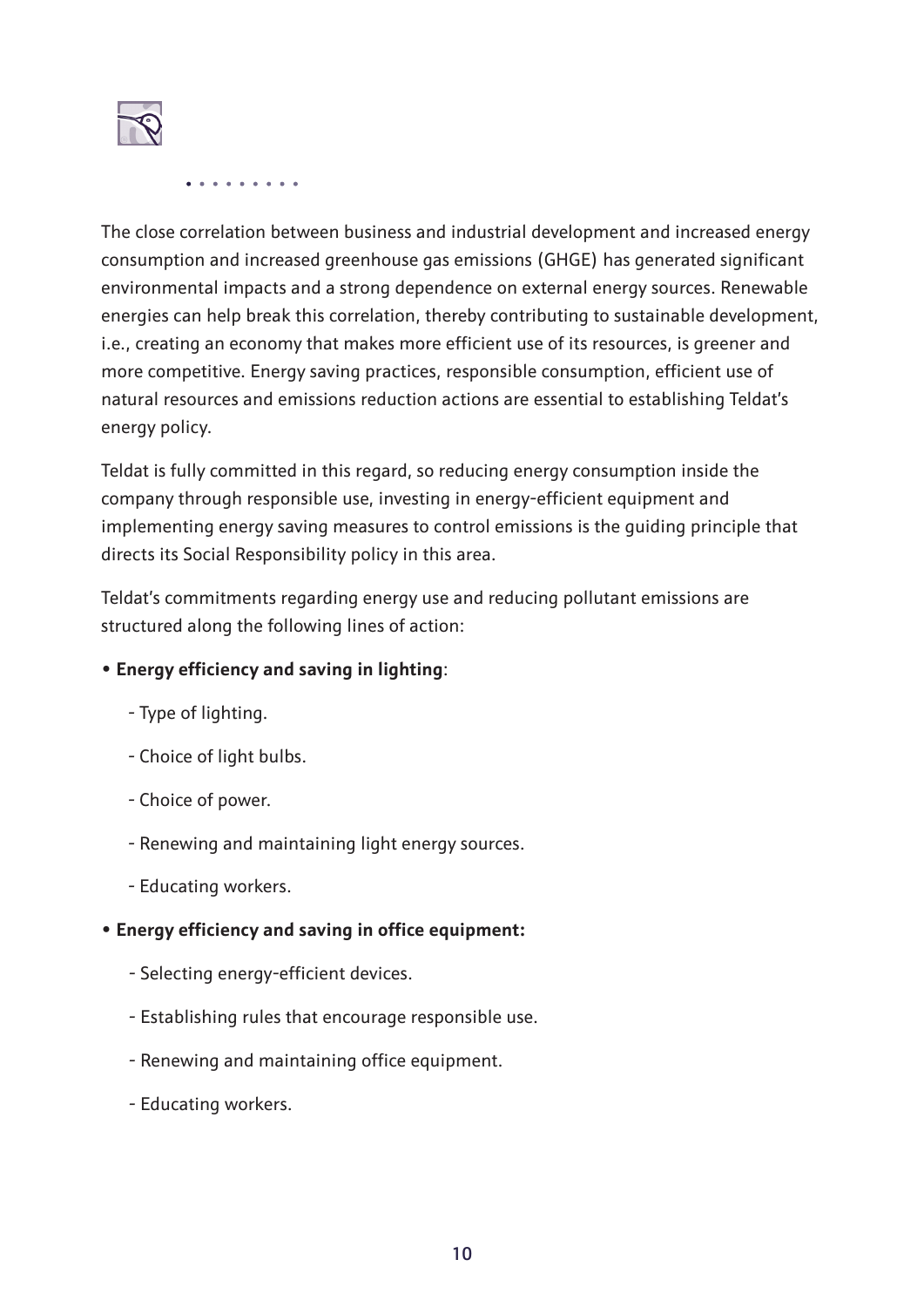

The close correlation between business and industrial development and increased energy consumption and increased greenhouse gas emissions (GHGE) has generated significant environmental impacts and a strong dependence on external energy sources. Renewable energies can help break this correlation, thereby contributing to sustainable development, i.e., creating an economy that makes more efficient use of its resources, is greener and more competitive. Energy saving practices, responsible consumption, efficient use of natural resources and emissions reduction actions are essential to establishing Teldat's energy policy.

Teldat is fully committed in this regard, so reducing energy consumption inside the company through responsible use, investing in energy-efficient equipment and implementing energy saving measures to control emissions is the guiding principle that directs its Social Responsibility policy in this area.

Teldat's commitments regarding energy use and reducing pollutant emissions are structured along the following lines of action:

#### **• Energy efficiency and saving in lighting**:

- Type of lighting.
- Choice of light bulbs.
- Choice of power.
- Renewing and maintaining light energy sources.
- Educating workers.

#### **• Energy efficiency and saving in office equipment:**

- Selecting energy-efficient devices.
- Establishing rules that encourage responsible use.
- Renewing and maintaining office equipment.
- Educating workers.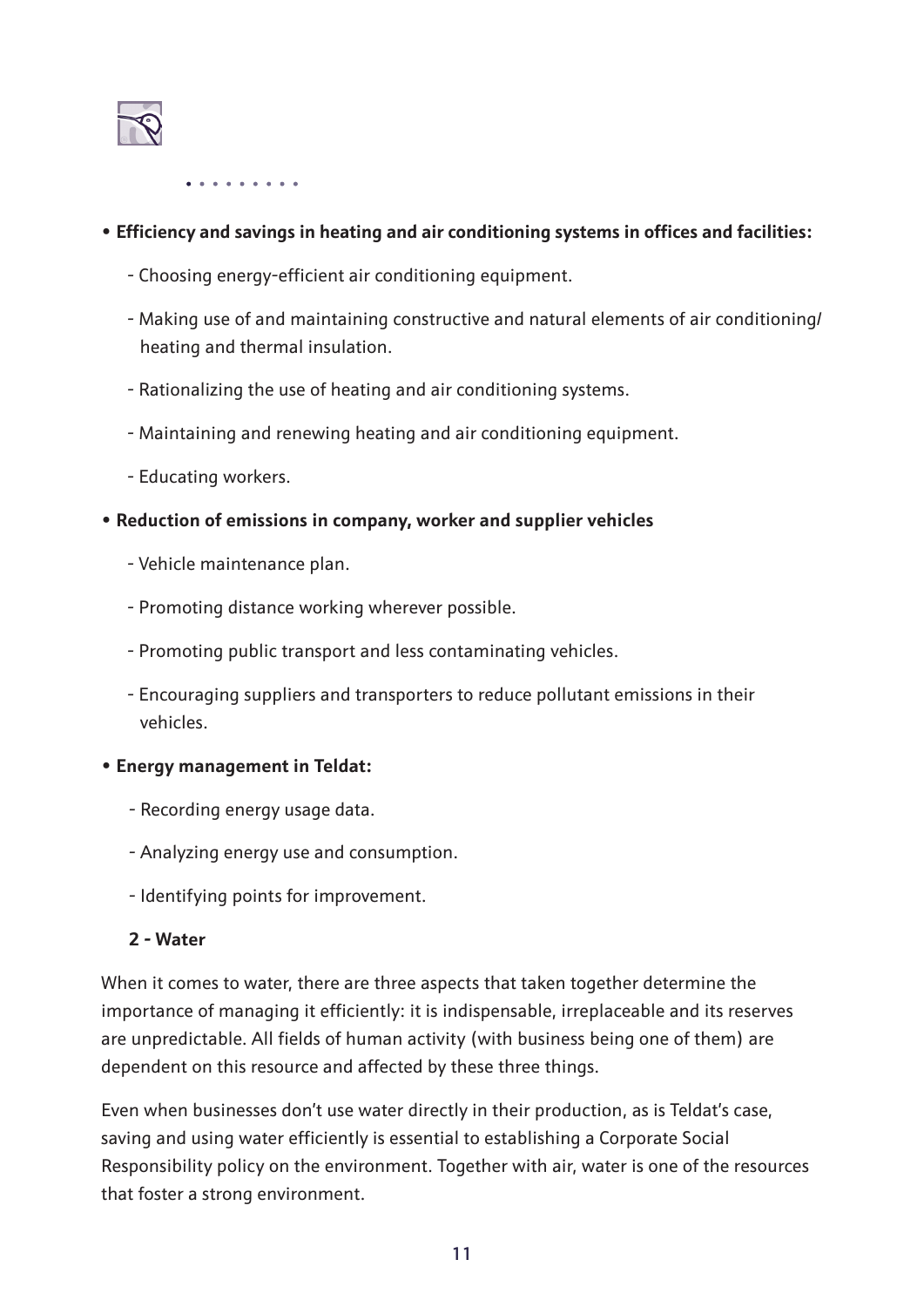

#### **• Efficiency and savings in heating and air conditioning systems in offices and facilities:**

- Choosing energy-efficient air conditioning equipment.
- Making use of and maintaining constructive and natural elements of air conditioning/ heating and thermal insulation.
- Rationalizing the use of heating and air conditioning systems.
- Maintaining and renewing heating and air conditioning equipment.
- Educating workers.

#### **• Reduction of emissions in company, worker and supplier vehicles**

- Vehicle maintenance plan.
- Promoting distance working wherever possible.
- Promoting public transport and less contaminating vehicles.
- Encouraging suppliers and transporters to reduce pollutant emissions in their vehicles.

#### **• Energy management in Teldat:**

- Recording energy usage data.
- Analyzing energy use and consumption.
- Identifying points for improvement.

#### **2 - Water**

When it comes to water, there are three aspects that taken together determine the importance of managing it efficiently: it is indispensable, irreplaceable and its reserves are unpredictable. All fields of human activity (with business being one of them) are dependent on this resource and affected by these three things.

Even when businesses don't use water directly in their production, as is Teldat's case, saving and using water efficiently is essential to establishing a Corporate Social Responsibility policy on the environment. Together with air, water is one of the resources that foster a strong environment.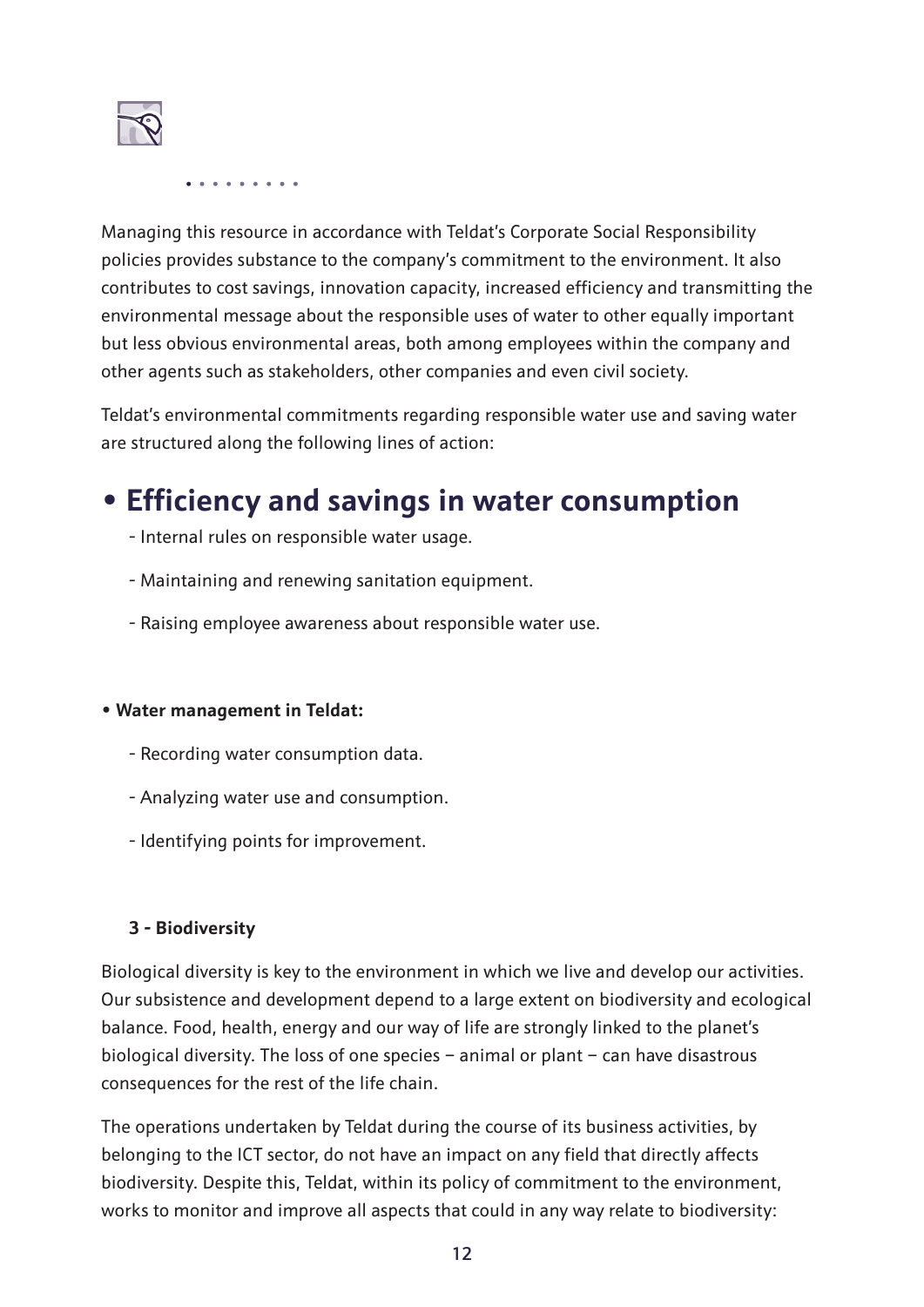

Managing this resource in accordance with Teldat's Corporate Social Responsibility policies provides substance to the company's commitment to the environment. It also contributes to cost savings, innovation capacity, increased efficiency and transmitting the environmental message about the responsible uses of water to other equally important but less obvious environmental areas, both among employees within the company and other agents such as stakeholders, other companies and even civil society.

Teldat's environmental commitments regarding responsible water use and saving water are structured along the following lines of action:

### **• Efficiency and savings in water consumption**

- Internal rules on responsible water usage.
- Maintaining and renewing sanitation equipment.
- Raising employee awareness about responsible water use.

#### **• Water management in Teldat:**

- Recording water consumption data.
- Analyzing water use and consumption.
- Identifying points for improvement.

#### **3 - Biodiversity**

Biological diversity is key to the environment in which we live and develop our activities. Our subsistence and development depend to a large extent on biodiversity and ecological balance. Food, health, energy and our way of life are strongly linked to the planet's biological diversity. The loss of one species – animal or plant – can have disastrous consequences for the rest of the life chain.

The operations undertaken by Teldat during the course of its business activities, by belonging to the ICT sector, do not have an impact on any field that directly affects biodiversity. Despite this, Teldat, within its policy of commitment to the environment, works to monitor and improve all aspects that could in any way relate to biodiversity: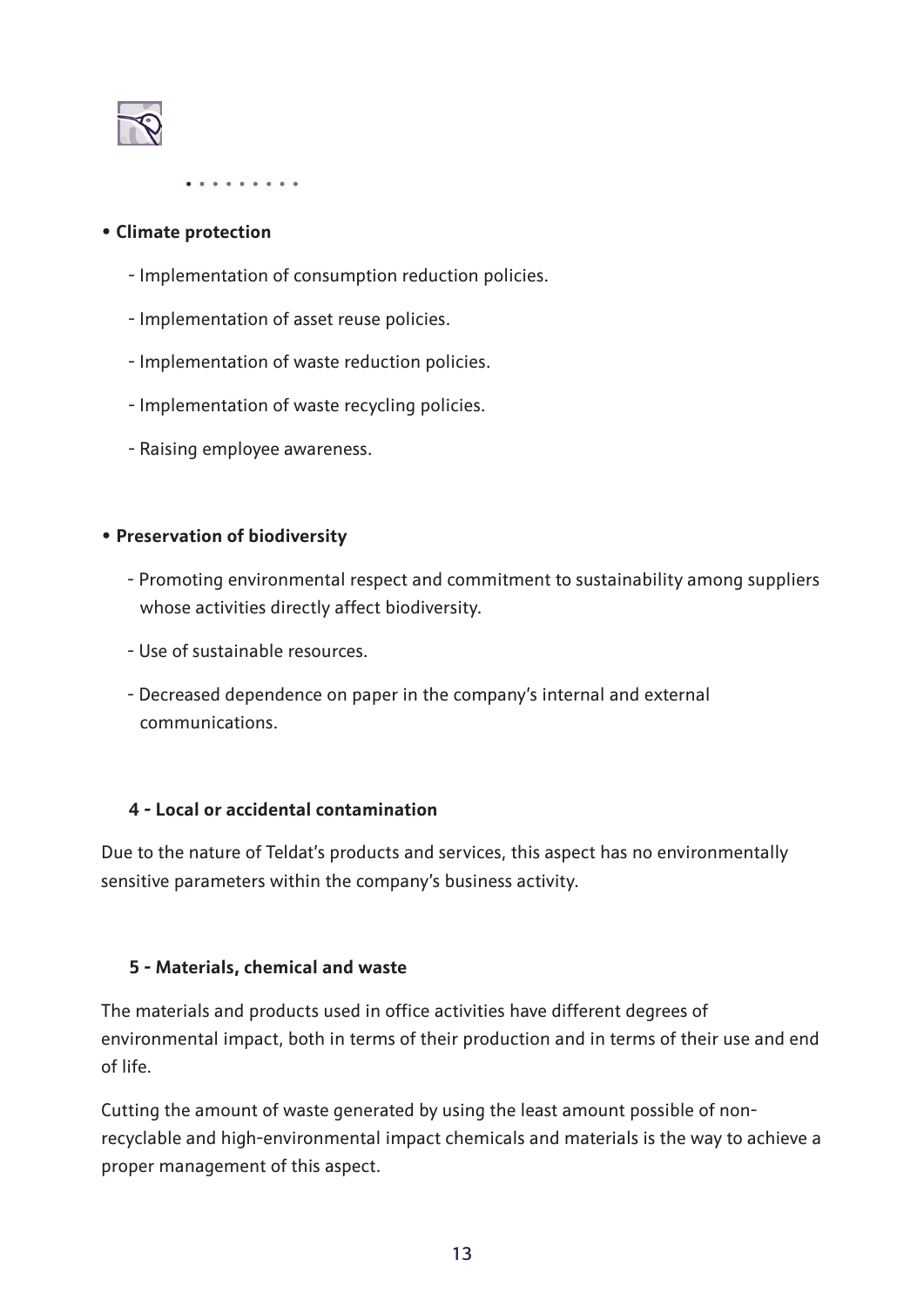

#### **• Climate protection**

- Implementation of consumption reduction policies.
- Implementation of asset reuse policies.
- Implementation of waste reduction policies.
- Implementation of waste recycling policies.
- Raising employee awareness.

#### **• Preservation of biodiversity**

- Promoting environmental respect and commitment to sustainability among suppliers whose activities directly affect biodiversity.
- Use of sustainable resources.
- Decreased dependence on paper in the company's internal and external communications.

#### **4 - Local or accidental contamination**

Due to the nature of Teldat's products and services, this aspect has no environmentally sensitive parameters within the company's business activity.

#### **5 - Materials, chemical and waste**

The materials and products used in office activities have different degrees of environmental impact, both in terms of their production and in terms of their use and end of life.

Cutting the amount of waste generated by using the least amount possible of nonrecyclable and high-environmental impact chemicals and materials is the way to achieve a proper management of this aspect.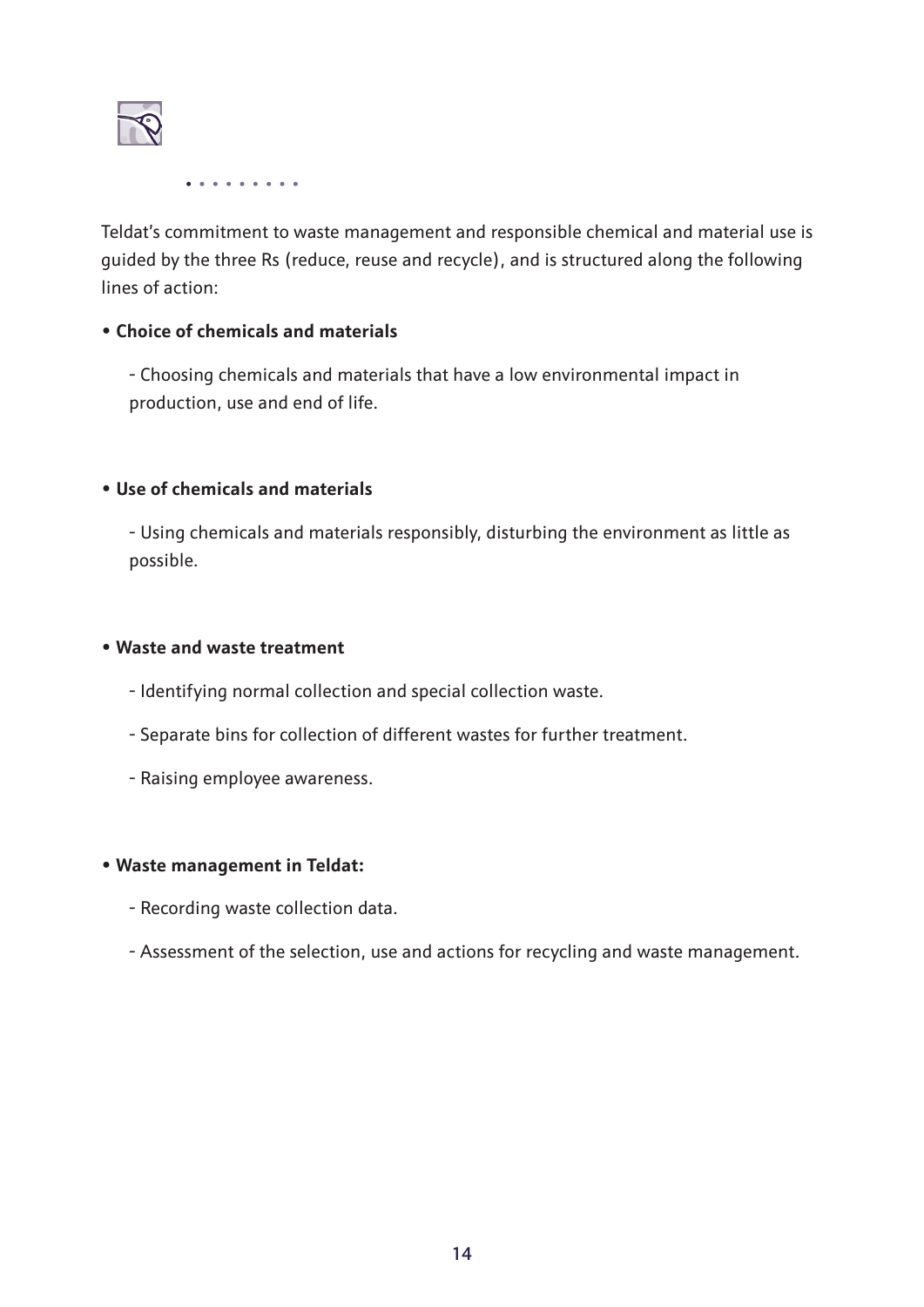

Teldat's commitment to waste management and responsible chemical and material use is guided by the three Rs (reduce, reuse and recycle), and is structured along the following lines of action:

#### **• Choice of chemicals and materials**

- Choosing chemicals and materials that have a low environmental impact in production, use and end of life.

#### **• Use of chemicals and materials**

- Using chemicals and materials responsibly, disturbing the environment as little as possible.

#### **• Waste and waste treatment**

- Identifying normal collection and special collection waste.
- Separate bins for collection of different wastes for further treatment.
- Raising employee awareness.

#### **• Waste management in Teldat:**

- Recording waste collection data.
- Assessment of the selection, use and actions for recycling and waste management.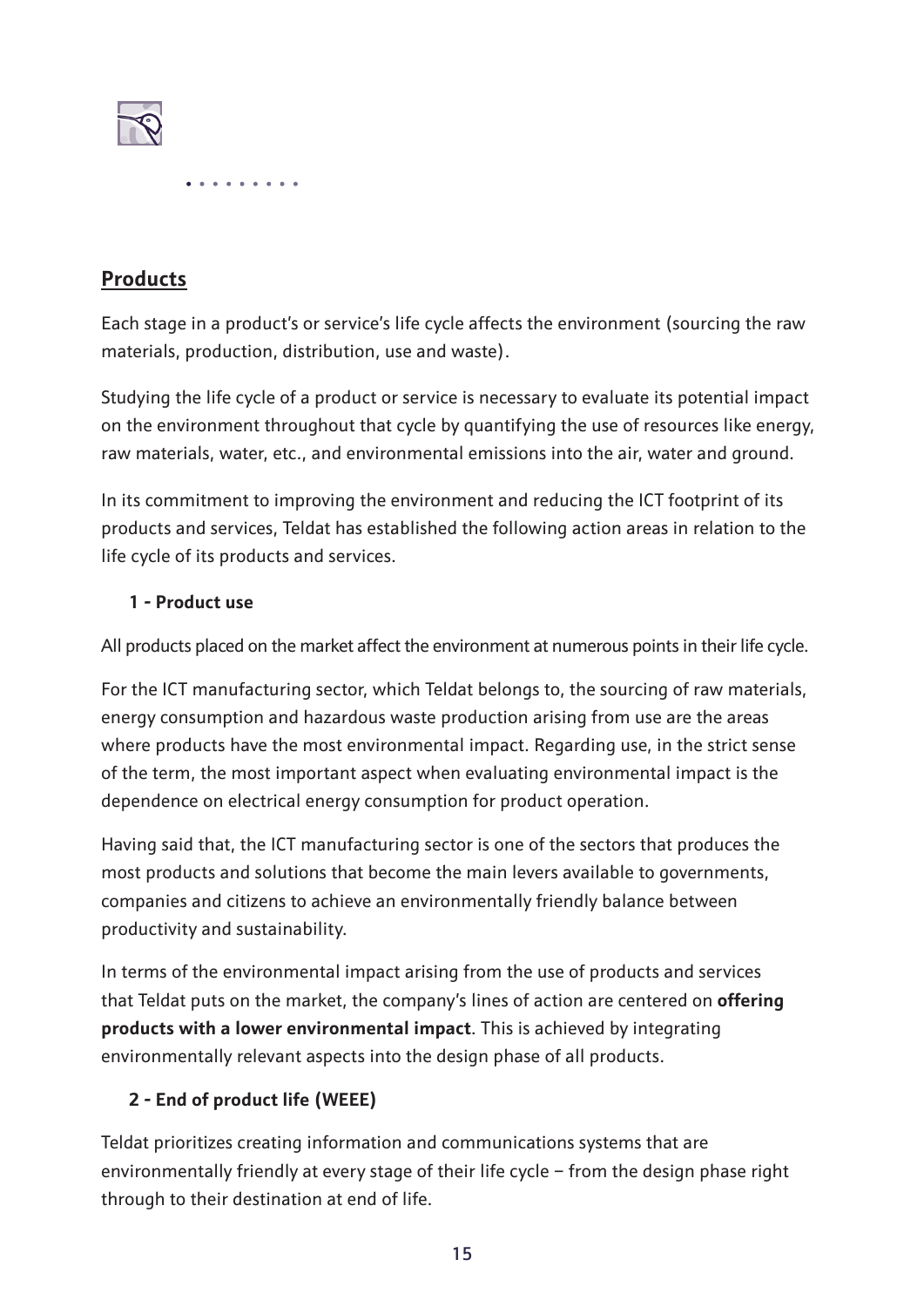

#### **Products**

Each stage in a product's or service's life cycle affects the environment (sourcing the raw materials, production, distribution, use and waste).

Studying the life cycle of a product or service is necessary to evaluate its potential impact on the environment throughout that cycle by quantifying the use of resources like energy, raw materials, water, etc., and environmental emissions into the air, water and ground.

In its commitment to improving the environment and reducing the ICT footprint of its products and services, Teldat has established the following action areas in relation to the life cycle of its products and services.

#### **1 - Product use**

All products placed on the market affect the environment at numerous points in their life cycle.

For the ICT manufacturing sector, which Teldat belongs to, the sourcing of raw materials, energy consumption and hazardous waste production arising from use are the areas where products have the most environmental impact. Regarding use, in the strict sense of the term, the most important aspect when evaluating environmental impact is the dependence on electrical energy consumption for product operation.

Having said that, the ICT manufacturing sector is one of the sectors that produces the most products and solutions that become the main levers available to governments, companies and citizens to achieve an environmentally friendly balance between productivity and sustainability.

In terms of the environmental impact arising from the use of products and services that Teldat puts on the market, the company's lines of action are centered on **offering products with a lower environmental impact**. This is achieved by integrating environmentally relevant aspects into the design phase of all products.

#### **2 - End of product life (WEEE)**

Teldat prioritizes creating information and communications systems that are environmentally friendly at every stage of their life cycle – from the design phase right through to their destination at end of life.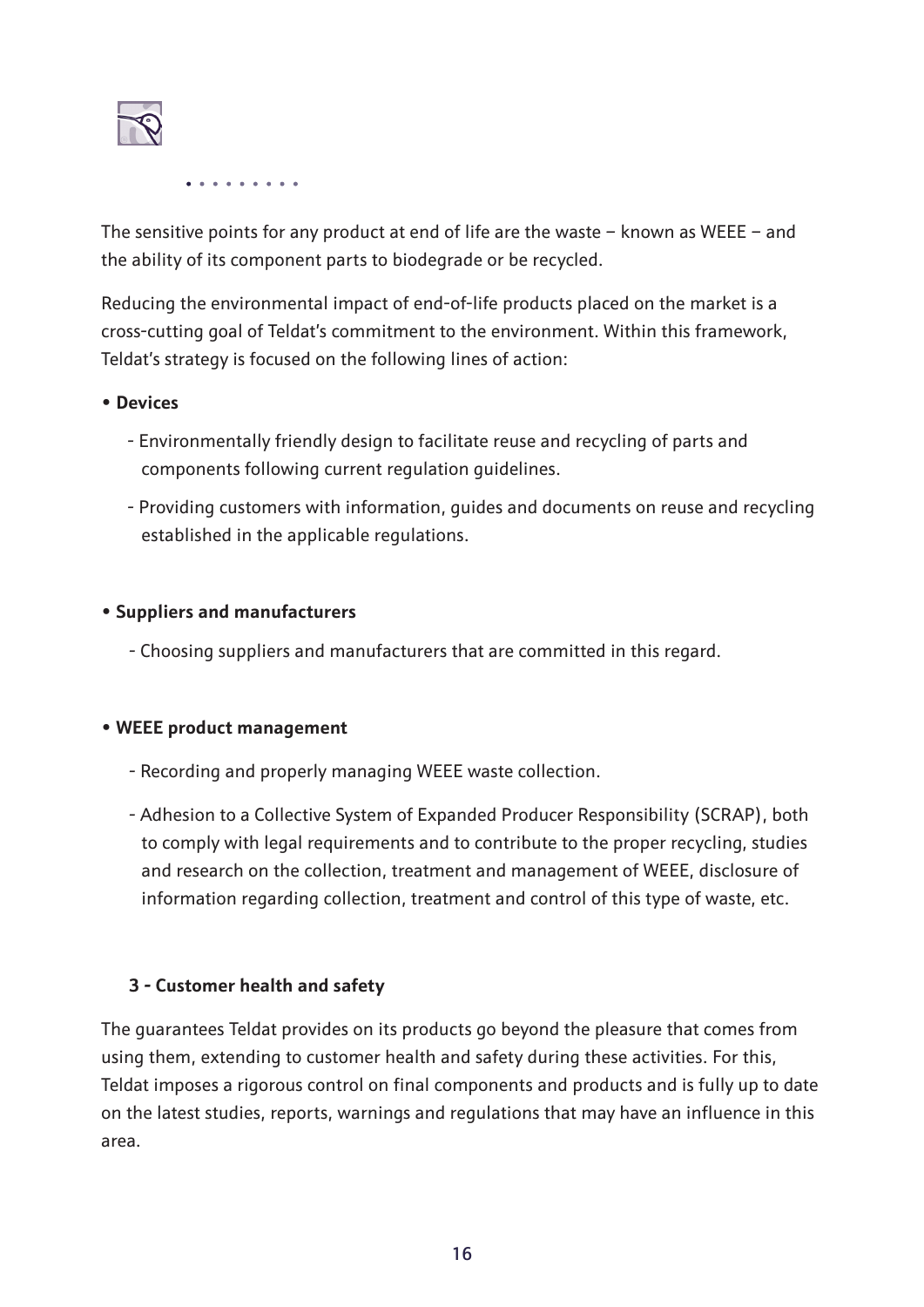

The sensitive points for any product at end of life are the waste  $-$  known as WEEE  $-$  and the ability of its component parts to biodegrade or be recycled.

Reducing the environmental impact of end-of-life products placed on the market is a cross-cutting goal of Teldat's commitment to the environment. Within this framework, Teldat's strategy is focused on the following lines of action:

#### **• Devices**

- Environmentally friendly design to facilitate reuse and recycling of parts and components following current regulation guidelines.
- Providing customers with information, guides and documents on reuse and recycling established in the applicable regulations.

#### **• Suppliers and manufacturers**

- Choosing suppliers and manufacturers that are committed in this regard.

#### **• WEEE product management**

- Recording and properly managing WEEE waste collection.
- Adhesion to a Collective System of Expanded Producer Responsibility (SCRAP), both to comply with legal requirements and to contribute to the proper recycling, studies and research on the collection, treatment and management of WEEE, disclosure of information regarding collection, treatment and control of this type of waste, etc.

#### **3 - Customer health and safety**

The guarantees Teldat provides on its products go beyond the pleasure that comes from using them, extending to customer health and safety during these activities. For this, Teldat imposes a rigorous control on final components and products and is fully up to date on the latest studies, reports, warnings and regulations that may have an influence in this area.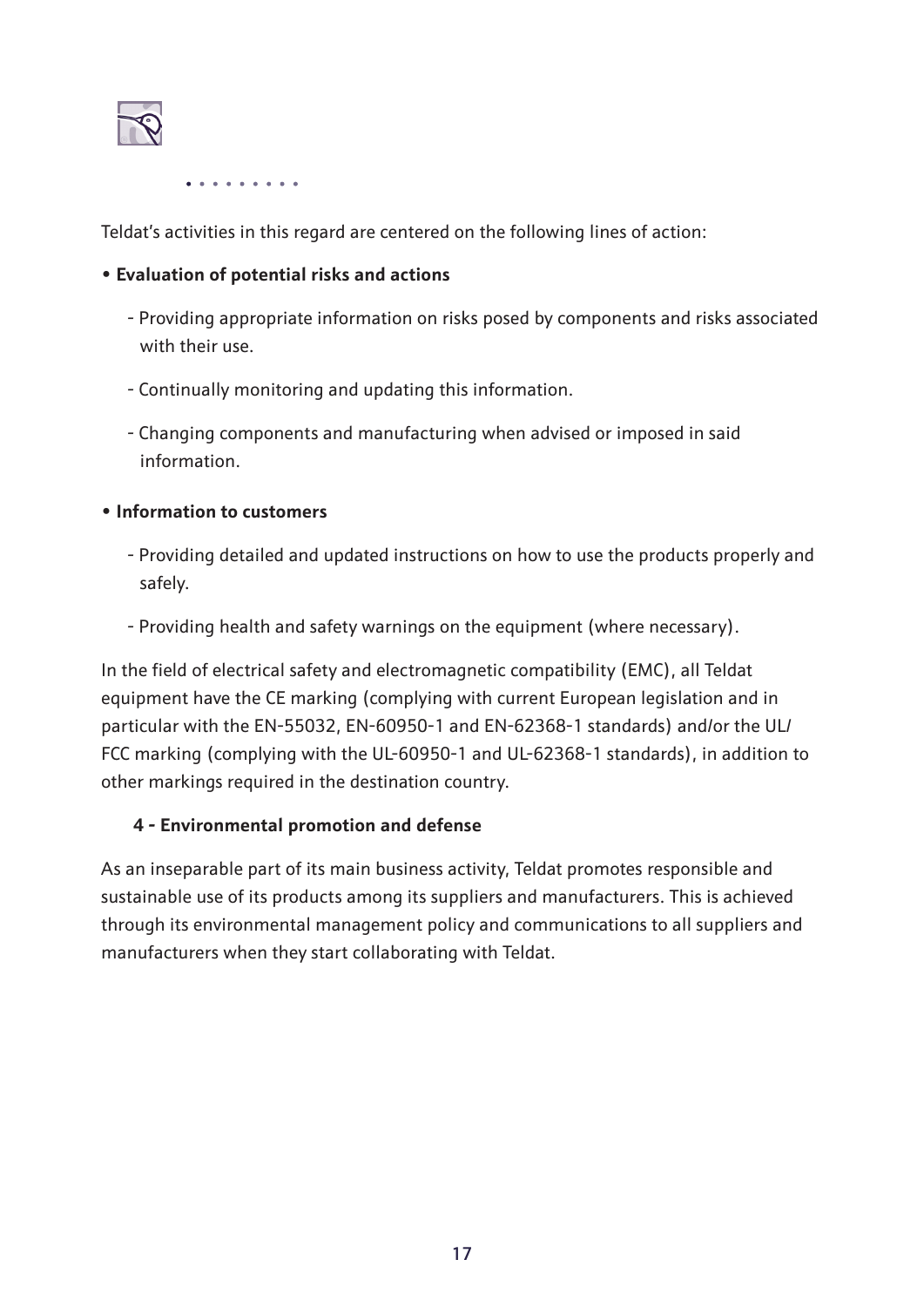

Teldat's activities in this regard are centered on the following lines of action:

#### **• Evaluation of potential risks and actions**

- Providing appropriate information on risks posed by components and risks associated with their use.
- Continually monitoring and updating this information.
- Changing components and manufacturing when advised or imposed in said information.

#### **• Information to customers**

- Providing detailed and updated instructions on how to use the products properly and safely.
- Providing health and safety warnings on the equipment (where necessary).

In the field of electrical safety and electromagnetic compatibility (EMC), all Teldat equipment have the CE marking (complying with current European legislation and in particular with the EN-55032, EN-60950-1 and EN-62368-1 standards) and/or the UL/ FCC marking (complying with the UL-60950-1 and UL-62368-1 standards), in addition to other markings required in the destination country.

#### **4 - Environmental promotion and defense**

As an inseparable part of its main business activity, Teldat promotes responsible and sustainable use of its products among its suppliers and manufacturers. This is achieved through its environmental management policy and communications to all suppliers and manufacturers when they start collaborating with Teldat.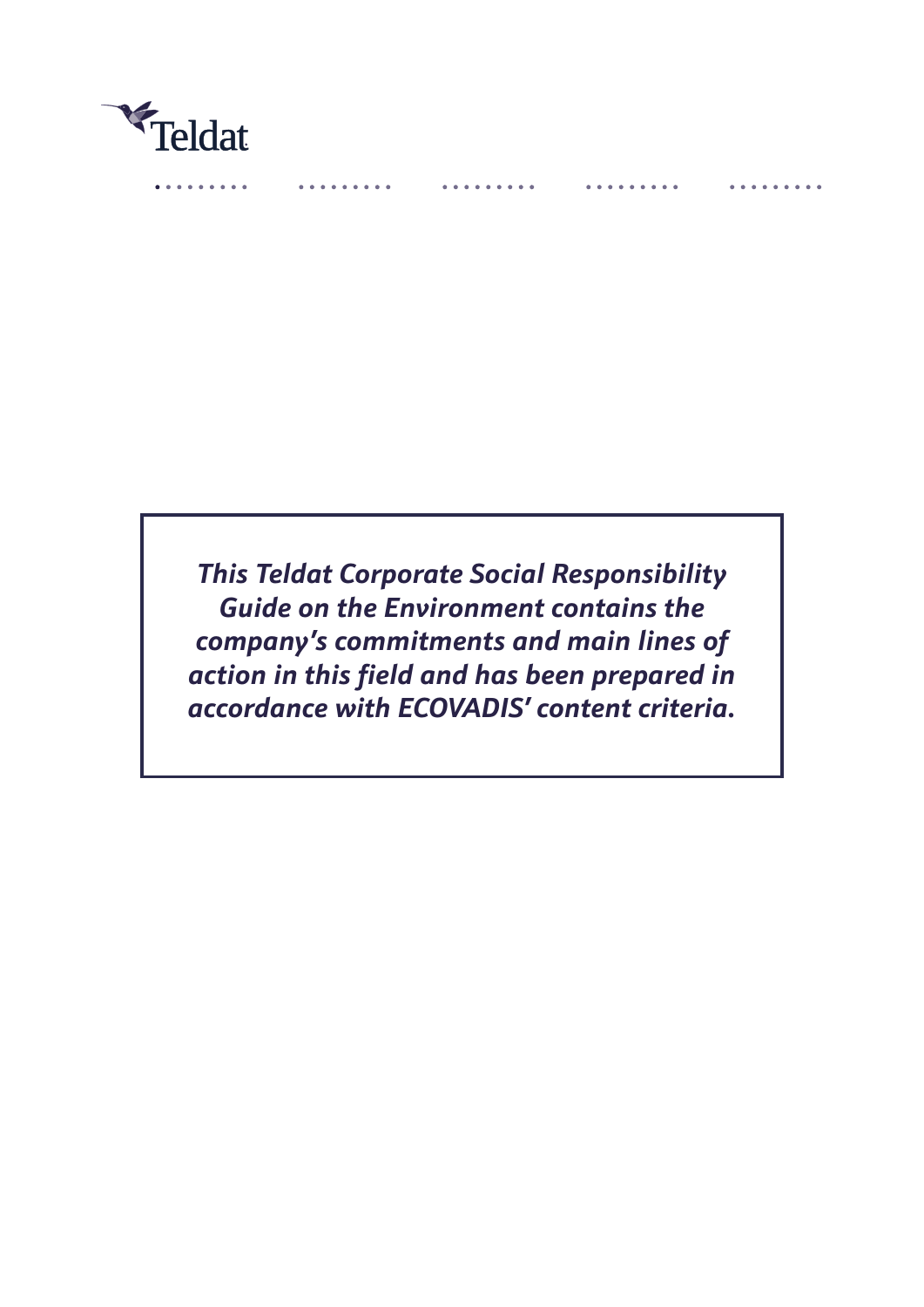

*This Teldat Corporate Social Responsibility Guide on the Environment contains the company's commitments and main lines of action in this field and has been prepared in accordance with ECOVADIS' content criteria.*

. . . . . .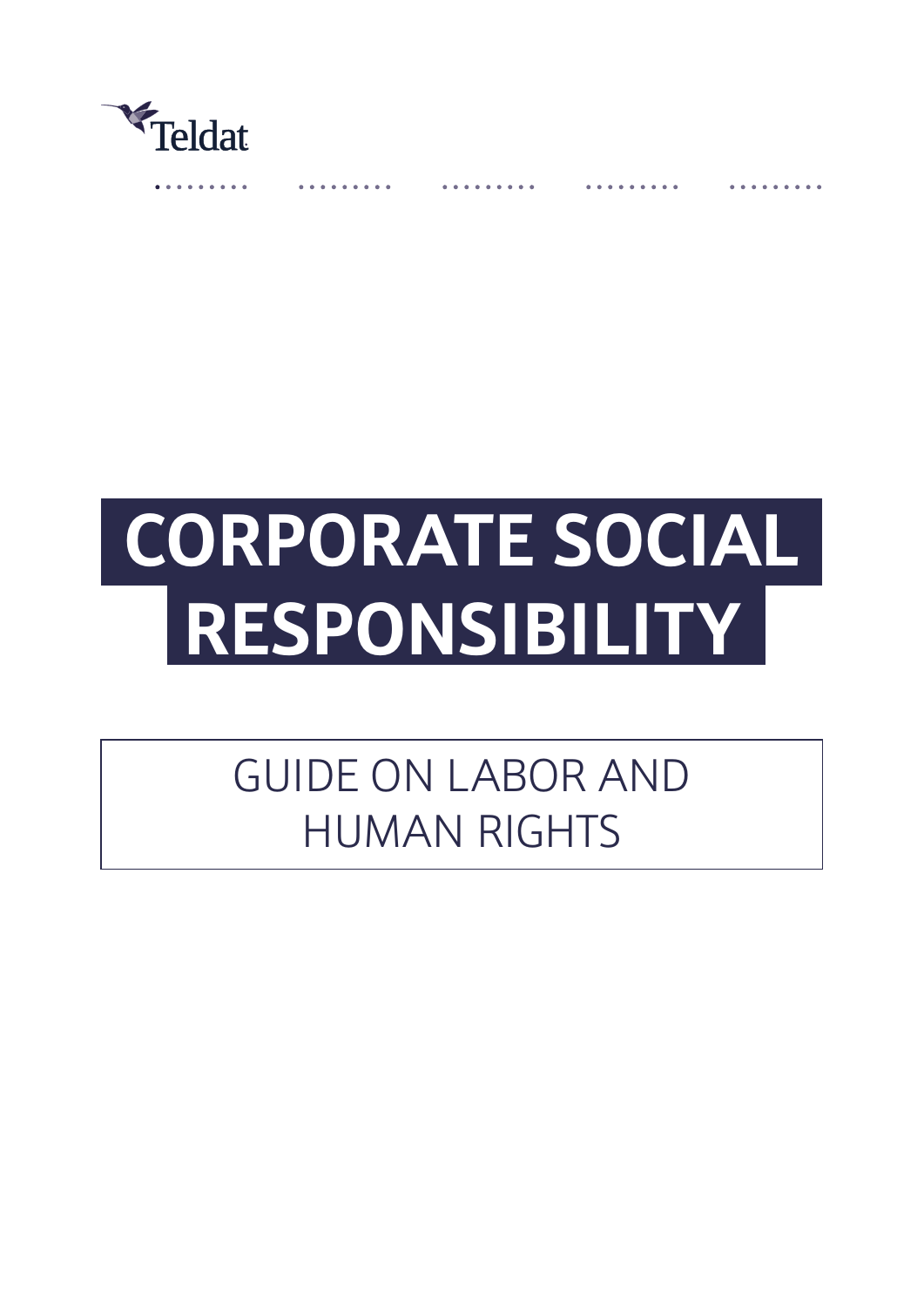

# **CORPORATE SOCIAL RESPONSIBILITY**

# GUIDE ON LABOR AND HUMAN RIGHTS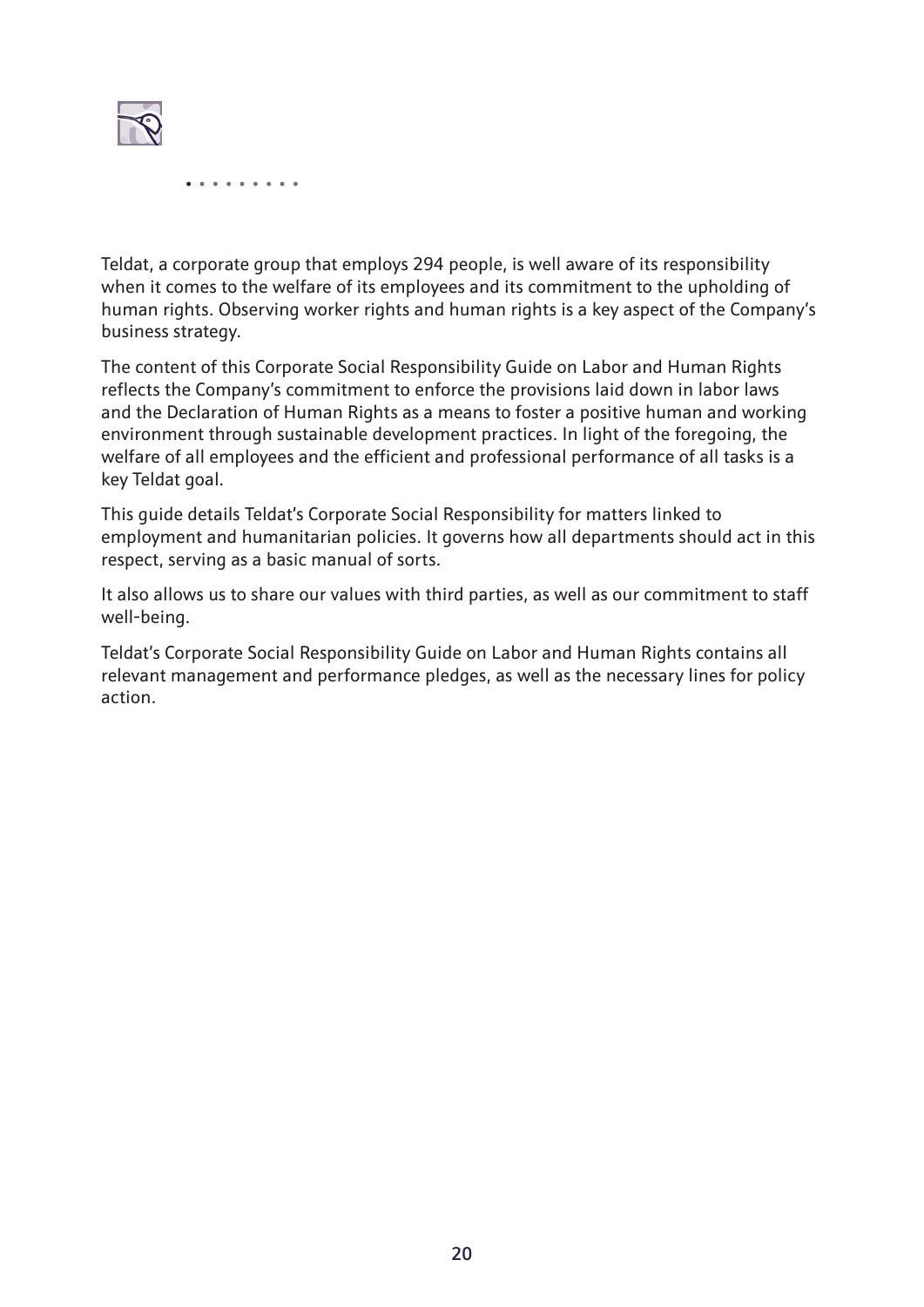

Teldat, a corporate group that employs 294 people, is well aware of its responsibility when it comes to the welfare of its employees and its commitment to the upholding of human rights. Observing worker rights and human rights is a key aspect of the Company's business strategy.

The content of this Corporate Social Responsibility Guide on Labor and Human Rights reflects the Company's commitment to enforce the provisions laid down in labor laws and the Declaration of Human Rights as a means to foster a positive human and working environment through sustainable development practices. In light of the foregoing, the welfare of all employees and the efficient and professional performance of all tasks is a key Teldat goal.

This guide details Teldat's Corporate Social Responsibility for matters linked to employment and humanitarian policies. It governs how all departments should act in this respect, serving as a basic manual of sorts.

It also allows us to share our values with third parties, as well as our commitment to staff well-being.

Teldat's Corporate Social Responsibility Guide on Labor and Human Rights contains all relevant management and performance pledges, as well as the necessary lines for policy action.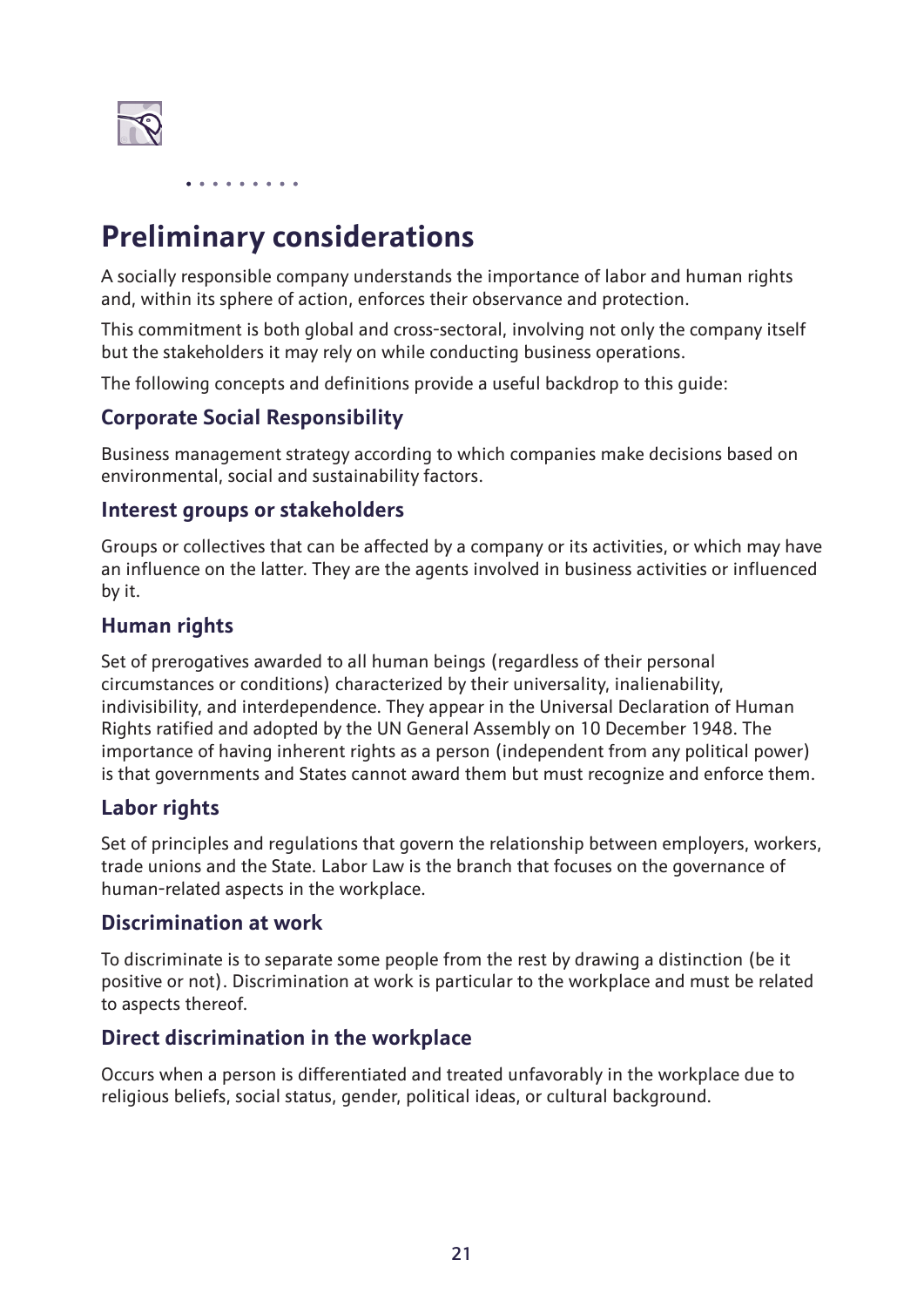

# **Preliminary considerations**

A socially responsible company understands the importance of labor and human rights and, within its sphere of action, enforces their observance and protection.

This commitment is both global and cross-sectoral, involving not only the company itself but the stakeholders it may rely on while conducting business operations.

The following concepts and definitions provide a useful backdrop to this guide:

#### **Corporate Social Responsibility**

Business management strategy according to which companies make decisions based on environmental, social and sustainability factors.

#### **Interest groups or stakeholders**

Groups or collectives that can be affected by a company or its activities, or which may have an influence on the latter. They are the agents involved in business activities or influenced by it.

#### **Human rights**

Set of prerogatives awarded to all human beings (regardless of their personal circumstances or conditions) characterized by their universality, inalienability, indivisibility, and interdependence. They appear in the Universal Declaration of Human Rights ratified and adopted by the UN General Assembly on 10 December 1948. The importance of having inherent rights as a person (independent from any political power) is that governments and States cannot award them but must recognize and enforce them.

#### **Labor rights**

Set of principles and regulations that govern the relationship between employers, workers, trade unions and the State. Labor Law is the branch that focuses on the governance of human-related aspects in the workplace.

#### **Discrimination at work**

To discriminate is to separate some people from the rest by drawing a distinction (be it positive or not). Discrimination at work is particular to the workplace and must be related to aspects thereof.

#### **Direct discrimination in the workplace**

Occurs when a person is differentiated and treated unfavorably in the workplace due to religious beliefs, social status, gender, political ideas, or cultural background.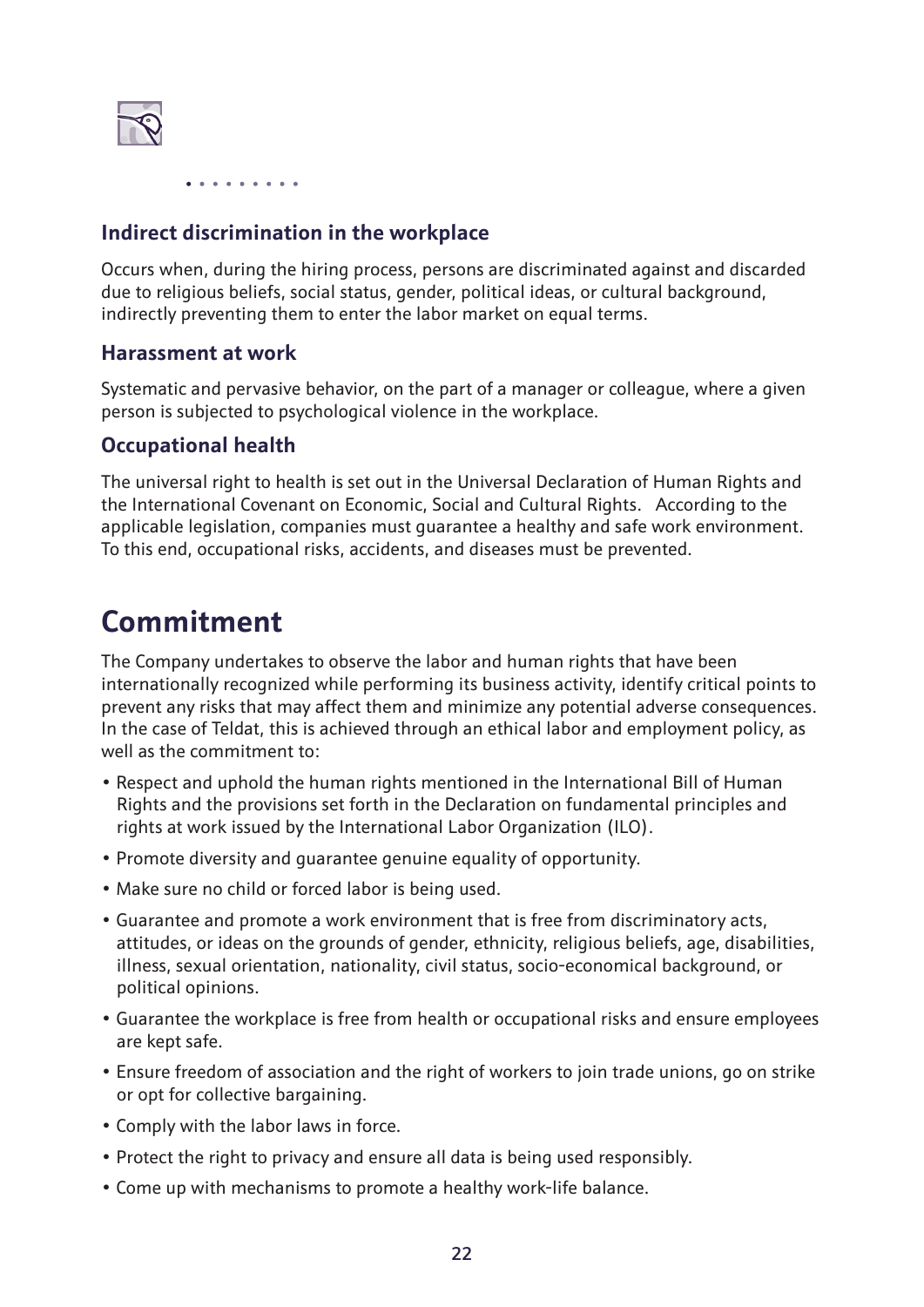

#### **Indirect discrimination in the workplace**

Occurs when, during the hiring process, persons are discriminated against and discarded due to religious beliefs, social status, gender, political ideas, or cultural background, indirectly preventing them to enter the labor market on equal terms.

#### **Harassment at work**

Systematic and pervasive behavior, on the part of a manager or colleague, where a given person is subjected to psychological violence in the workplace.

#### **Occupational health**

The universal right to health is set out in the Universal Declaration of Human Rights and the International Covenant on Economic, Social and Cultural Rights. According to the applicable legislation, companies must guarantee a healthy and safe work environment. To this end, occupational risks, accidents, and diseases must be prevented.

### **Commitment**

The Company undertakes to observe the labor and human rights that have been internationally recognized while performing its business activity, identify critical points to prevent any risks that may affect them and minimize any potential adverse consequences. In the case of Teldat, this is achieved through an ethical labor and employment policy, as well as the commitment to:

- Respect and uphold the human rights mentioned in the International Bill of Human Rights and the provisions set forth in the Declaration on fundamental principles and rights at work issued by the International Labor Organization (ILO).
- Promote diversity and guarantee genuine equality of opportunity.
- Make sure no child or forced labor is being used.
- Guarantee and promote a work environment that is free from discriminatory acts, attitudes, or ideas on the grounds of gender, ethnicity, religious beliefs, age, disabilities, illness, sexual orientation, nationality, civil status, socio-economical background, or political opinions.
- Guarantee the workplace is free from health or occupational risks and ensure employees are kept safe.
- Ensure freedom of association and the right of workers to join trade unions, go on strike or opt for collective bargaining.
- Comply with the labor laws in force.
- Protect the right to privacy and ensure all data is being used responsibly.
- Come up with mechanisms to promote a healthy work-life balance.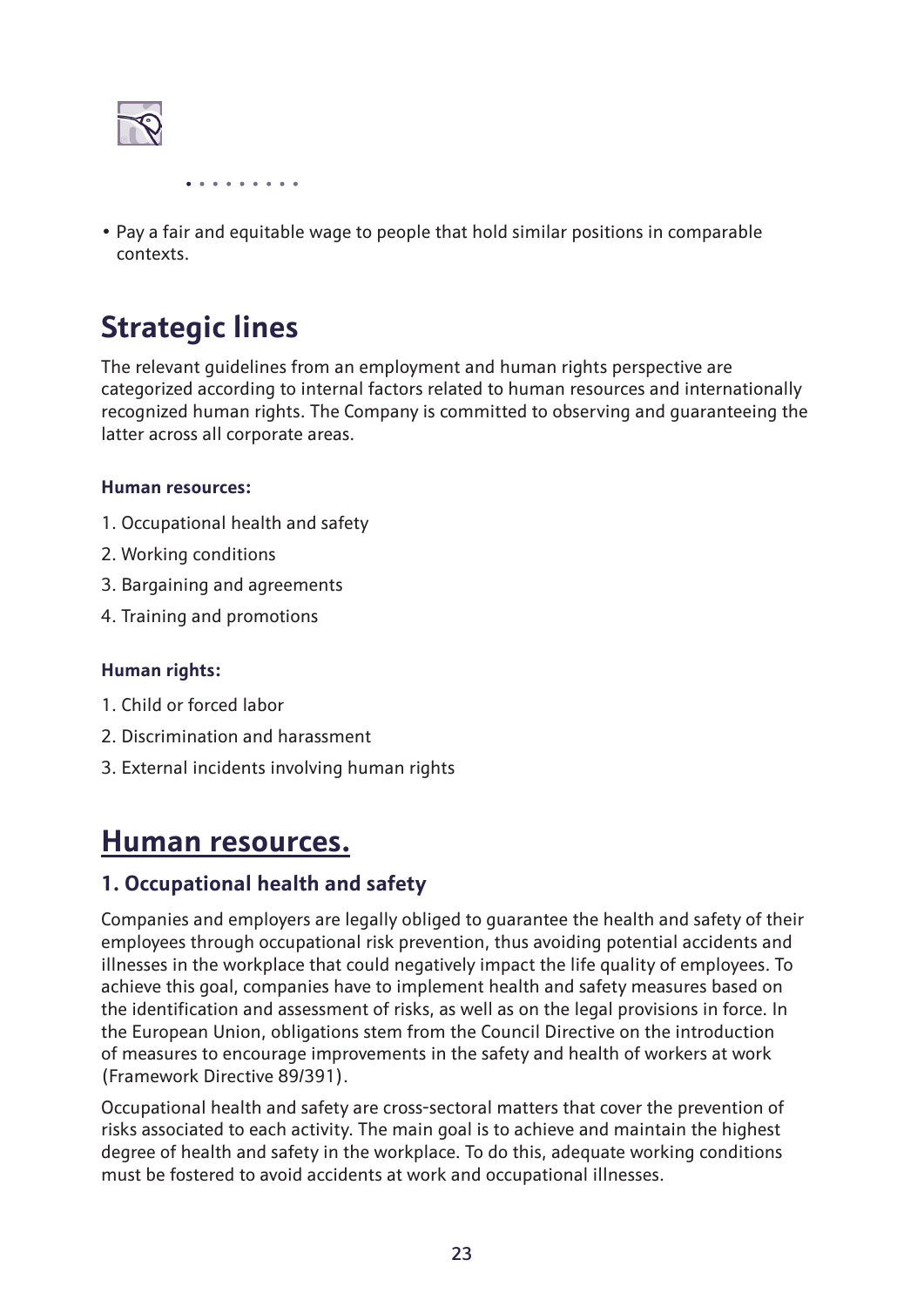

• Pay a fair and equitable wage to people that hold similar positions in comparable contexts.

# **Strategic lines**

The relevant guidelines from an employment and human rights perspective are categorized according to internal factors related to human resources and internationally recognized human rights. The Company is committed to observing and guaranteeing the latter across all corporate areas.

#### **Human resources:**

- 1. Occupational health and safety
- 2. Working conditions
- 3. Bargaining and agreements
- 4. Training and promotions

#### **Human rights:**

- 1. Child or forced labor
- 2. Discrimination and harassment
- 3. External incidents involving human rights

### **Human resources.**

#### **1. Occupational health and safety**

Companies and employers are legally obliged to guarantee the health and safety of their employees through occupational risk prevention, thus avoiding potential accidents and illnesses in the workplace that could negatively impact the life quality of employees. To achieve this goal, companies have to implement health and safety measures based on the identification and assessment of risks, as well as on the legal provisions in force. In the European Union, obligations stem from the Council Directive on the introduction of measures to encourage improvements in the safety and health of workers at work (Framework Directive 89/391).

Occupational health and safety are cross-sectoral matters that cover the prevention of risks associated to each activity. The main goal is to achieve and maintain the highest degree of health and safety in the workplace. To do this, adequate working conditions must be fostered to avoid accidents at work and occupational illnesses.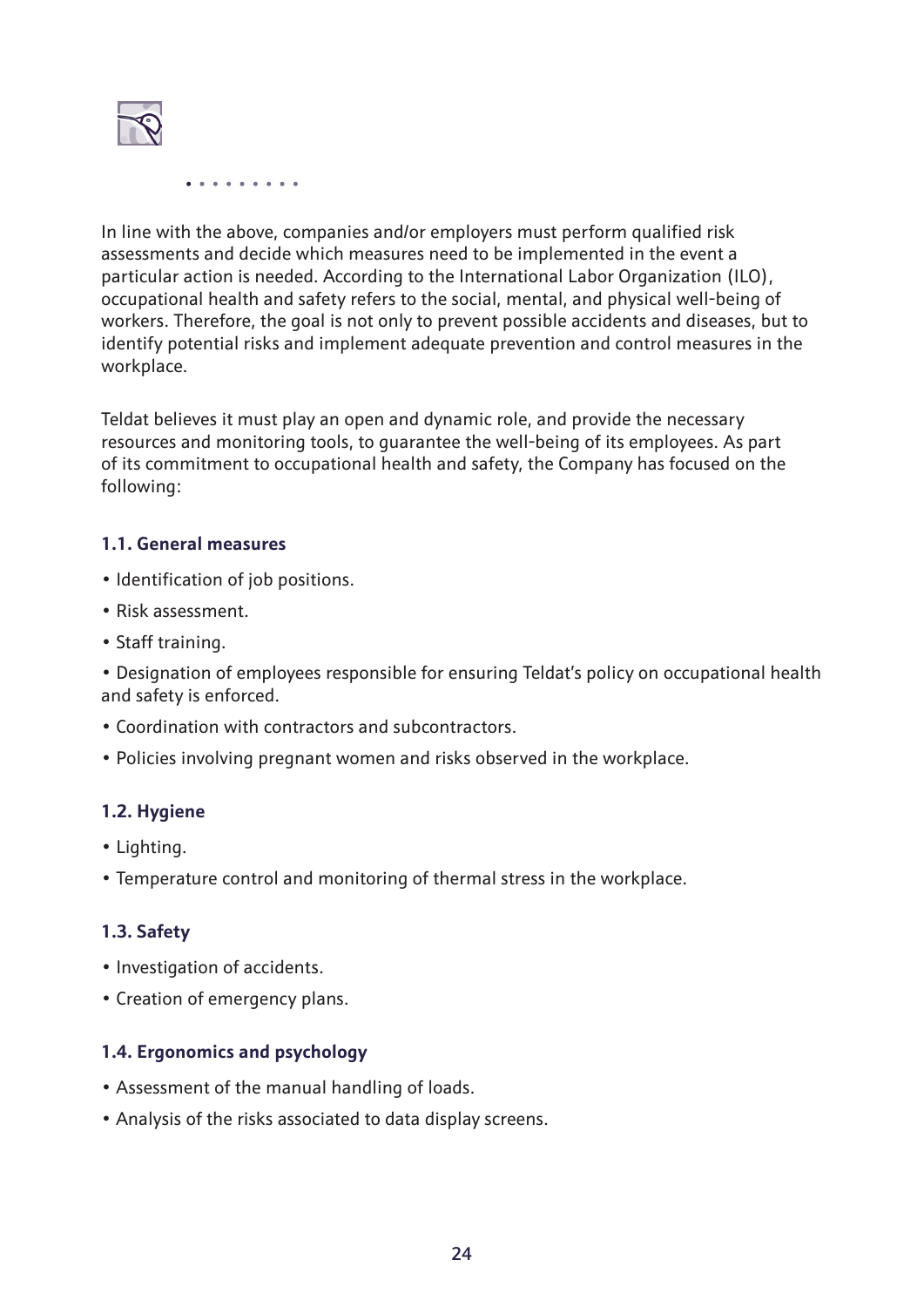

In line with the above, companies and/or employers must perform qualified risk assessments and decide which measures need to be implemented in the event a particular action is needed. According to the International Labor Organization (ILO), occupational health and safety refers to the social, mental, and physical well-being of workers. Therefore, the goal is not only to prevent possible accidents and diseases, but to identify potential risks and implement adequate prevention and control measures in the workplace.

Teldat believes it must play an open and dynamic role, and provide the necessary resources and monitoring tools, to guarantee the well-being of its employees. As part of its commitment to occupational health and safety, the Company has focused on the following:

#### **1.1. General measures**

- Identification of job positions.
- Risk assessment.
- Staff training.

• Designation of employees responsible for ensuring Teldat's policy on occupational health and safety is enforced.

- Coordination with contractors and subcontractors.
- Policies involving pregnant women and risks observed in the workplace.

#### **1.2. Hygiene**

- Lighting.
- Temperature control and monitoring of thermal stress in the workplace.

#### **1.3. Safety**

- Investigation of accidents.
- Creation of emergency plans.

#### **1.4. Ergonomics and psychology**

- Assessment of the manual handling of loads.
- Analysis of the risks associated to data display screens.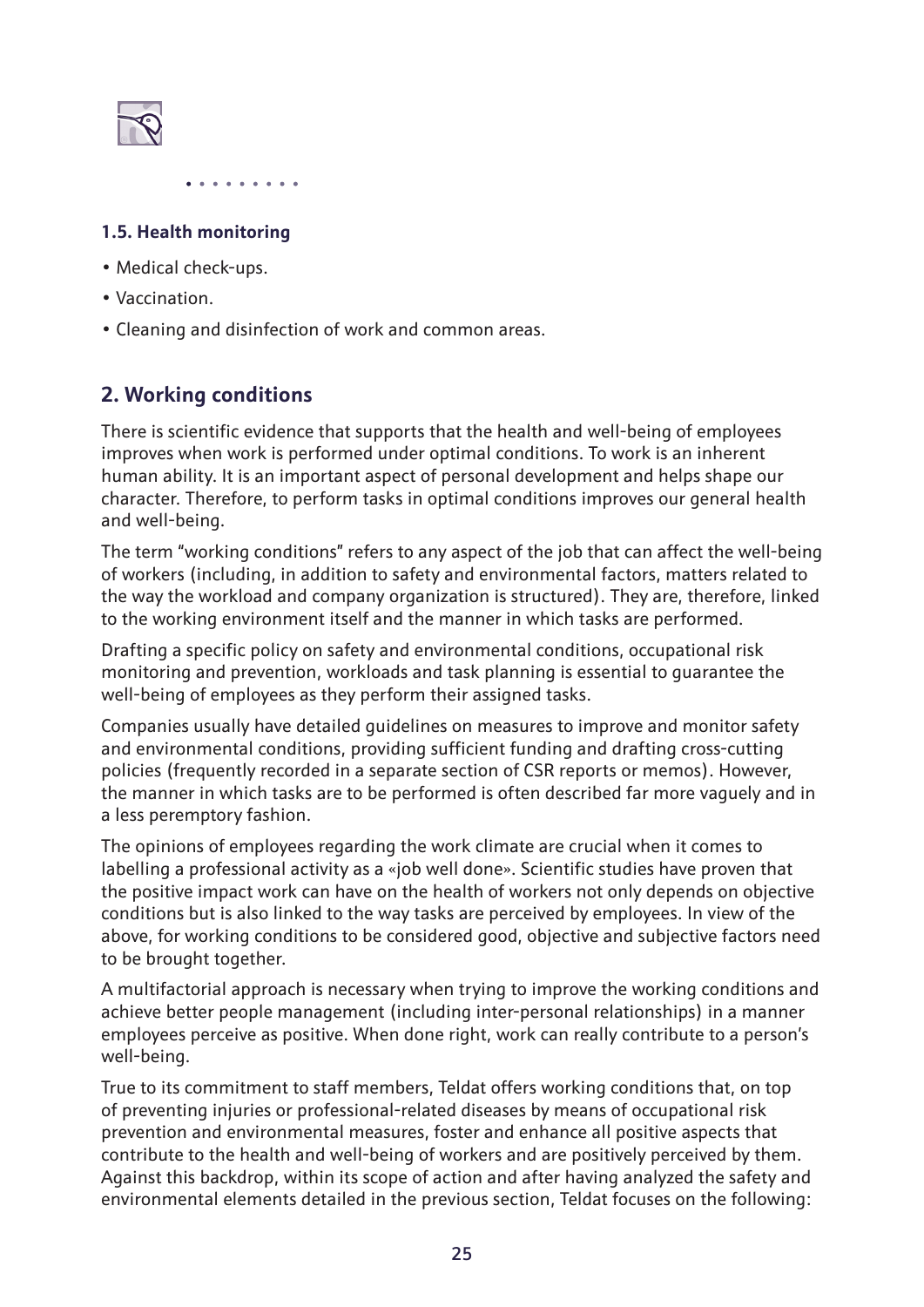

#### **1.5. Health monitoring**

- Medical check-ups.
- Vaccination.
- Cleaning and disinfection of work and common areas.

#### **2. Working conditions**

There is scientific evidence that supports that the health and well-being of employees improves when work is performed under optimal conditions. To work is an inherent human ability. It is an important aspect of personal development and helps shape our character. Therefore, to perform tasks in optimal conditions improves our general health and well-being.

The term "working conditions" refers to any aspect of the job that can affect the well-being of workers (including, in addition to safety and environmental factors, matters related to the way the workload and company organization is structured). They are, therefore, linked to the working environment itself and the manner in which tasks are performed.

Drafting a specific policy on safety and environmental conditions, occupational risk monitoring and prevention, workloads and task planning is essential to guarantee the well-being of employees as they perform their assigned tasks.

Companies usually have detailed guidelines on measures to improve and monitor safety and environmental conditions, providing sufficient funding and drafting cross-cutting policies (frequently recorded in a separate section of CSR reports or memos). However, the manner in which tasks are to be performed is often described far more vaguely and in a less peremptory fashion.

The opinions of employees regarding the work climate are crucial when it comes to labelling a professional activity as a «job well done». Scientific studies have proven that the positive impact work can have on the health of workers not only depends on objective conditions but is also linked to the way tasks are perceived by employees. In view of the above, for working conditions to be considered good, objective and subjective factors need to be brought together.

A multifactorial approach is necessary when trying to improve the working conditions and achieve better people management (including inter-personal relationships) in a manner employees perceive as positive. When done right, work can really contribute to a person's well-being.

True to its commitment to staff members, Teldat offers working conditions that, on top of preventing injuries or professional-related diseases by means of occupational risk prevention and environmental measures, foster and enhance all positive aspects that contribute to the health and well-being of workers and are positively perceived by them. Against this backdrop, within its scope of action and after having analyzed the safety and environmental elements detailed in the previous section, Teldat focuses on the following: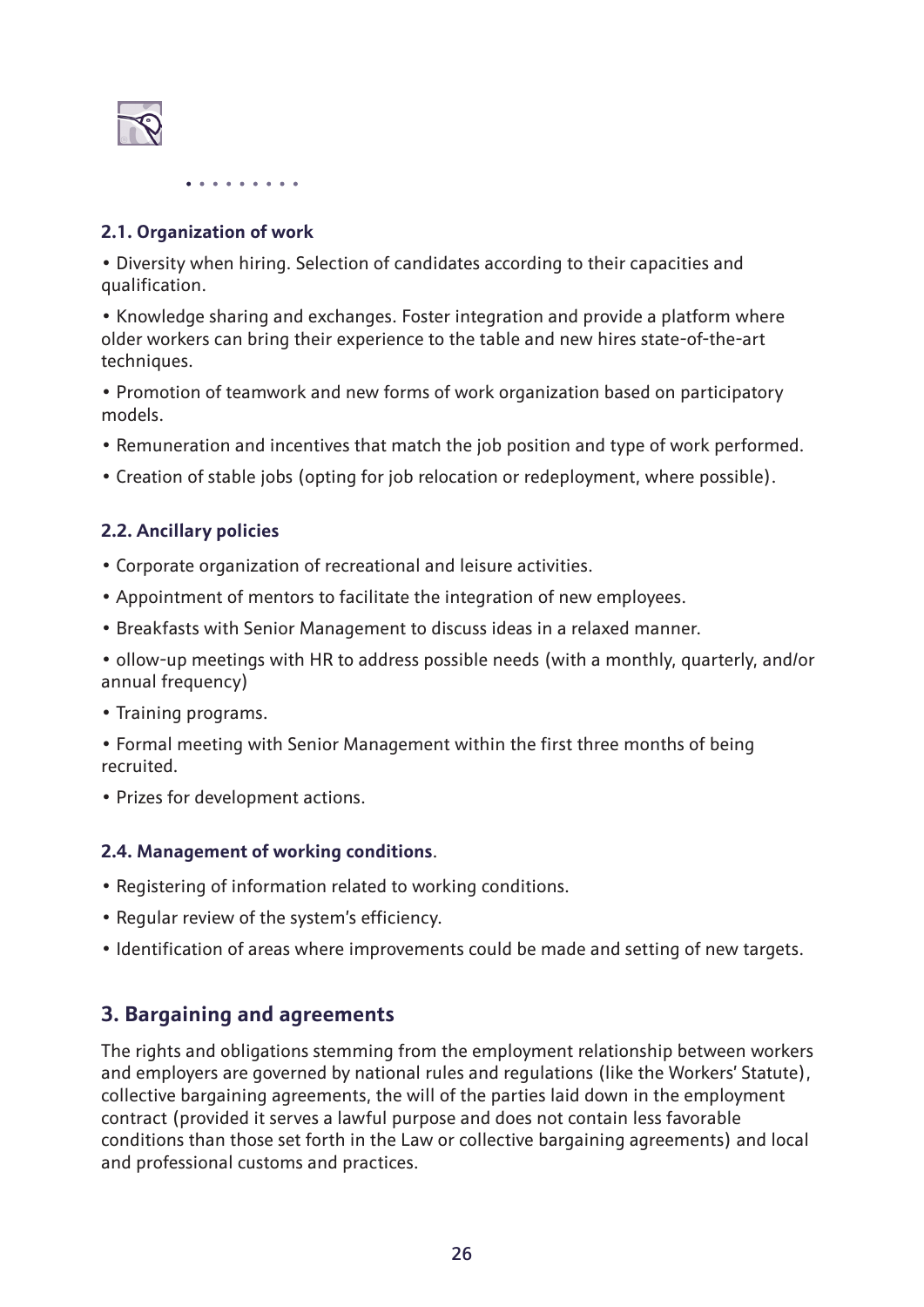

#### **2.1. Organization of work**

• Diversity when hiring. Selection of candidates according to their capacities and qualification.

• Knowledge sharing and exchanges. Foster integration and provide a platform where older workers can bring their experience to the table and new hires state-of-the-art techniques.

• Promotion of teamwork and new forms of work organization based on participatory models.

- Remuneration and incentives that match the job position and type of work performed.
- Creation of stable jobs (opting for job relocation or redeployment, where possible).

#### **2.2. Ancillary policies**

- Corporate organization of recreational and leisure activities.
- Appointment of mentors to facilitate the integration of new employees.
- Breakfasts with Senior Management to discuss ideas in a relaxed manner.

• ollow-up meetings with HR to address possible needs (with a monthly, quarterly, and/or annual frequency)

• Training programs.

• Formal meeting with Senior Management within the first three months of being recruited.

• Prizes for development actions.

#### **2.4. Management of working conditions**.

- Registering of information related to working conditions.
- Regular review of the system's efficiency.
- Identification of areas where improvements could be made and setting of new targets.

#### **3. Bargaining and agreements**

The rights and obligations stemming from the employment relationship between workers and employers are governed by national rules and regulations (like the Workers' Statute), collective bargaining agreements, the will of the parties laid down in the employment contract (provided it serves a lawful purpose and does not contain less favorable conditions than those set forth in the Law or collective bargaining agreements) and local and professional customs and practices.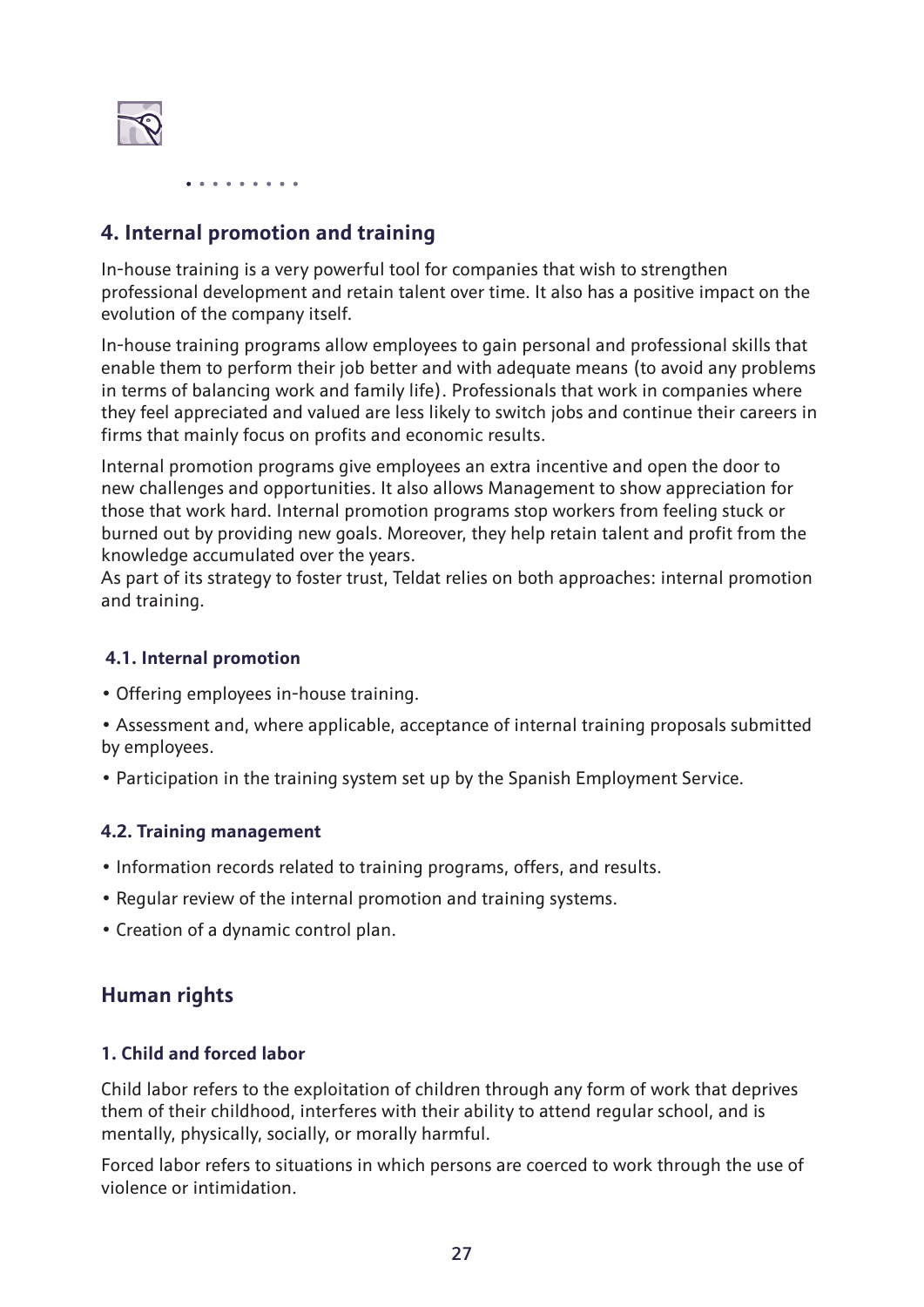

#### **4. Internal promotion and training**

In-house training is a very powerful tool for companies that wish to strengthen professional development and retain talent over time. It also has a positive impact on the evolution of the company itself.

In-house training programs allow employees to gain personal and professional skills that enable them to perform their job better and with adequate means (to avoid any problems in terms of balancing work and family life). Professionals that work in companies where they feel appreciated and valued are less likely to switch jobs and continue their careers in firms that mainly focus on profits and economic results.

Internal promotion programs give employees an extra incentive and open the door to new challenges and opportunities. It also allows Management to show appreciation for those that work hard. Internal promotion programs stop workers from feeling stuck or burned out by providing new goals. Moreover, they help retain talent and profit from the knowledge accumulated over the years.

As part of its strategy to foster trust, Teldat relies on both approaches: internal promotion and training.

#### **4.1. Internal promotion**

- Offering employees in-house training.
- Assessment and, where applicable, acceptance of internal training proposals submitted by employees.
- Participation in the training system set up by the Spanish Employment Service.

#### **4.2. Training management**

- Information records related to training programs, offers, and results.
- Regular review of the internal promotion and training systems.
- Creation of a dynamic control plan.

#### **Human rights**

#### **1. Child and forced labor**

Child labor refers to the exploitation of children through any form of work that deprives them of their childhood, interferes with their ability to attend regular school, and is mentally, physically, socially, or morally harmful.

Forced labor refers to situations in which persons are coerced to work through the use of violence or intimidation.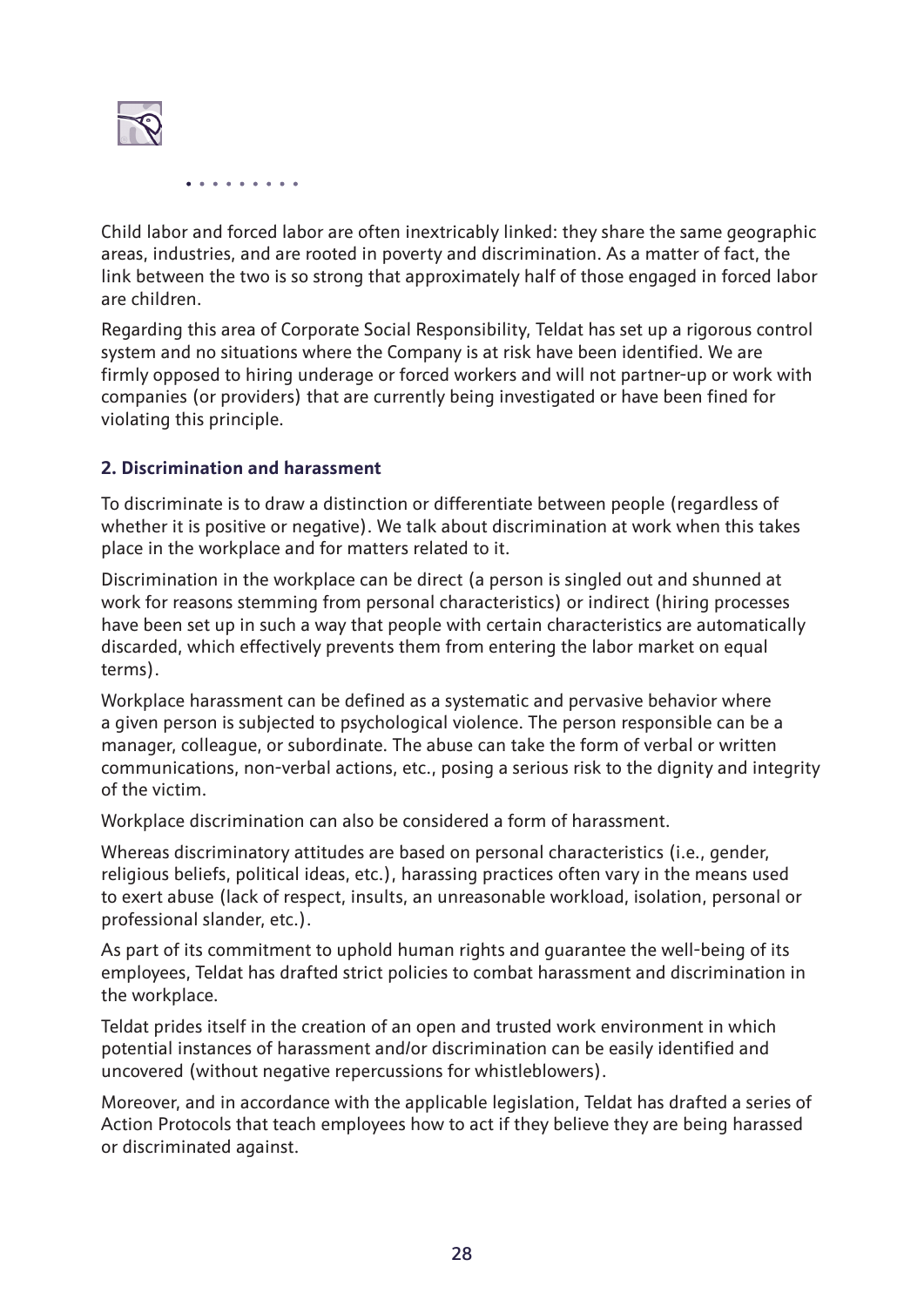

Child labor and forced labor are often inextricably linked: they share the same geographic areas, industries, and are rooted in poverty and discrimination. As a matter of fact, the link between the two is so strong that approximately half of those engaged in forced labor are children.

Regarding this area of Corporate Social Responsibility, Teldat has set up a rigorous control system and no situations where the Company is at risk have been identified. We are firmly opposed to hiring underage or forced workers and will not partner-up or work with companies (or providers) that are currently being investigated or have been fined for violating this principle.

#### **2. Discrimination and harassment**

To discriminate is to draw a distinction or differentiate between people (regardless of whether it is positive or negative). We talk about discrimination at work when this takes place in the workplace and for matters related to it.

Discrimination in the workplace can be direct (a person is singled out and shunned at work for reasons stemming from personal characteristics) or indirect (hiring processes have been set up in such a way that people with certain characteristics are automatically discarded, which effectively prevents them from entering the labor market on equal terms).

Workplace harassment can be defined as a systematic and pervasive behavior where a given person is subjected to psychological violence. The person responsible can be a manager, colleague, or subordinate. The abuse can take the form of verbal or written communications, non-verbal actions, etc., posing a serious risk to the dignity and integrity of the victim.

Workplace discrimination can also be considered a form of harassment.

Whereas discriminatory attitudes are based on personal characteristics (i.e., gender, religious beliefs, political ideas, etc.), harassing practices often vary in the means used to exert abuse (lack of respect, insults, an unreasonable workload, isolation, personal or professional slander, etc.).

As part of its commitment to uphold human rights and guarantee the well-being of its employees, Teldat has drafted strict policies to combat harassment and discrimination in the workplace.

Teldat prides itself in the creation of an open and trusted work environment in which potential instances of harassment and/or discrimination can be easily identified and uncovered (without negative repercussions for whistleblowers).

Moreover, and in accordance with the applicable legislation, Teldat has drafted a series of Action Protocols that teach employees how to act if they believe they are being harassed or discriminated against.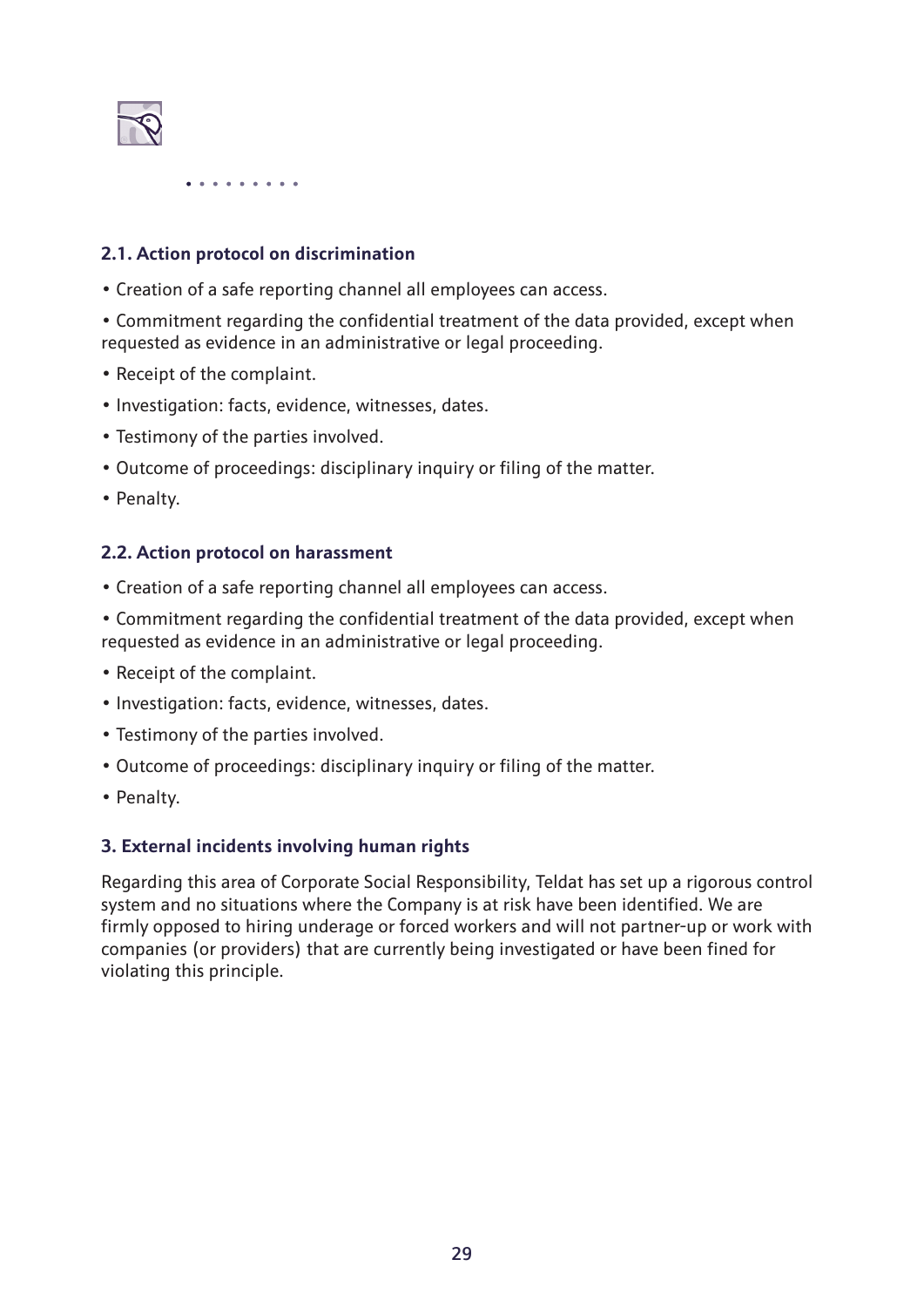

#### **2.1. Action protocol on discrimination**

• Creation of a safe reporting channel all employees can access.

• Commitment regarding the confidential treatment of the data provided, except when requested as evidence in an administrative or legal proceeding.

- Receipt of the complaint.
- Investigation: facts, evidence, witnesses, dates.
- Testimony of the parties involved.
- Outcome of proceedings: disciplinary inquiry or filing of the matter.
- Penalty.

#### **2.2. Action protocol on harassment**

- Creation of a safe reporting channel all employees can access.
- Commitment regarding the confidential treatment of the data provided, except when requested as evidence in an administrative or legal proceeding.
- Receipt of the complaint.
- Investigation: facts, evidence, witnesses, dates.
- Testimony of the parties involved.
- Outcome of proceedings: disciplinary inquiry or filing of the matter.
- Penalty.

#### **3. External incidents involving human rights**

Regarding this area of Corporate Social Responsibility, Teldat has set up a rigorous control system and no situations where the Company is at risk have been identified. We are firmly opposed to hiring underage or forced workers and will not partner-up or work with companies (or providers) that are currently being investigated or have been fined for violating this principle.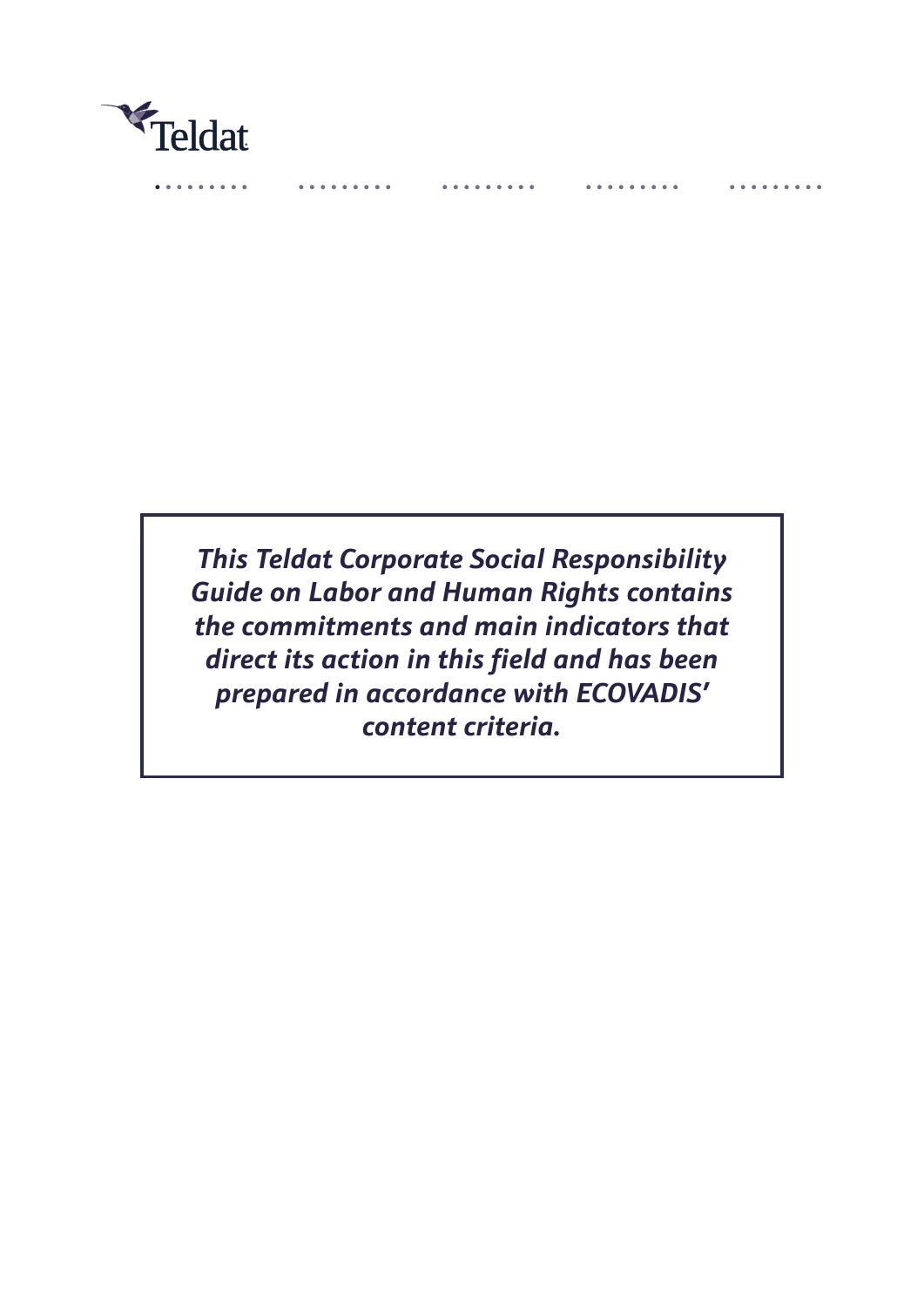

. . . . . . .

*This Teldat Corporate Social Responsibility Guide on Labor and Human Rights contains the commitments and main indicators that direct its action in this field and has been prepared in accordance with ECOVADIS' content criteria.*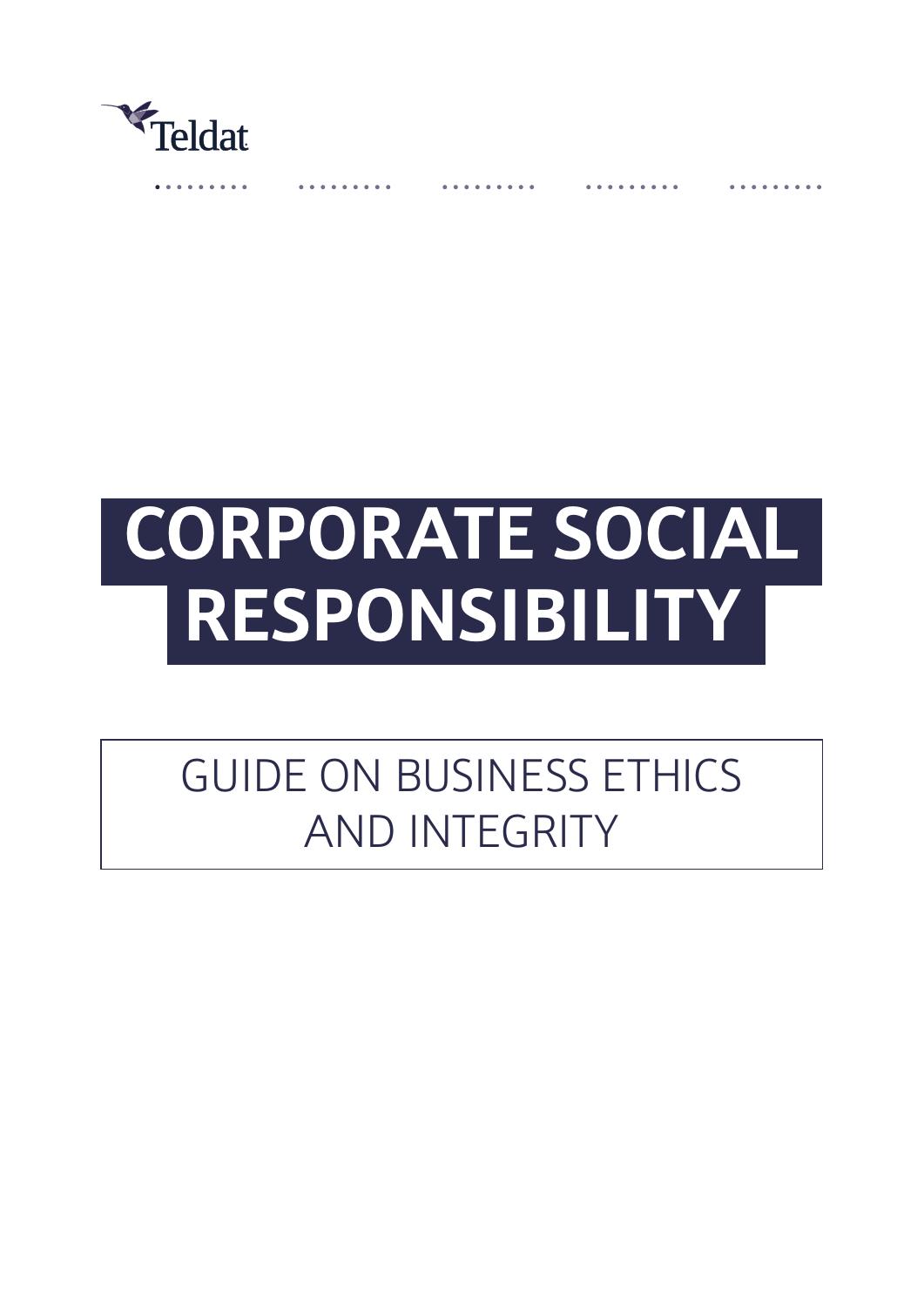

# **CORPORATE SOCIAL RESPONSIBILITY**

# GUIDE ON BUSINESS ETHICS AND INTEGRITY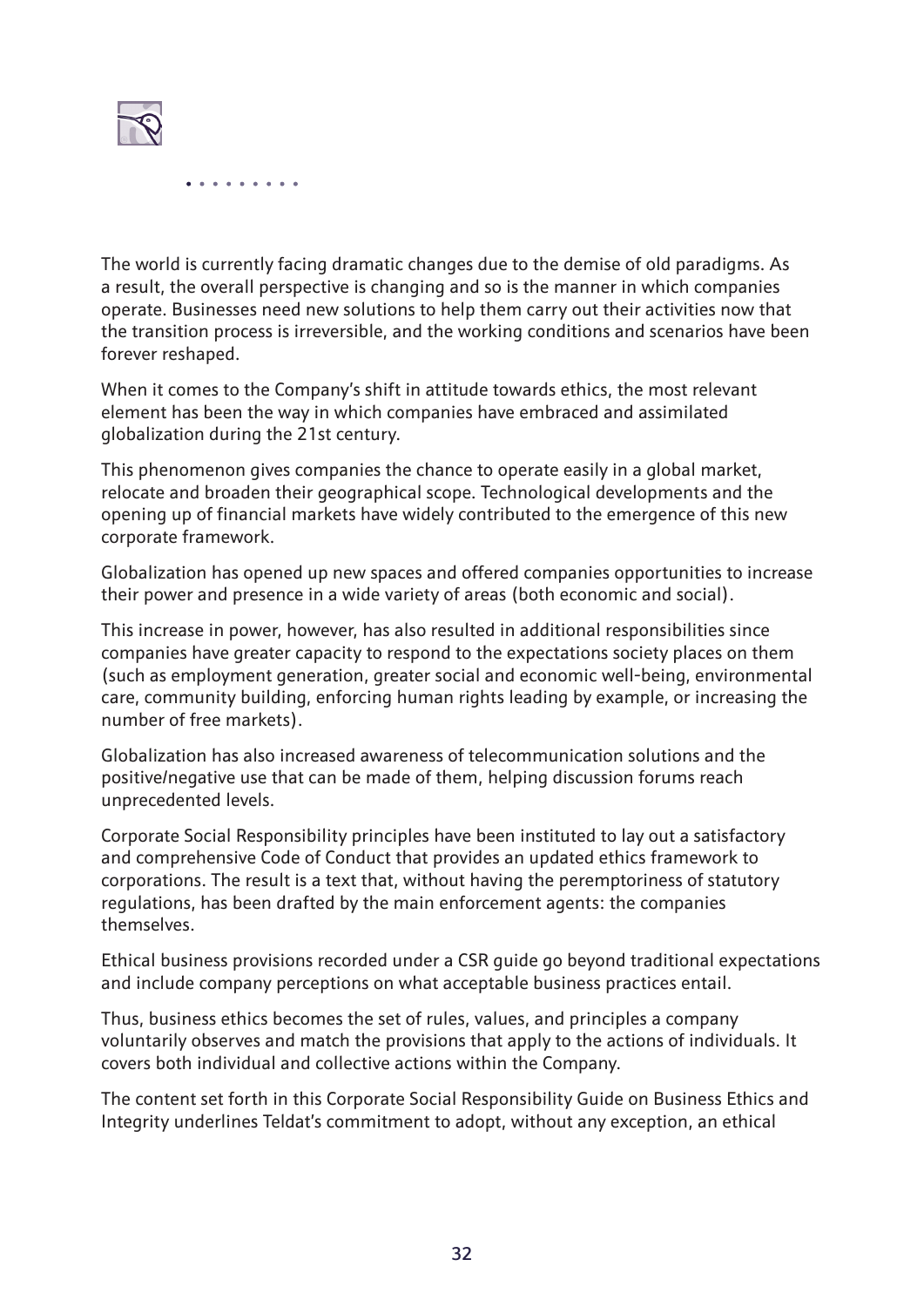

The world is currently facing dramatic changes due to the demise of old paradigms. As a result, the overall perspective is changing and so is the manner in which companies operate. Businesses need new solutions to help them carry out their activities now that the transition process is irreversible, and the working conditions and scenarios have been forever reshaped.

When it comes to the Company's shift in attitude towards ethics, the most relevant element has been the way in which companies have embraced and assimilated globalization during the 21st century.

This phenomenon gives companies the chance to operate easily in a global market, relocate and broaden their geographical scope. Technological developments and the opening up of financial markets have widely contributed to the emergence of this new corporate framework.

Globalization has opened up new spaces and offered companies opportunities to increase their power and presence in a wide variety of areas (both economic and social).

This increase in power, however, has also resulted in additional responsibilities since companies have greater capacity to respond to the expectations society places on them (such as employment generation, greater social and economic well-being, environmental care, community building, enforcing human rights leading by example, or increasing the number of free markets).

Globalization has also increased awareness of telecommunication solutions and the positive/negative use that can be made of them, helping discussion forums reach unprecedented levels.

Corporate Social Responsibility principles have been instituted to lay out a satisfactory and comprehensive Code of Conduct that provides an updated ethics framework to corporations. The result is a text that, without having the peremptoriness of statutory regulations, has been drafted by the main enforcement agents: the companies themselves.

Ethical business provisions recorded under a CSR guide go beyond traditional expectations and include company perceptions on what acceptable business practices entail.

Thus, business ethics becomes the set of rules, values, and principles a company voluntarily observes and match the provisions that apply to the actions of individuals. It covers both individual and collective actions within the Company.

The content set forth in this Corporate Social Responsibility Guide on Business Ethics and Integrity underlines Teldat's commitment to adopt, without any exception, an ethical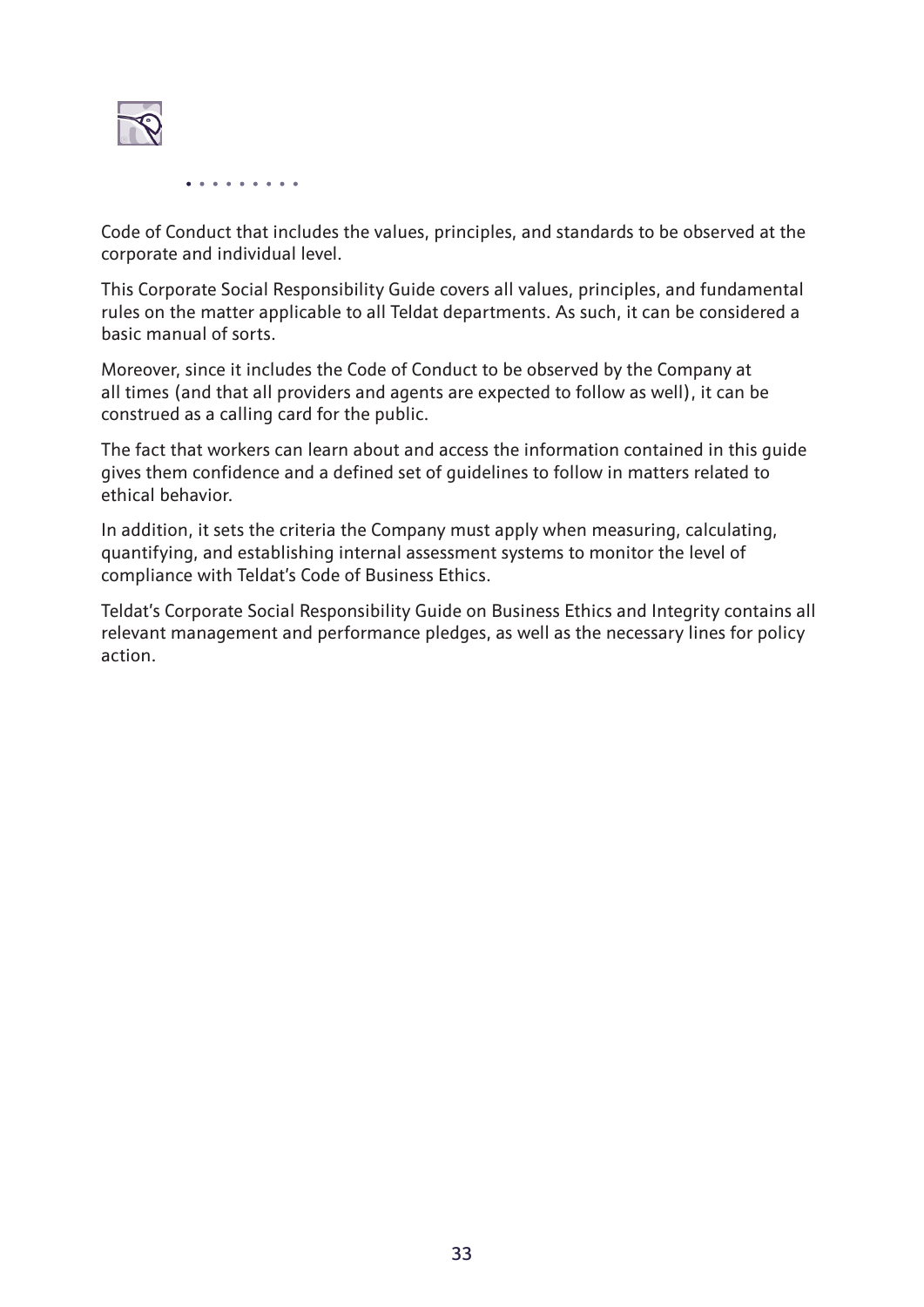

Code of Conduct that includes the values, principles, and standards to be observed at the corporate and individual level.

This Corporate Social Responsibility Guide covers all values, principles, and fundamental rules on the matter applicable to all Teldat departments. As such, it can be considered a basic manual of sorts.

Moreover, since it includes the Code of Conduct to be observed by the Company at all times (and that all providers and agents are expected to follow as well), it can be construed as a calling card for the public.

The fact that workers can learn about and access the information contained in this guide gives them confidence and a defined set of guidelines to follow in matters related to ethical behavior.

In addition, it sets the criteria the Company must apply when measuring, calculating, quantifying, and establishing internal assessment systems to monitor the level of compliance with Teldat's Code of Business Ethics.

Teldat's Corporate Social Responsibility Guide on Business Ethics and Integrity contains all relevant management and performance pledges, as well as the necessary lines for policy action.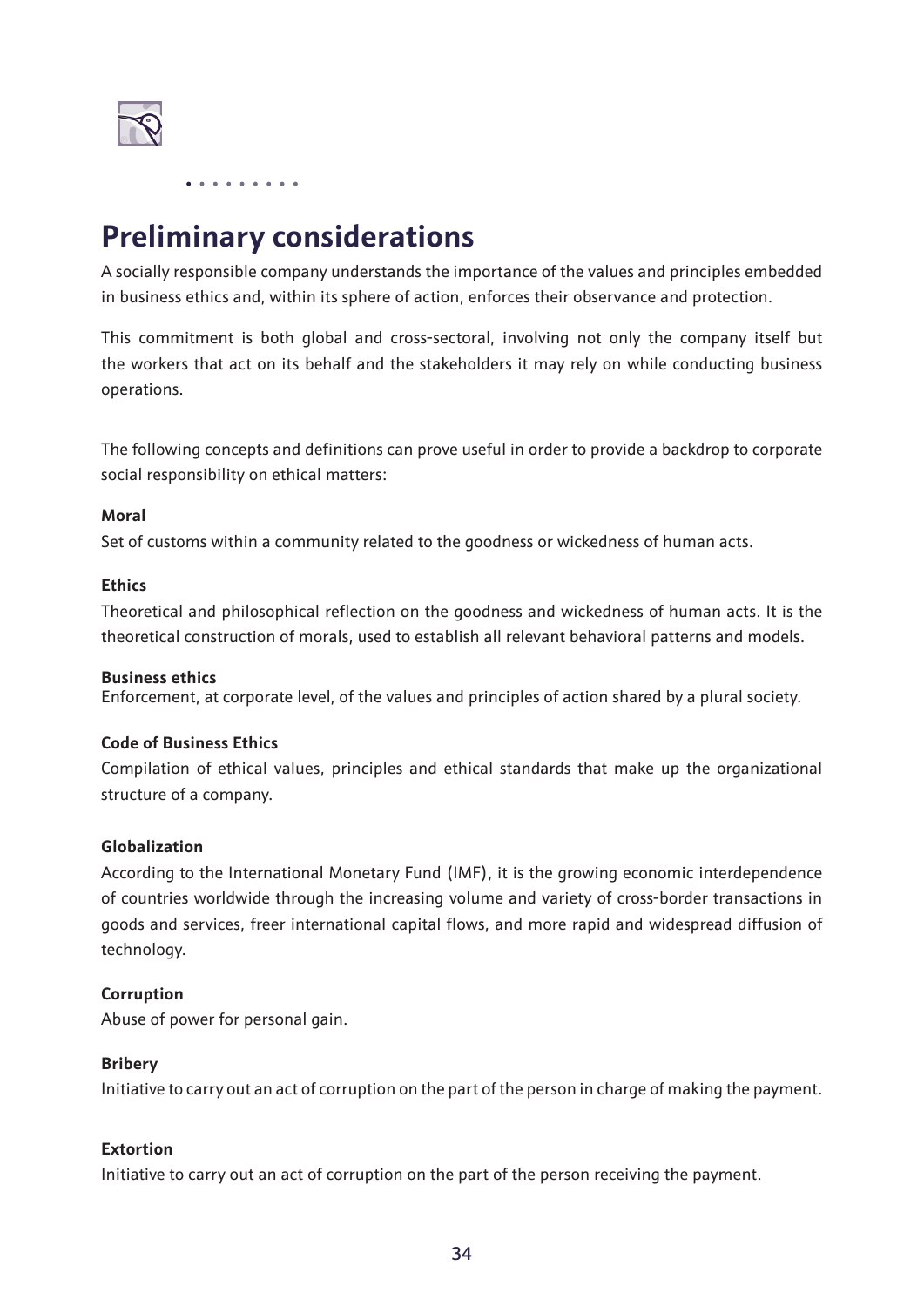

# **Preliminary considerations**

A socially responsible company understands the importance of the values and principles embedded in business ethics and, within its sphere of action, enforces their observance and protection.

This commitment is both global and cross-sectoral, involving not only the company itself but the workers that act on its behalf and the stakeholders it may rely on while conducting business operations.

The following concepts and definitions can prove useful in order to provide a backdrop to corporate social responsibility on ethical matters:

#### **Moral**

Set of customs within a community related to the goodness or wickedness of human acts.

#### **Ethics**

Theoretical and philosophical reflection on the goodness and wickedness of human acts. It is the theoretical construction of morals, used to establish all relevant behavioral patterns and models.

#### **Business ethics**

Enforcement, at corporate level, of the values and principles of action shared by a plural society.

#### **Code of Business Ethics**

Compilation of ethical values, principles and ethical standards that make up the organizational structure of a company.

#### **Globalization**

According to the International Monetary Fund (IMF), it is the growing economic interdependence of countries worldwide through the increasing volume and variety of cross-border transactions in goods and services, freer international capital flows, and more rapid and widespread diffusion of technology.

#### **Corruption**

Abuse of power for personal gain.

#### **Bribery**

Initiative to carry out an act of corruption on the part of the person in charge of making the payment.

#### **Extortion**

Initiative to carry out an act of corruption on the part of the person receiving the payment.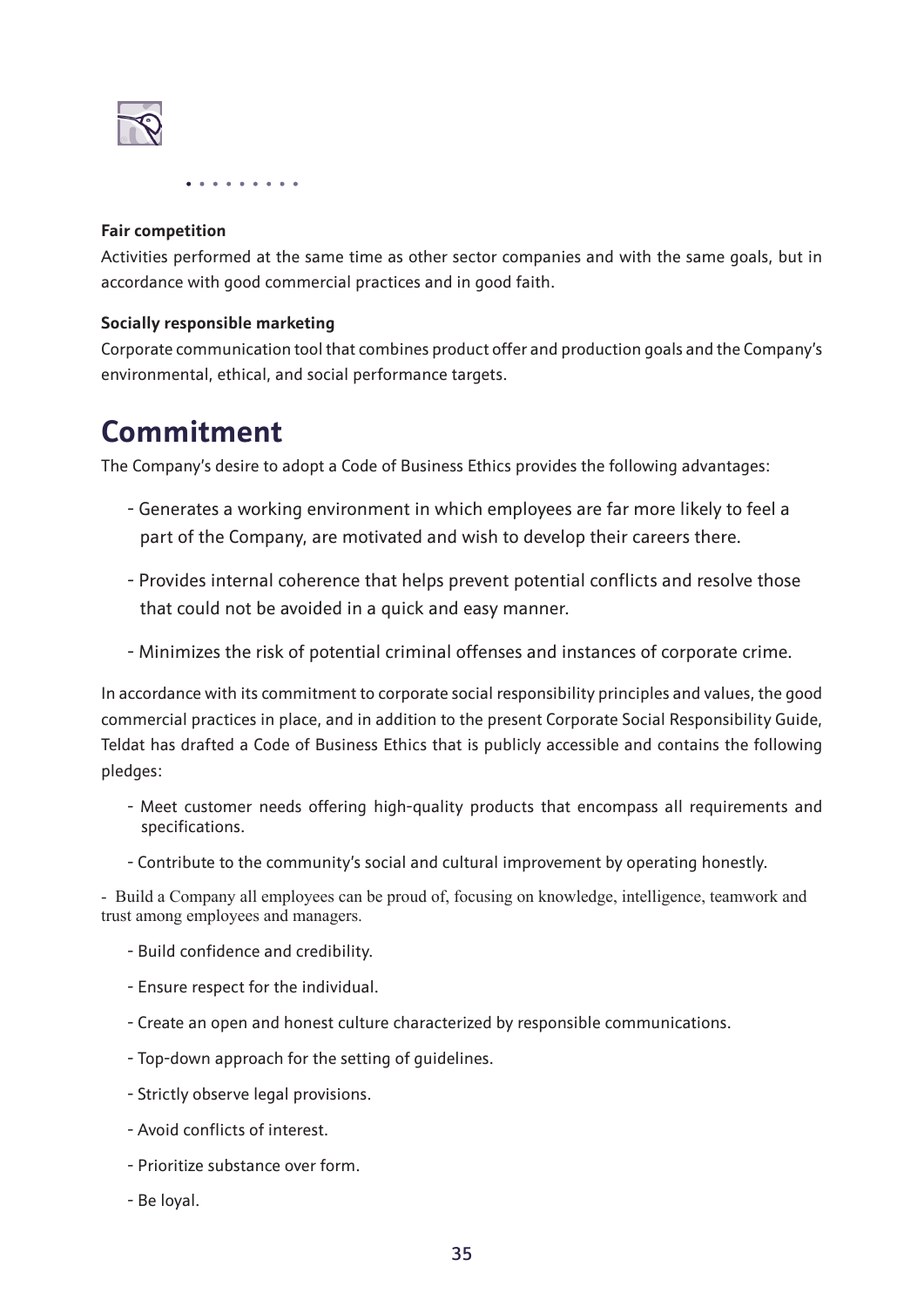

#### **Fair competition**

Activities performed at the same time as other sector companies and with the same goals, but in accordance with good commercial practices and in good faith.

#### **Socially responsible marketing**

Corporate communication tool that combines product offer and production goals and the Company's environmental, ethical, and social performance targets.

### **Commitment**

The Company's desire to adopt a Code of Business Ethics provides the following advantages:

- Generates a working environment in which employees are far more likely to feel a part of the Company, are motivated and wish to develop their careers there.
- Provides internal coherence that helps prevent potential conflicts and resolve those that could not be avoided in a quick and easy manner.
- Minimizes the risk of potential criminal offenses and instances of corporate crime.

In accordance with its commitment to corporate social responsibility principles and values, the good commercial practices in place, and in addition to the present Corporate Social Responsibility Guide, Teldat has drafted a Code of Business Ethics that is publicly accessible and contains the following pledges:

- Meet customer needs offering high-quality products that encompass all requirements and specifications.
- Contribute to the community's social and cultural improvement by operating honestly.

- Build a Company all employees can be proud of, focusing on knowledge, intelligence, teamwork and trust among employees and managers.

- Build confidence and credibility.
- Ensure respect for the individual.
- Create an open and honest culture characterized by responsible communications.
- Top-down approach for the setting of guidelines.
- Strictly observe legal provisions.
- Avoid conflicts of interest.
- Prioritize substance over form.
- Be loyal.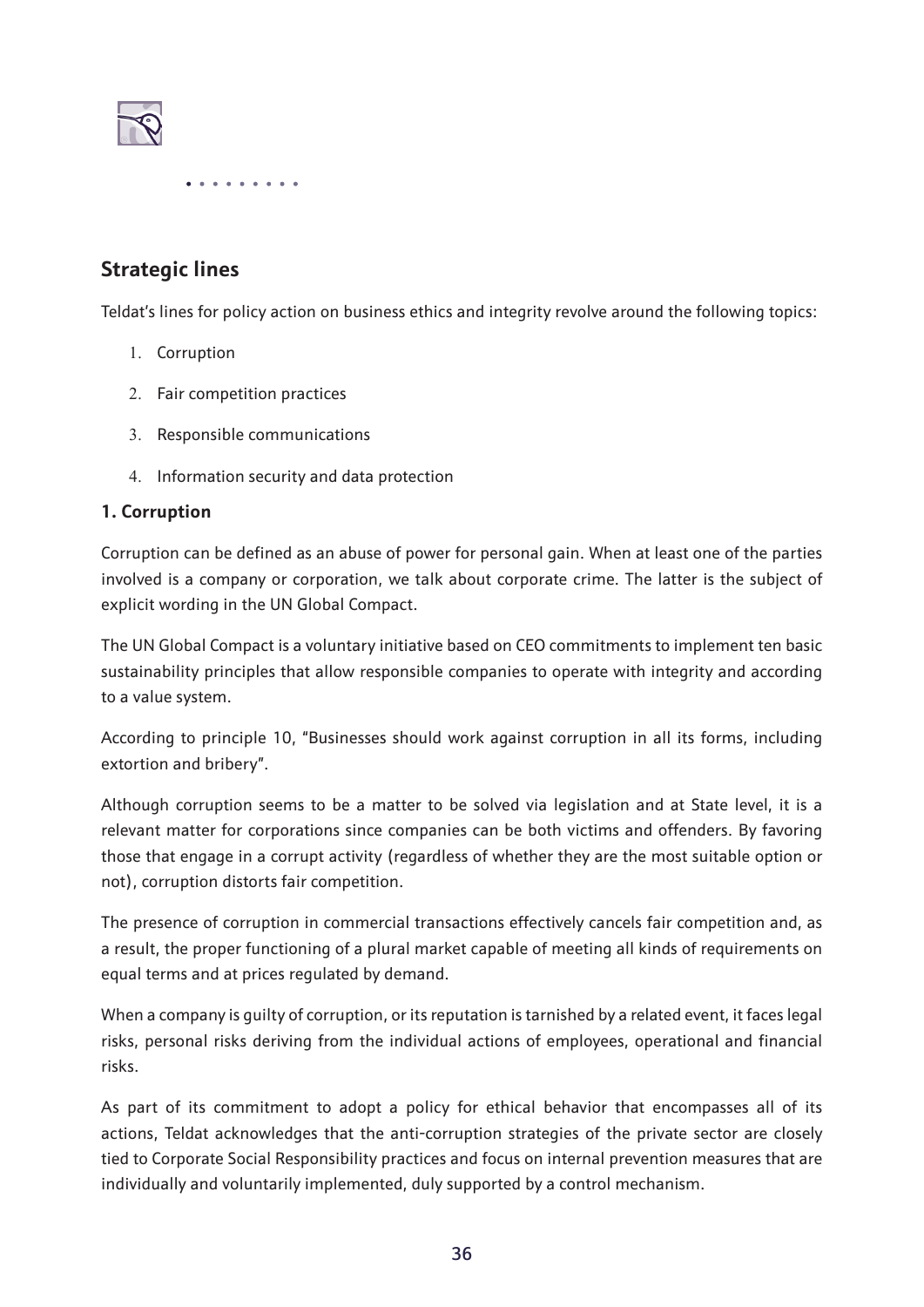

#### **Strategic lines**

Teldat's lines for policy action on business ethics and integrity revolve around the following topics:

- 1. Corruption
- 2. Fair competition practices
- 3. Responsible communications
- 4. Information security and data protection

#### **1. Corruption**

Corruption can be defined as an abuse of power for personal gain. When at least one of the parties involved is a company or corporation, we talk about corporate crime. The latter is the subject of explicit wording in the UN Global Compact.

The UN Global Compact is a voluntary initiative based on CEO commitments to implement ten basic sustainability principles that allow responsible companies to operate with integrity and according to a value system.

According to principle 10, "Businesses should work against corruption in all its forms, including extortion and bribery".

Although corruption seems to be a matter to be solved via legislation and at State level, it is a relevant matter for corporations since companies can be both victims and offenders. By favoring those that engage in a corrupt activity (regardless of whether they are the most suitable option or not), corruption distorts fair competition.

The presence of corruption in commercial transactions effectively cancels fair competition and, as a result, the proper functioning of a plural market capable of meeting all kinds of requirements on equal terms and at prices regulated by demand.

When a company is guilty of corruption, or its reputation is tarnished by a related event, it faces legal risks, personal risks deriving from the individual actions of employees, operational and financial risks.

As part of its commitment to adopt a policy for ethical behavior that encompasses all of its actions, Teldat acknowledges that the anti-corruption strategies of the private sector are closely tied to Corporate Social Responsibility practices and focus on internal prevention measures that are individually and voluntarily implemented, duly supported by a control mechanism.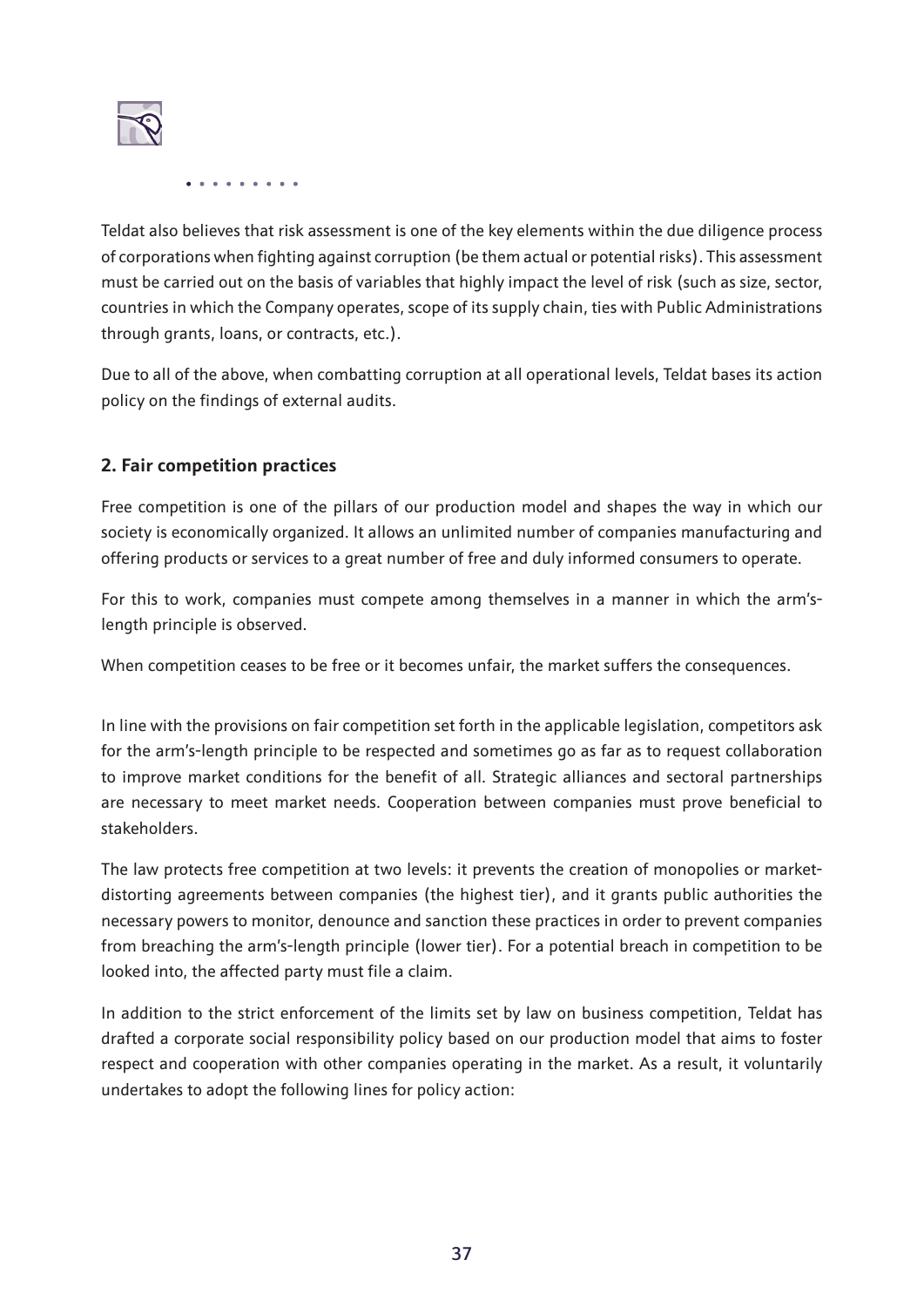

Teldat also believes that risk assessment is one of the key elements within the due diligence process of corporations when fighting against corruption (be them actual or potential risks). This assessment must be carried out on the basis of variables that highly impact the level of risk (such as size, sector, countries in which the Company operates, scope of its supply chain, ties with Public Administrations through grants, loans, or contracts, etc.).

Due to all of the above, when combatting corruption at all operational levels, Teldat bases its action policy on the findings of external audits.

#### **2. Fair competition practices**

Free competition is one of the pillars of our production model and shapes the way in which our society is economically organized. It allows an unlimited number of companies manufacturing and offering products or services to a great number of free and duly informed consumers to operate.

For this to work, companies must compete among themselves in a manner in which the arm'slength principle is observed.

When competition ceases to be free or it becomes unfair, the market suffers the consequences.

In line with the provisions on fair competition set forth in the applicable legislation, competitors ask for the arm's-length principle to be respected and sometimes go as far as to request collaboration to improve market conditions for the benefit of all. Strategic alliances and sectoral partnerships are necessary to meet market needs. Cooperation between companies must prove beneficial to stakeholders.

The law protects free competition at two levels: it prevents the creation of monopolies or marketdistorting agreements between companies (the highest tier), and it grants public authorities the necessary powers to monitor, denounce and sanction these practices in order to prevent companies from breaching the arm's-length principle (lower tier). For a potential breach in competition to be looked into, the affected party must file a claim.

In addition to the strict enforcement of the limits set by law on business competition, Teldat has drafted a corporate social responsibility policy based on our production model that aims to foster respect and cooperation with other companies operating in the market. As a result, it voluntarily undertakes to adopt the following lines for policy action: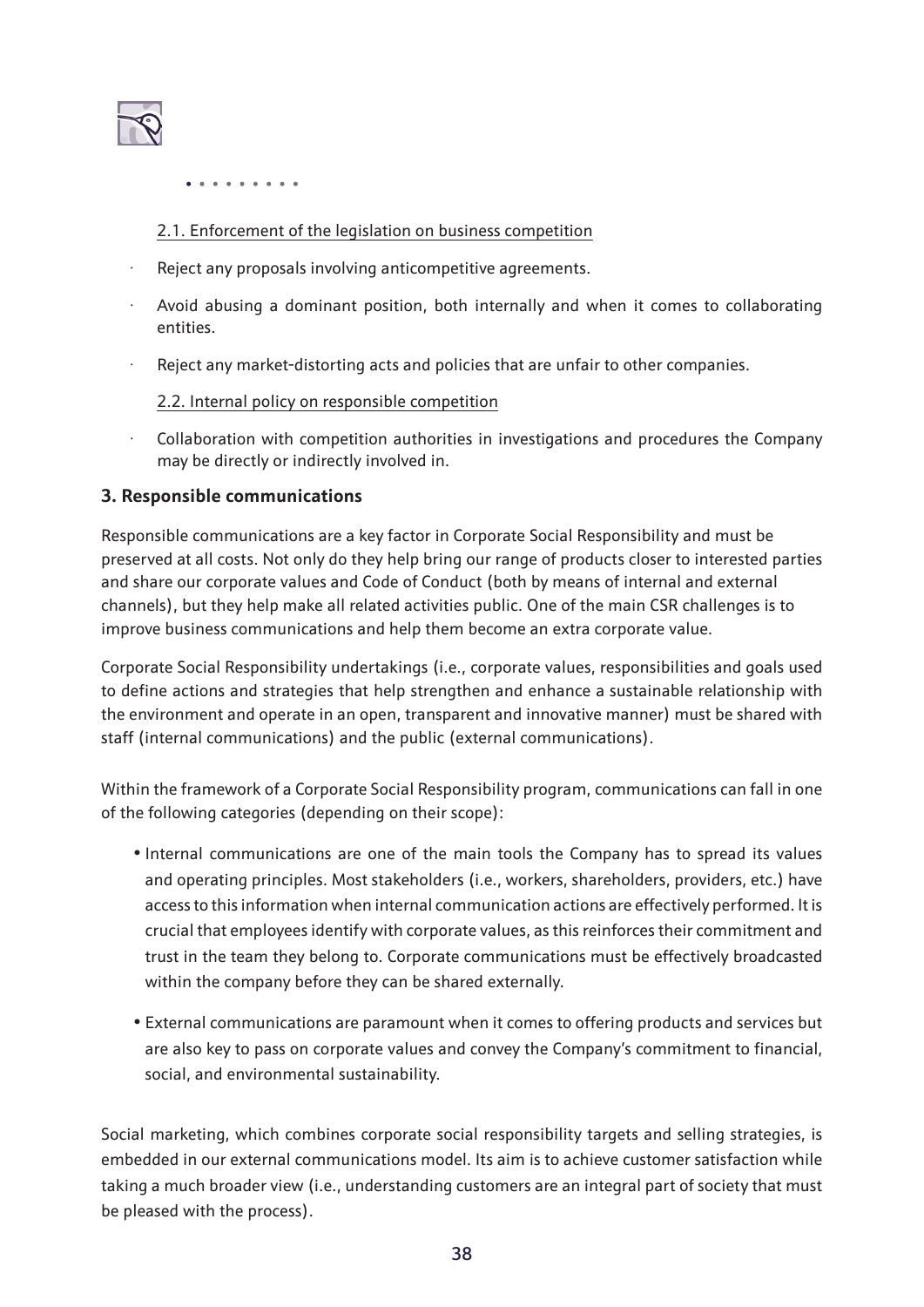

#### 2.1. Enforcement of the legislation on business competition

- · Reject any proposals involving anticompetitive agreements.
- Avoid abusing a dominant position, both internally and when it comes to collaborating entities.
- Reject any market-distorting acts and policies that are unfair to other companies.

#### 2.2. Internal policy on responsible competition

· Collaboration with competition authorities in investigations and procedures the Company may be directly or indirectly involved in.

#### **3. Responsible communications**

Responsible communications are a key factor in Corporate Social Responsibility and must be preserved at all costs. Not only do they help bring our range of products closer to interested parties and share our corporate values and Code of Conduct (both by means of internal and external channels), but they help make all related activities public. One of the main CSR challenges is to improve business communications and help them become an extra corporate value.

Corporate Social Responsibility undertakings (i.e., corporate values, responsibilities and goals used to define actions and strategies that help strengthen and enhance a sustainable relationship with the environment and operate in an open, transparent and innovative manner) must be shared with staff (internal communications) and the public (external communications).

Within the framework of a Corporate Social Responsibility program, communications can fall in one of the following categories (depending on their scope):

- Internal communications are one of the main tools the Company has to spread its values and operating principles. Most stakeholders (i.e., workers, shareholders, providers, etc.) have access to this information when internal communication actions are effectively performed. It is crucial that employees identify with corporate values, as this reinforces their commitment and trust in the team they belong to. Corporate communications must be effectively broadcasted within the company before they can be shared externally.
- External communications are paramount when it comes to offering products and services but are also key to pass on corporate values and convey the Company's commitment to financial, social, and environmental sustainability.

Social marketing, which combines corporate social responsibility targets and selling strategies, is embedded in our external communications model. Its aim is to achieve customer satisfaction while taking a much broader view (i.e., understanding customers are an integral part of society that must be pleased with the process).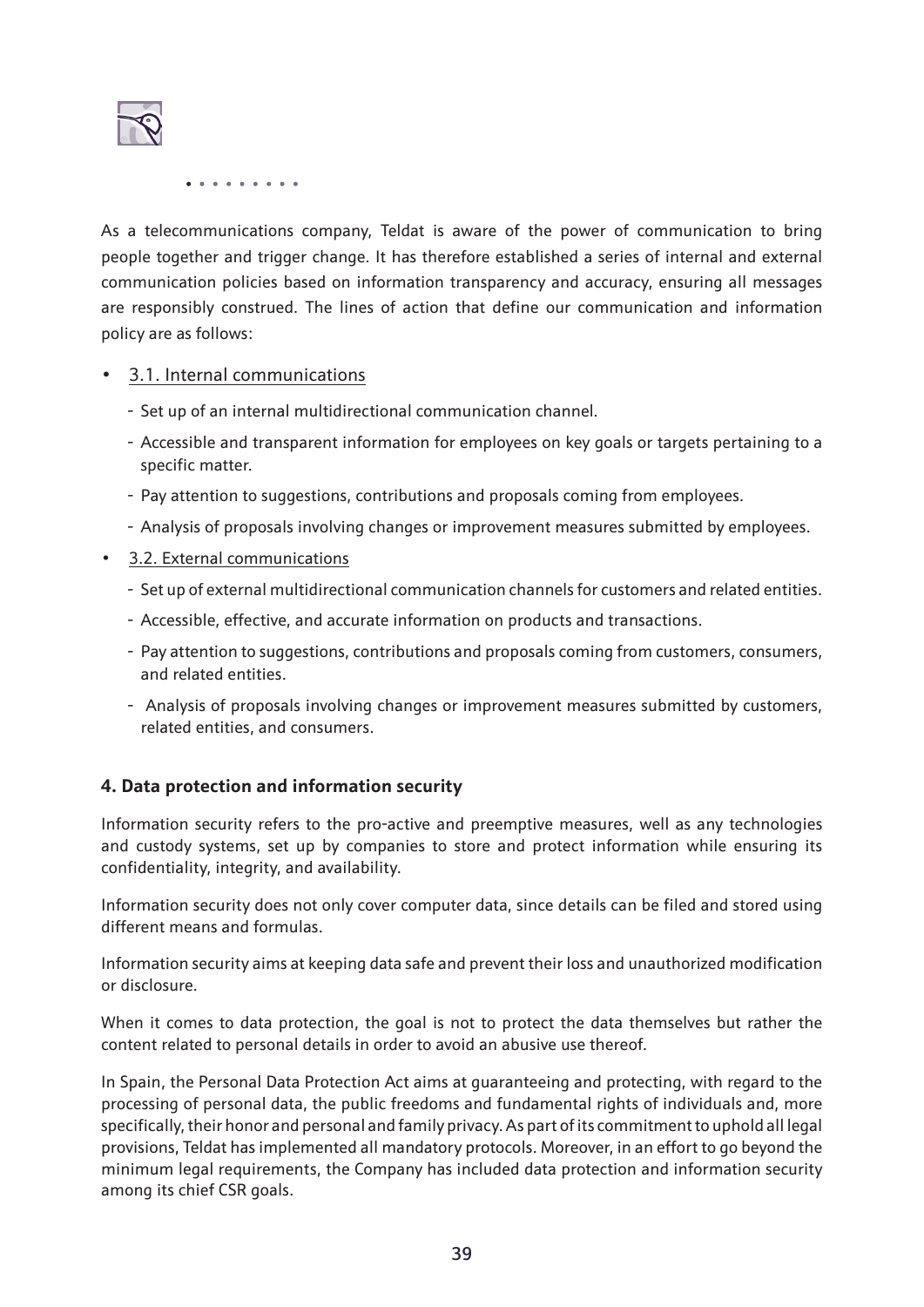

As a telecommunications company, Teldat is aware of the power of communication to bring people together and trigger change. It has therefore established a series of internal and external communication policies based on information transparency and accuracy, ensuring all messages are responsibly construed. The lines of action that define our communication and information policy are as follows:

#### • 3.1. Internal communications

- Set up of an internal multidirectional communication channel.
- Accessible and transparent information for employees on key goals or targets pertaining to a specific matter.
- Pay attention to suggestions, contributions and proposals coming from employees.
- Analysis of proposals involving changes or improvement measures submitted by employees.
- 3.2. External communications
	- Set up of external multidirectional communication channels for customers and related entities.
	- Accessible, effective, and accurate information on products and transactions.
	- Pay attention to suggestions, contributions and proposals coming from customers, consumers, and related entities.
	- Analysis of proposals involving changes or improvement measures submitted by customers, related entities, and consumers.

#### **4. Data protection and information security**

Information security refers to the pro-active and preemptive measures, well as any technologies and custody systems, set up by companies to store and protect information while ensuring its confidentiality, integrity, and availability.

Information security does not only cover computer data, since details can be filed and stored using different means and formulas.

Information security aims at keeping data safe and prevent their loss and unauthorized modification or disclosure.

When it comes to data protection, the goal is not to protect the data themselves but rather the content related to personal details in order to avoid an abusive use thereof.

In Spain, the Personal Data Protection Act aims at guaranteeing and protecting, with regard to the processing of personal data, the public freedoms and fundamental rights of individuals and, more specifically, their honor and personal and family privacy. As part of its commitment to uphold all legal provisions, Teldat has implemented all mandatory protocols. Moreover, in an effort to go beyond the minimum legal requirements, the Company has included data protection and information security among its chief CSR goals.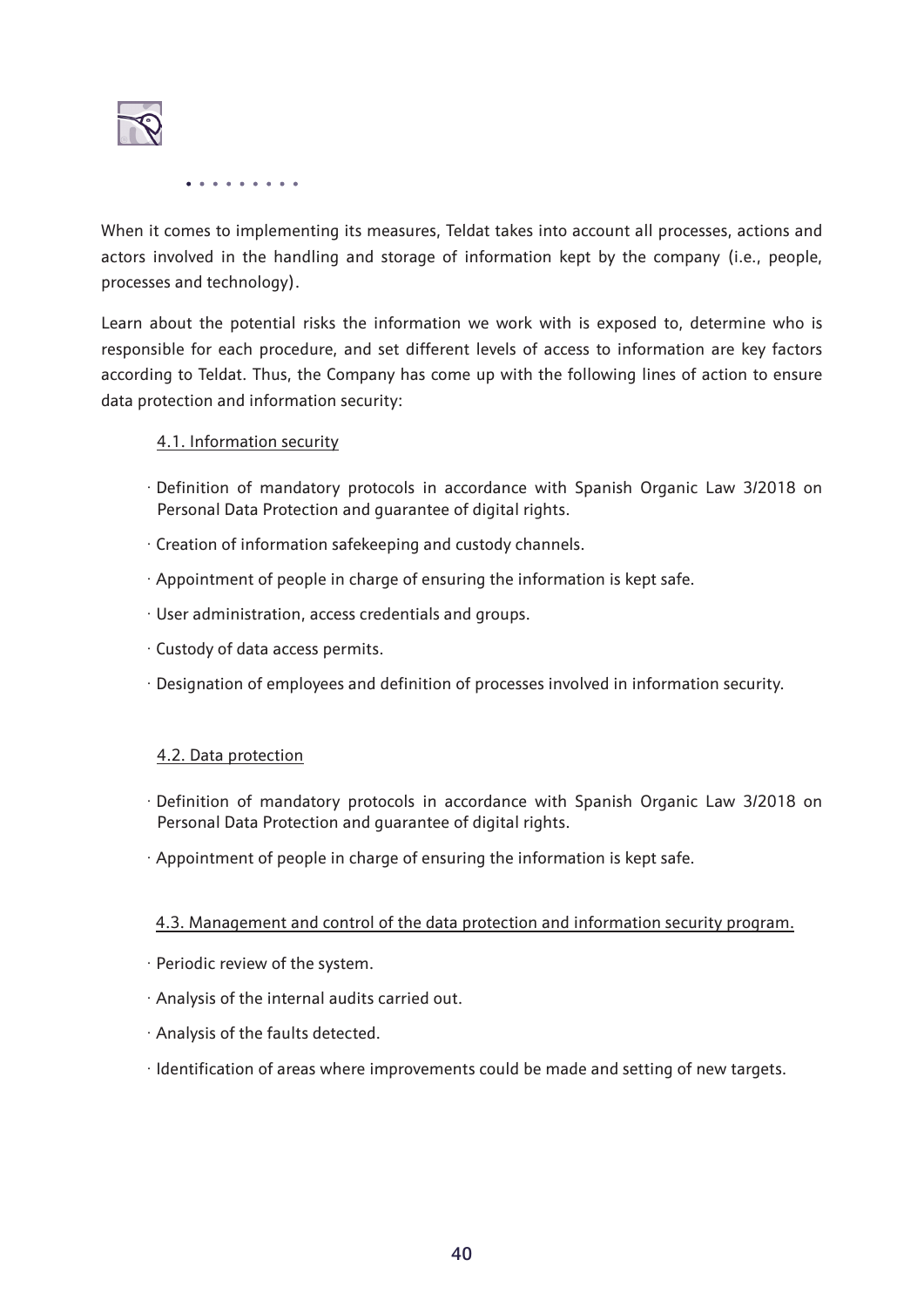

When it comes to implementing its measures, Teldat takes into account all processes, actions and actors involved in the handling and storage of information kept by the company (i.e., people, processes and technology).

Learn about the potential risks the information we work with is exposed to, determine who is responsible for each procedure, and set different levels of access to information are key factors according to Teldat. Thus, the Company has come up with the following lines of action to ensure data protection and information security:

#### 4.1. Information security

- · Definition of mandatory protocols in accordance with Spanish Organic Law 3/2018 on Personal Data Protection and guarantee of digital rights.
- · Creation of information safekeeping and custody channels.
- · Appointment of people in charge of ensuring the information is kept safe.
- · User administration, access credentials and groups.
- · Custody of data access permits.
- · Designation of employees and definition of processes involved in information security.

#### 4.2. Data protection

- · Definition of mandatory protocols in accordance with Spanish Organic Law 3/2018 on Personal Data Protection and guarantee of digital rights.
- · Appointment of people in charge of ensuring the information is kept safe.

#### 4.3. Management and control of the data protection and information security program.

- · Periodic review of the system.
- · Analysis of the internal audits carried out.
- · Analysis of the faults detected.
- · Identification of areas where improvements could be made and setting of new targets.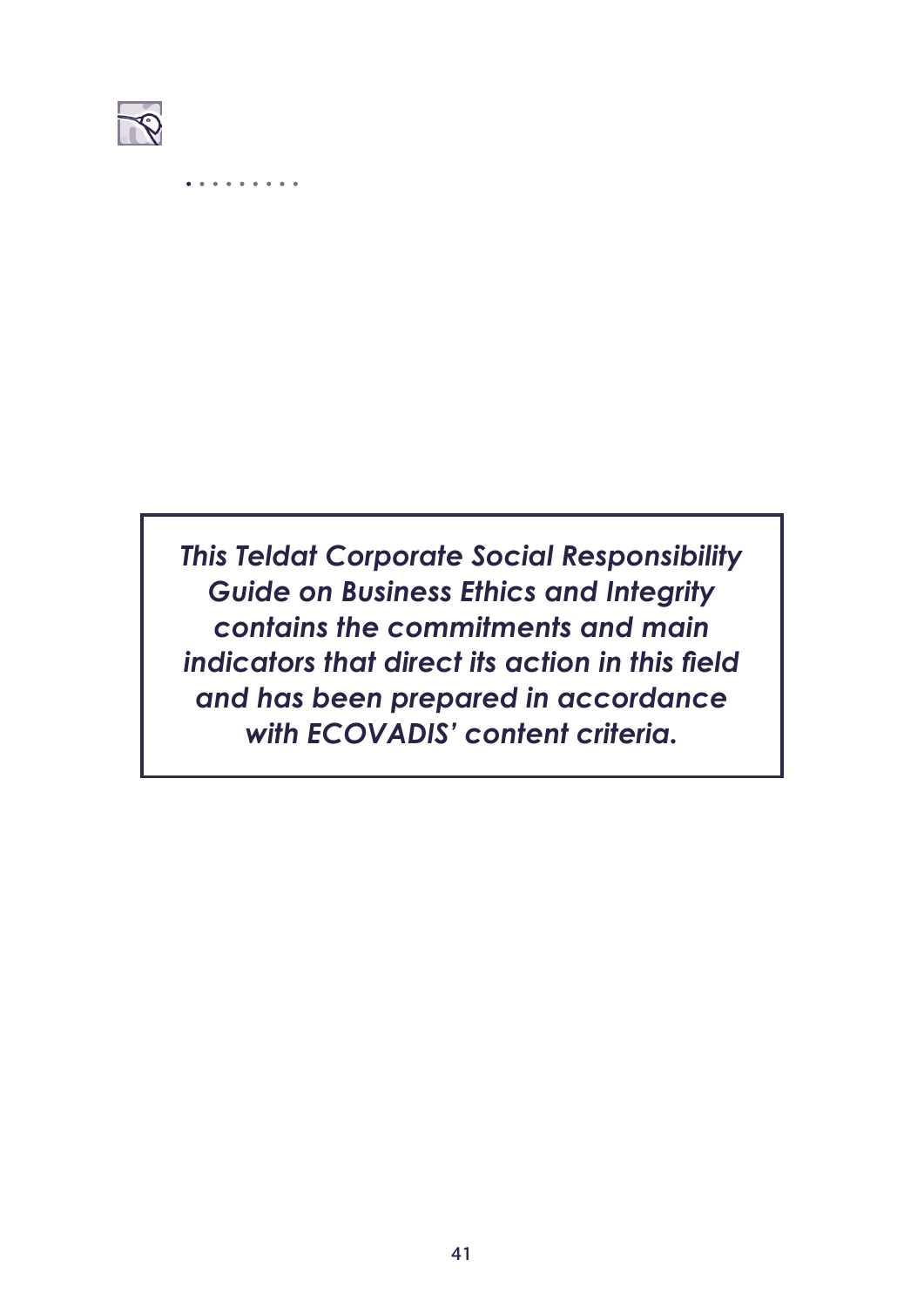

*This Teldat Corporate Social Responsibility Guide on Business Ethics and Integrity contains the commitments and main indicators that direct its action in this field and has been prepared in accordance with ECOVADIS' content criteria.*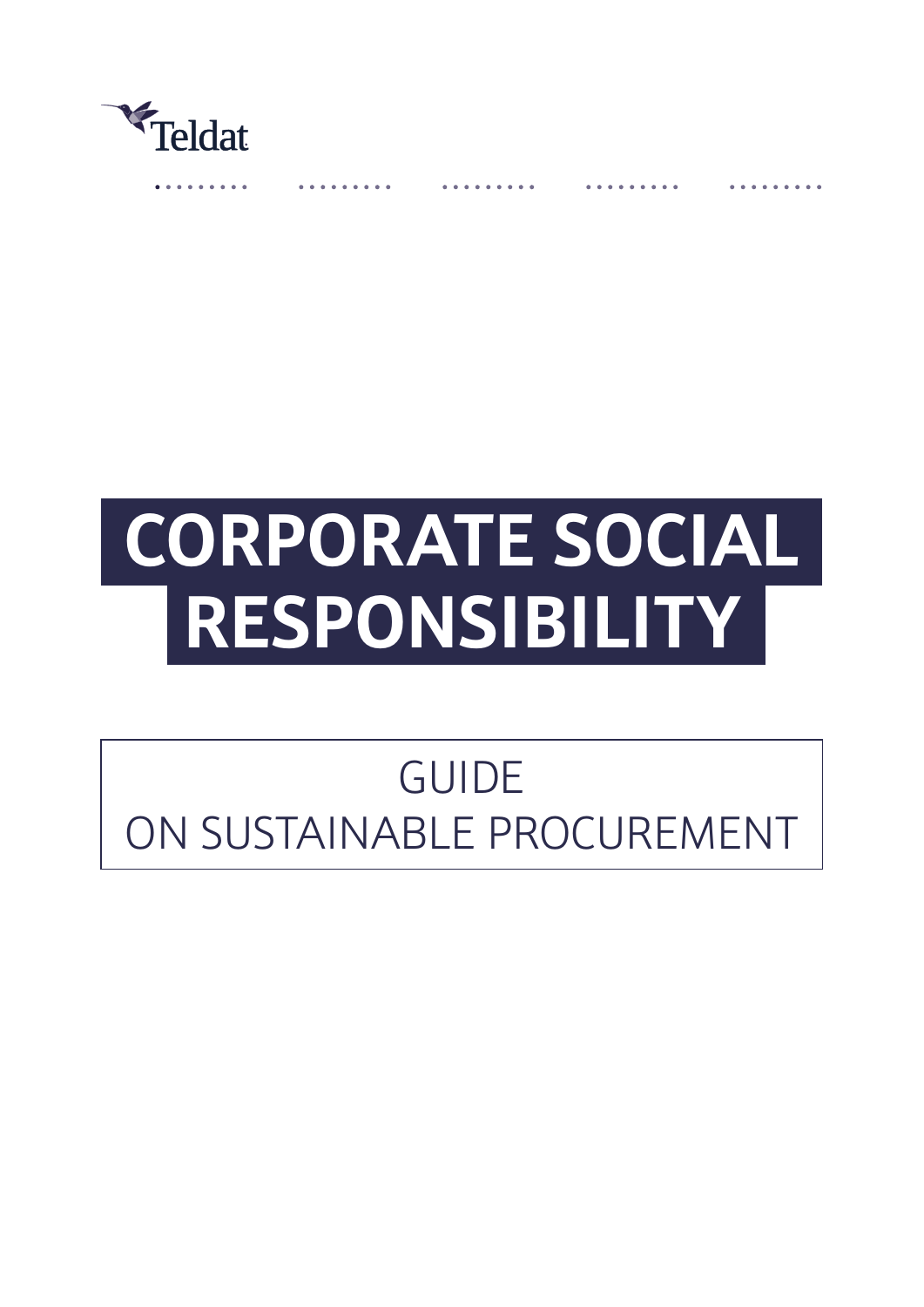

# **CORPORATE SOCIAL RESPONSIBILITY**

# GUIDE ON SUSTAINABLE PROCUREMENT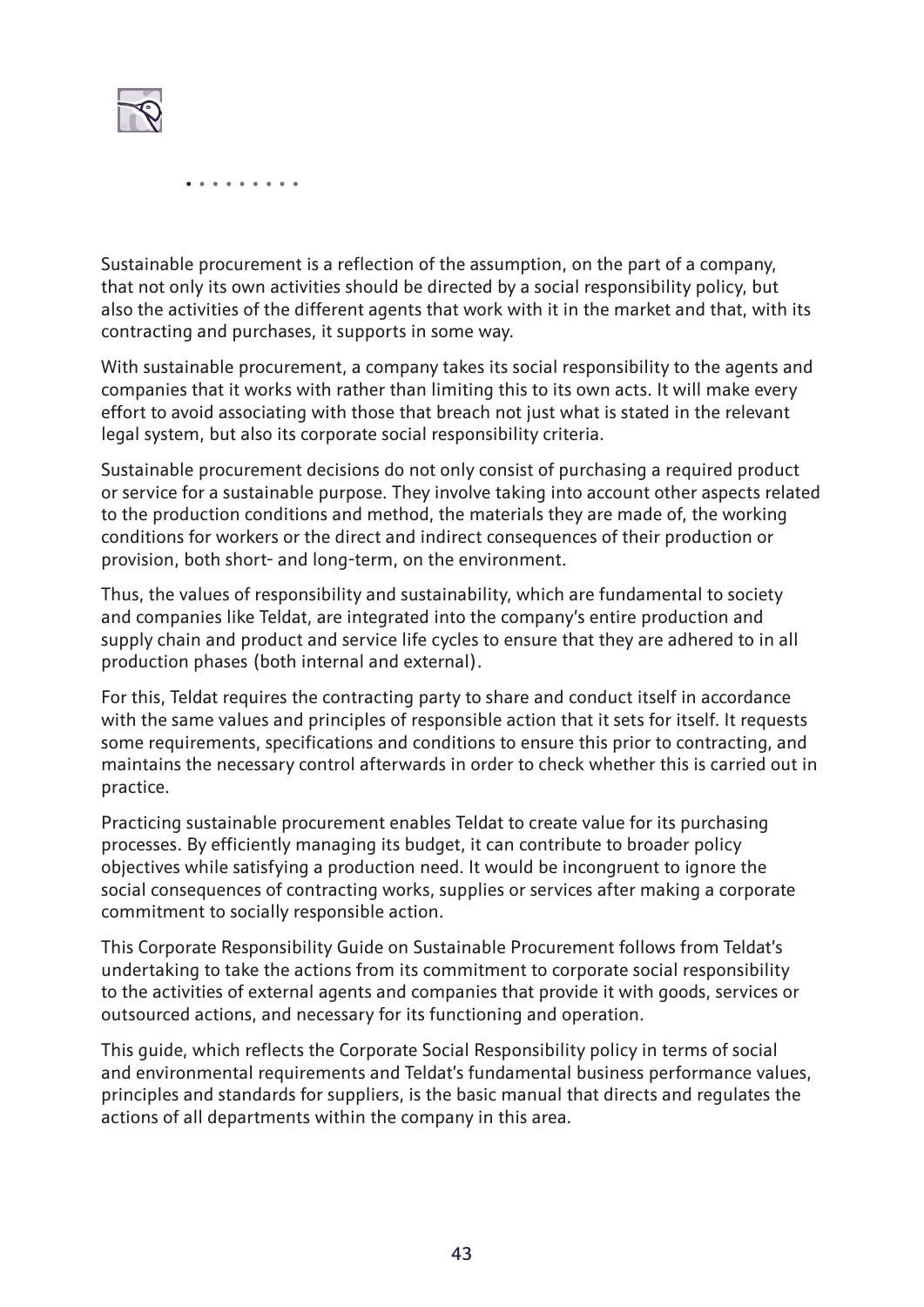

Sustainable procurement is a reflection of the assumption, on the part of a company, that not only its own activities should be directed by a social responsibility policy, but also the activities of the different agents that work with it in the market and that, with its contracting and purchases, it supports in some way.

With sustainable procurement, a company takes its social responsibility to the agents and companies that it works with rather than limiting this to its own acts. It will make every effort to avoid associating with those that breach not just what is stated in the relevant legal system, but also its corporate social responsibility criteria.

Sustainable procurement decisions do not only consist of purchasing a required product or service for a sustainable purpose. They involve taking into account other aspects related to the production conditions and method, the materials they are made of, the working conditions for workers or the direct and indirect consequences of their production or provision, both short- and long-term, on the environment.

Thus, the values of responsibility and sustainability, which are fundamental to society and companies like Teldat, are integrated into the company's entire production and supply chain and product and service life cycles to ensure that they are adhered to in all production phases (both internal and external).

For this, Teldat requires the contracting party to share and conduct itself in accordance with the same values and principles of responsible action that it sets for itself. It requests some requirements, specifications and conditions to ensure this prior to contracting, and maintains the necessary control afterwards in order to check whether this is carried out in practice.

Practicing sustainable procurement enables Teldat to create value for its purchasing processes. By efficiently managing its budget, it can contribute to broader policy objectives while satisfying a production need. It would be incongruent to ignore the social consequences of contracting works, supplies or services after making a corporate commitment to socially responsible action.

This Corporate Responsibility Guide on Sustainable Procurement follows from Teldat's undertaking to take the actions from its commitment to corporate social responsibility to the activities of external agents and companies that provide it with goods, services or outsourced actions, and necessary for its functioning and operation.

This guide, which reflects the Corporate Social Responsibility policy in terms of social and environmental requirements and Teldat's fundamental business performance values, principles and standards for suppliers, is the basic manual that directs and regulates the actions of all departments within the company in this area.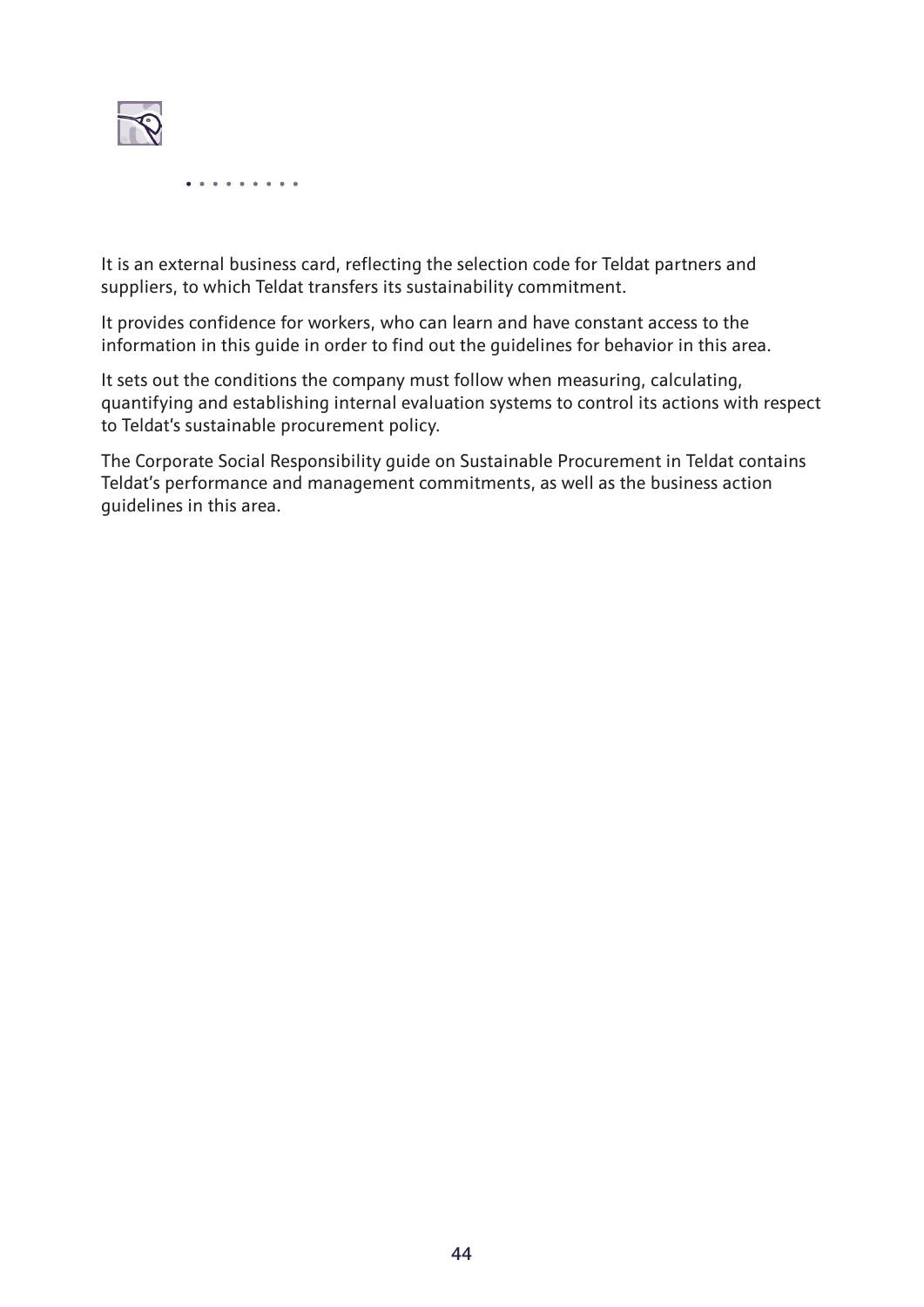

It is an external business card, reflecting the selection code for Teldat partners and suppliers, to which Teldat transfers its sustainability commitment.

It provides confidence for workers, who can learn and have constant access to the information in this guide in order to find out the guidelines for behavior in this area.

It sets out the conditions the company must follow when measuring, calculating, quantifying and establishing internal evaluation systems to control its actions with respect to Teldat's sustainable procurement policy.

The Corporate Social Responsibility guide on Sustainable Procurement in Teldat contains Teldat's performance and management commitments, as well as the business action guidelines in this area.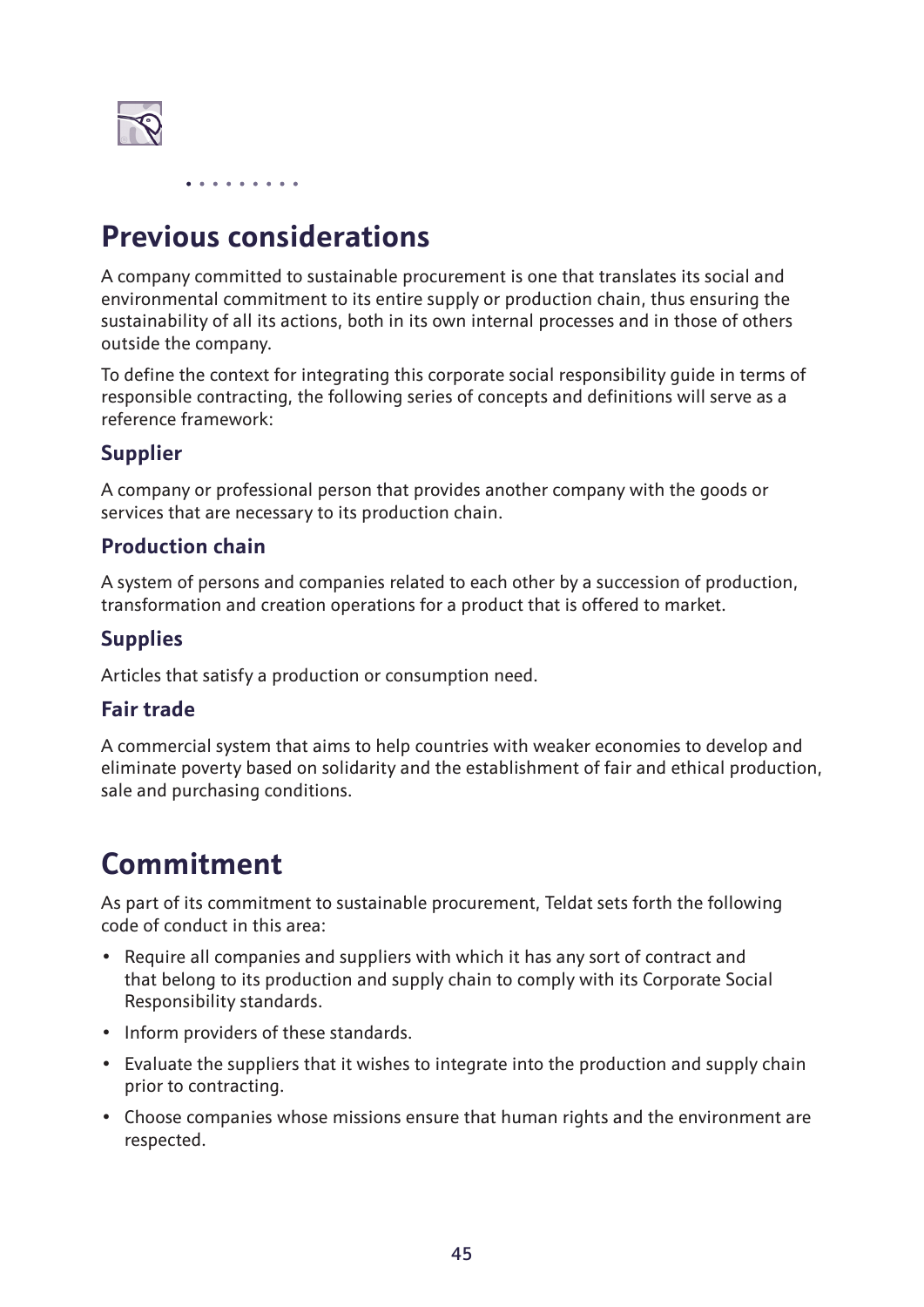

# **Previous considerations**

A company committed to sustainable procurement is one that translates its social and environmental commitment to its entire supply or production chain, thus ensuring the sustainability of all its actions, both in its own internal processes and in those of others outside the company.

To define the context for integrating this corporate social responsibility guide in terms of responsible contracting, the following series of concepts and definitions will serve as a reference framework:

#### **Supplier**

A company or professional person that provides another company with the goods or services that are necessary to its production chain.

#### **Production chain**

A system of persons and companies related to each other by a succession of production, transformation and creation operations for a product that is offered to market.

#### **Supplies**

Articles that satisfy a production or consumption need.

#### **Fair trade**

A commercial system that aims to help countries with weaker economies to develop and eliminate poverty based on solidarity and the establishment of fair and ethical production, sale and purchasing conditions.

## **Commitment**

As part of its commitment to sustainable procurement, Teldat sets forth the following code of conduct in this area:

- Require all companies and suppliers with which it has any sort of contract and that belong to its production and supply chain to comply with its Corporate Social Responsibility standards.
- Inform providers of these standards.
- Evaluate the suppliers that it wishes to integrate into the production and supply chain prior to contracting.
- Choose companies whose missions ensure that human rights and the environment are respected.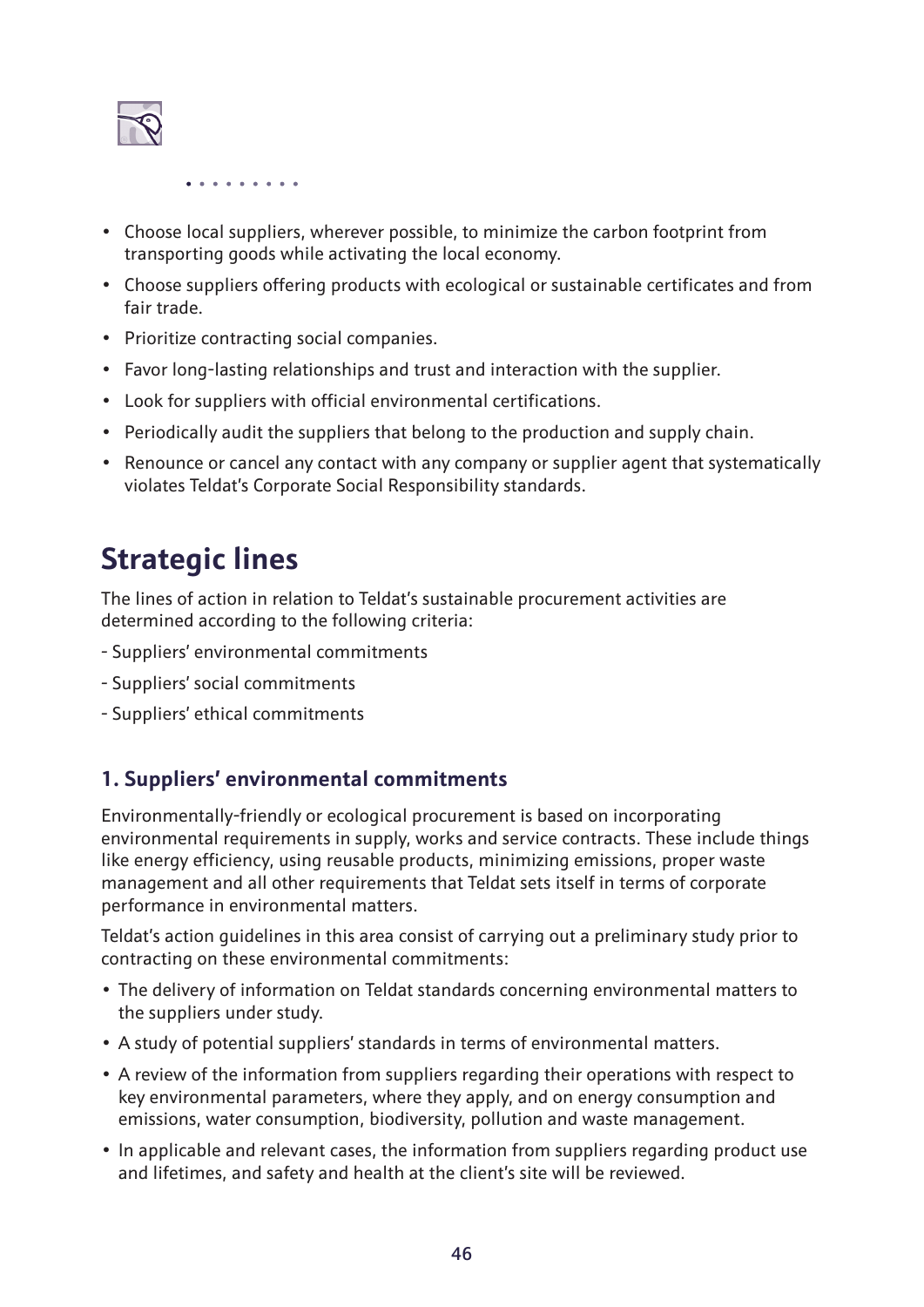

- Choose local suppliers, wherever possible, to minimize the carbon footprint from transporting goods while activating the local economy.
- Choose suppliers offering products with ecological or sustainable certificates and from fair trade.
- Prioritize contracting social companies.
- Favor long-lasting relationships and trust and interaction with the supplier.
- Look for suppliers with official environmental certifications.
- Periodically audit the suppliers that belong to the production and supply chain.
- Renounce or cancel any contact with any company or supplier agent that systematically violates Teldat's Corporate Social Responsibility standards.

## **Strategic lines**

The lines of action in relation to Teldat's sustainable procurement activities are determined according to the following criteria:

- Suppliers' environmental commitments
- Suppliers' social commitments
- Suppliers' ethical commitments

#### **1. Suppliers' environmental commitments**

Environmentally-friendly or ecological procurement is based on incorporating environmental requirements in supply, works and service contracts. These include things like energy efficiency, using reusable products, minimizing emissions, proper waste management and all other requirements that Teldat sets itself in terms of corporate performance in environmental matters.

Teldat's action guidelines in this area consist of carrying out a preliminary study prior to contracting on these environmental commitments:

- The delivery of information on Teldat standards concerning environmental matters to the suppliers under study.
- A study of potential suppliers' standards in terms of environmental matters.
- A review of the information from suppliers regarding their operations with respect to key environmental parameters, where they apply, and on energy consumption and emissions, water consumption, biodiversity, pollution and waste management.
- In applicable and relevant cases, the information from suppliers regarding product use and lifetimes, and safety and health at the client's site will be reviewed.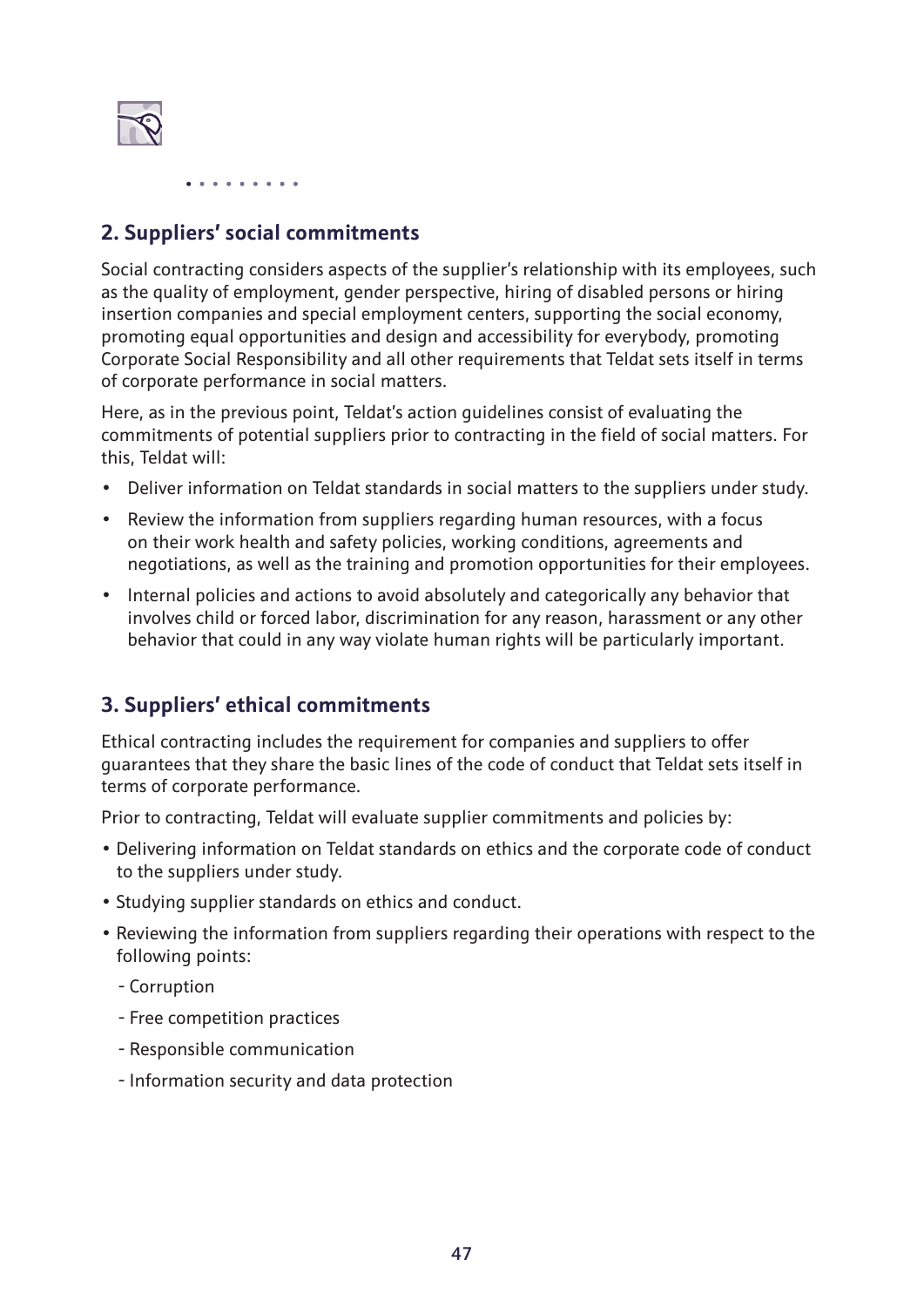

#### **2. Suppliers' social commitments**

Social contracting considers aspects of the supplier's relationship with its employees, such as the quality of employment, gender perspective, hiring of disabled persons or hiring insertion companies and special employment centers, supporting the social economy, promoting equal opportunities and design and accessibility for everybody, promoting Corporate Social Responsibility and all other requirements that Teldat sets itself in terms of corporate performance in social matters.

Here, as in the previous point, Teldat's action guidelines consist of evaluating the commitments of potential suppliers prior to contracting in the field of social matters. For this, Teldat will:

- Deliver information on Teldat standards in social matters to the suppliers under study.
- Review the information from suppliers regarding human resources, with a focus on their work health and safety policies, working conditions, agreements and negotiations, as well as the training and promotion opportunities for their employees.
- Internal policies and actions to avoid absolutely and categorically any behavior that involves child or forced labor, discrimination for any reason, harassment or any other behavior that could in any way violate human rights will be particularly important.

#### **3. Suppliers' ethical commitments**

Ethical contracting includes the requirement for companies and suppliers to offer guarantees that they share the basic lines of the code of conduct that Teldat sets itself in terms of corporate performance.

Prior to contracting, Teldat will evaluate supplier commitments and policies by:

- Delivering information on Teldat standards on ethics and the corporate code of conduct to the suppliers under study.
- Studying supplier standards on ethics and conduct.
- Reviewing the information from suppliers regarding their operations with respect to the following points:
	- Corruption
	- Free competition practices
	- Responsible communication
	- Information security and data protection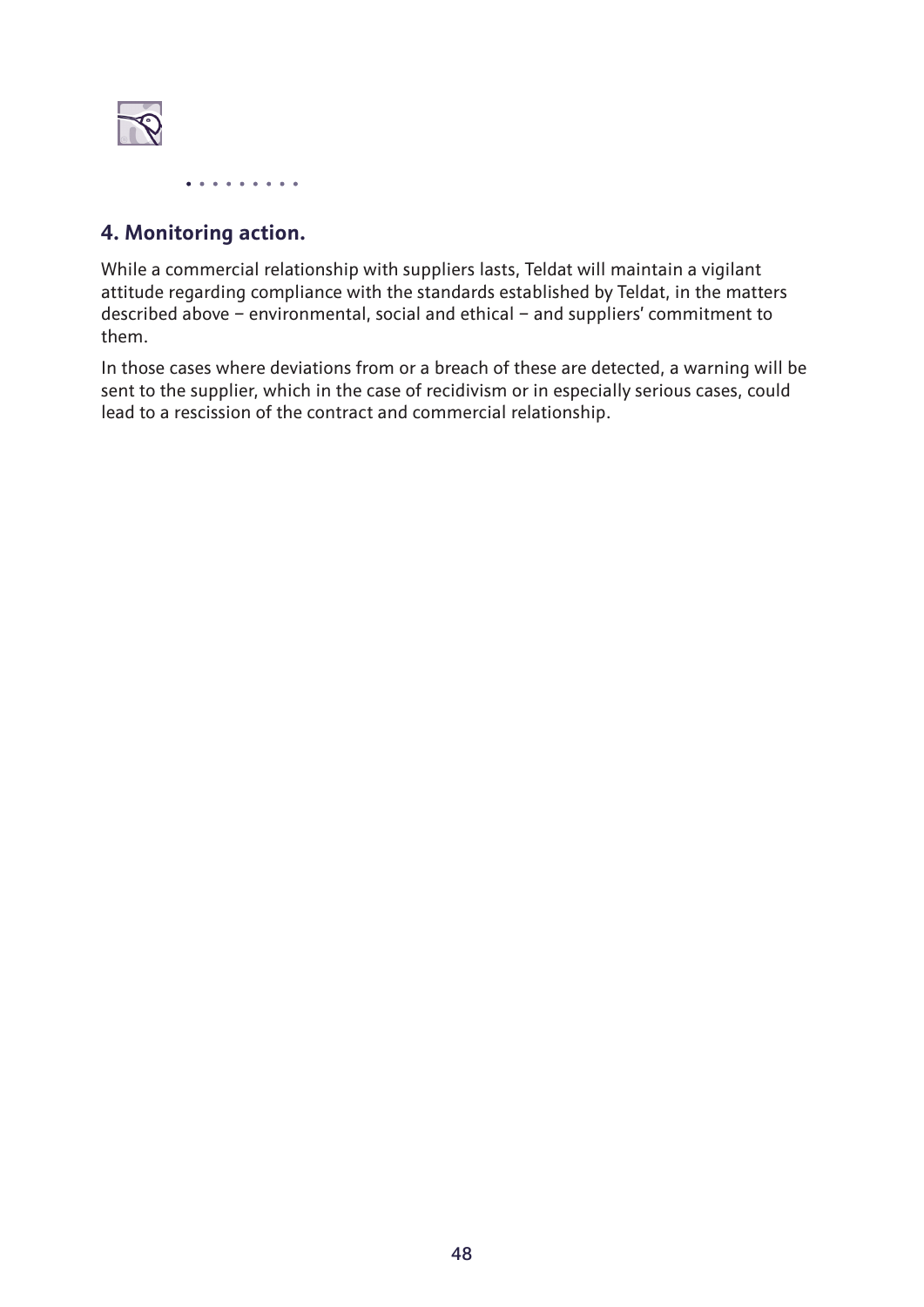

#### **4. Monitoring action.**

While a commercial relationship with suppliers lasts, Teldat will maintain a vigilant attitude regarding compliance with the standards established by Teldat, in the matters described above – environmental, social and ethical – and suppliers' commitment to them.

In those cases where deviations from or a breach of these are detected, a warning will be sent to the supplier, which in the case of recidivism or in especially serious cases, could lead to a rescission of the contract and commercial relationship.